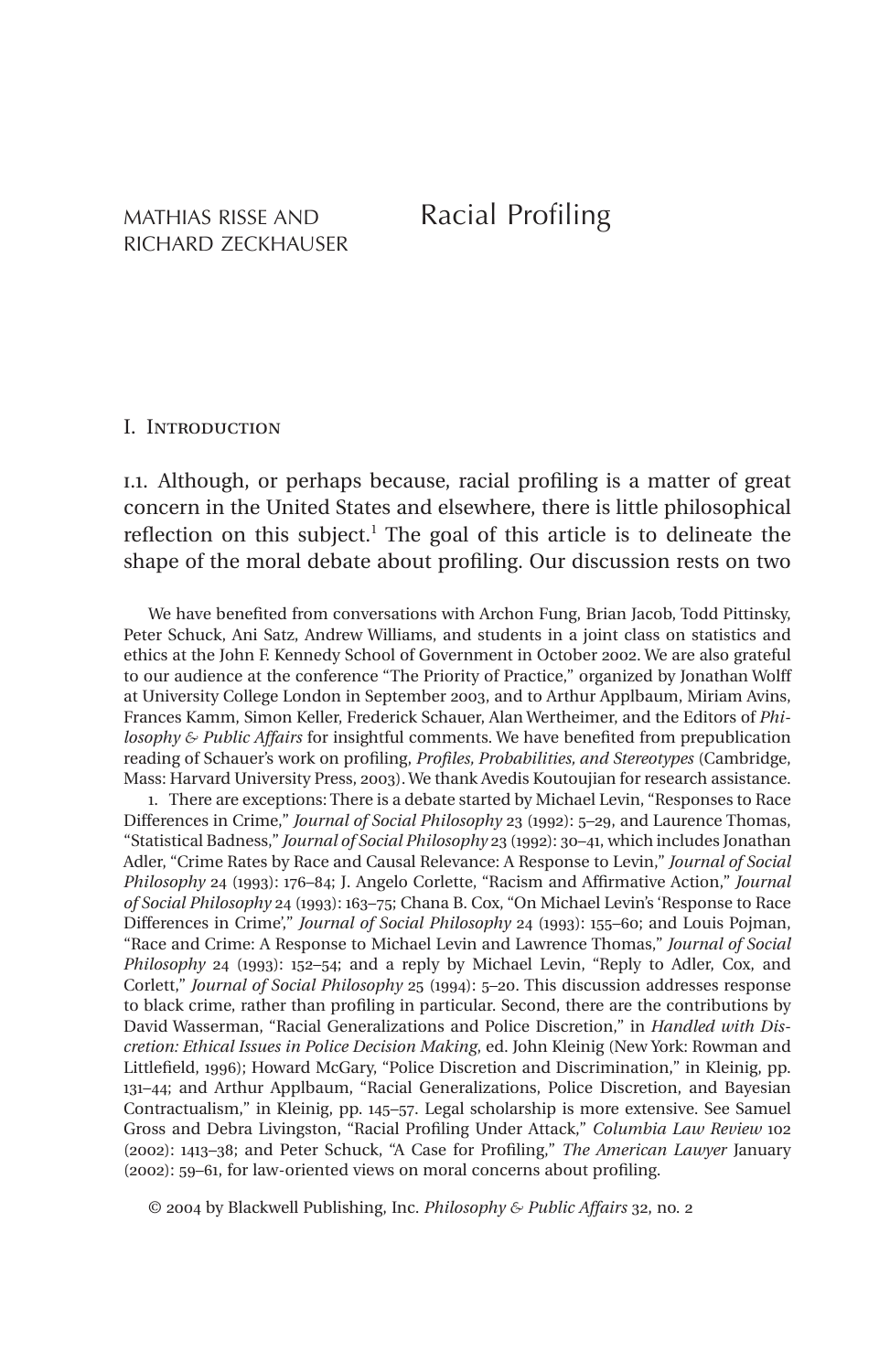#### I. Introduction

i.1. Although, or perhaps because, racial profiling is a matter of great concern in the United States and elsewhere, there is little philosophical reflection on this subject.<sup>1</sup> The goal of this article is to delineate the shape of the moral debate about profiling. Our discussion rests on two

We have benefited from conversations with Archon Fung, Brian Jacob, Todd Pittinsky, Peter Schuck, Ani Satz, Andrew Williams, and students in a joint class on statistics and ethics at the John F. Kennedy School of Government in October 2002. We are also grateful to our audience at the conference "The Priority of Practice," organized by Jonathan Wolff at University College London in September 2003, and to Arthur Applbaum, Miriam Avins, Frances Kamm, Simon Keller, Frederick Schauer, Alan Wertheimer, and the Editors of *Philosophy & Public Affairs* for insightful comments. We have benefited from prepublication reading of Schauer's work on profiling, *Profiles, Probabilities, and Stereotypes* (Cambridge, Mass: Harvard University Press, 2003). We thank Avedis Koutoujian for research assistance.

1. There are exceptions: There is a debate started by Michael Levin, "Responses to Race Differences in Crime," *Journal of Social Philosophy* 23 (1992): 5–29, and Laurence Thomas, "Statistical Badness," *Journal of Social Philosophy* 23 (1992): 30–41, which includes Jonathan Adler, "Crime Rates by Race and Causal Relevance: A Response to Levin," *Journal of Social Philosophy* 24 (1993): 176–84; J. Angelo Corlette, "Racism and Affirmative Action," *Journal of Social Philosophy* 24 (1993): 163–75; Chana B. Cox, "On Michael Levin's 'Response to Race Differences in Crime'," *Journal of Social Philosophy* 24 (1993): 155–60; and Louis Pojman, "Race and Crime: A Response to Michael Levin and Lawrence Thomas," *Journal of Social Philosophy* 24 (1993): 152–54; and a reply by Michael Levin, "Reply to Adler, Cox, and Corlett," *Journal of Social Philosophy* 25 (1994): 5–20. This discussion addresses response to black crime, rather than profiling in particular. Second, there are the contributions by David Wasserman, "Racial Generalizations and Police Discretion," in *Handled with Discretion: Ethical Issues in Police Decision Making*, ed. John Kleinig (New York: Rowman and Littlefield, 1996); Howard McGary, "Police Discretion and Discrimination," in Kleinig, pp. 131–44; and Arthur Applbaum, "Racial Generalizations, Police Discretion, and Bayesian Contractualism," in Kleinig, pp. 145–57. Legal scholarship is more extensive. See Samuel Gross and Debra Livingston, "Racial Profiling Under Attack," *Columbia Law Review* 102 (2002): 1413–38; and Peter Schuck, "A Case for Profiling," *The American Lawyer* January (2002): 59–61, for law-oriented views on moral concerns about profiling.

© 2004 by Blackwell Publishing, Inc. *Philosophy & Public Affairs* 32, no. 2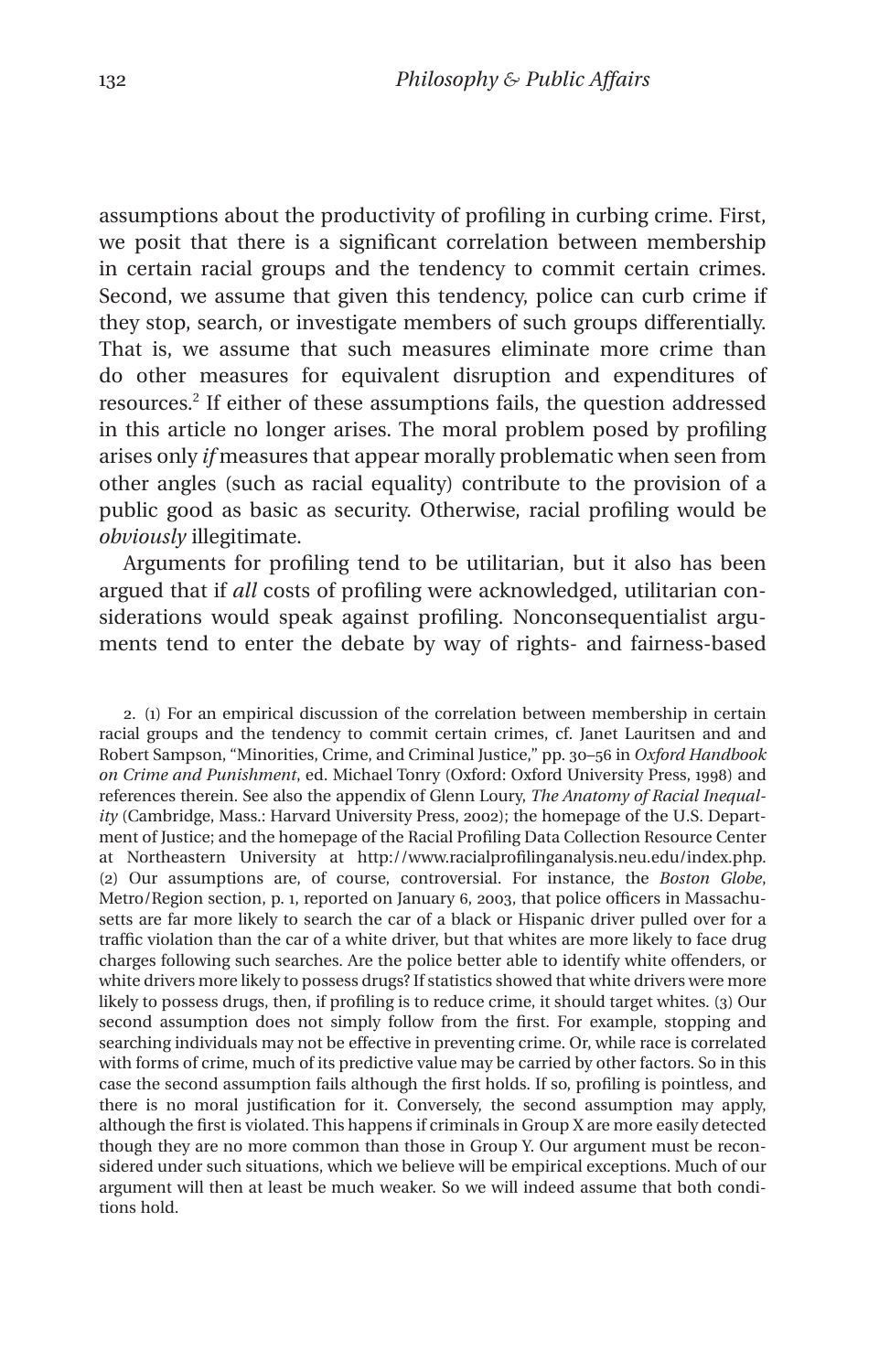assumptions about the productivity of profiling in curbing crime. First, we posit that there is a significant correlation between membership in certain racial groups and the tendency to commit certain crimes. Second, we assume that given this tendency, police can curb crime if they stop, search, or investigate members of such groups differentially. That is, we assume that such measures eliminate more crime than do other measures for equivalent disruption and expenditures of resources.2 If either of these assumptions fails, the question addressed in this article no longer arises. The moral problem posed by profiling arises only *if* measures that appear morally problematic when seen from other angles (such as racial equality) contribute to the provision of a public good as basic as security. Otherwise, racial profiling would be *obviously* illegitimate.

Arguments for profiling tend to be utilitarian, but it also has been argued that if *all* costs of profiling were acknowledged, utilitarian considerations would speak against profiling. Nonconsequentialist arguments tend to enter the debate by way of rights- and fairness-based

2. (1) For an empirical discussion of the correlation between membership in certain racial groups and the tendency to commit certain crimes, cf. Janet Lauritsen and and Robert Sampson, "Minorities, Crime, and Criminal Justice," pp. 30–56 in *Oxford Handbook on Crime and Punishment*, ed. Michael Tonry (Oxford: Oxford University Press, 1998) and references therein. See also the appendix of Glenn Loury, *The Anatomy of Racial Inequality* (Cambridge, Mass.: Harvard University Press, 2002); the homepage of the U.S. Department of Justice; and the homepage of the Racial Profiling Data Collection Resource Center at Northeastern University at [http://www.racialprofilinganalysis.neu.edu/index.php.](http://www.racialprofilinganalysis.neu.edu/index.php)  (2) Our assumptions are, of course, controversial. For instance, the *Boston Globe*, Metro/Region section, p. 1, reported on January 6, 2003, that police officers in Massachusetts are far more likely to search the car of a black or Hispanic driver pulled over for a traffic violation than the car of a white driver, but that whites are more likely to face drug charges following such searches. Are the police better able to identify white offenders, or white drivers more likely to possess drugs? If statistics showed that white drivers were more likely to possess drugs, then, if profiling is to reduce crime, it should target whites. (3) Our second assumption does not simply follow from the first. For example, stopping and searching individuals may not be effective in preventing crime. Or, while race is correlated with forms of crime, much of its predictive value may be carried by other factors. So in this case the second assumption fails although the first holds. If so, profiling is pointless, and there is no moral justification for it. Conversely, the second assumption may apply, although the first is violated. This happens if criminals in Group X are more easily detected though they are no more common than those in Group Y. Our argument must be reconsidered under such situations, which we believe will be empirical exceptions. Much of our argument will then at least be much weaker. So we will indeed assume that both conditions hold.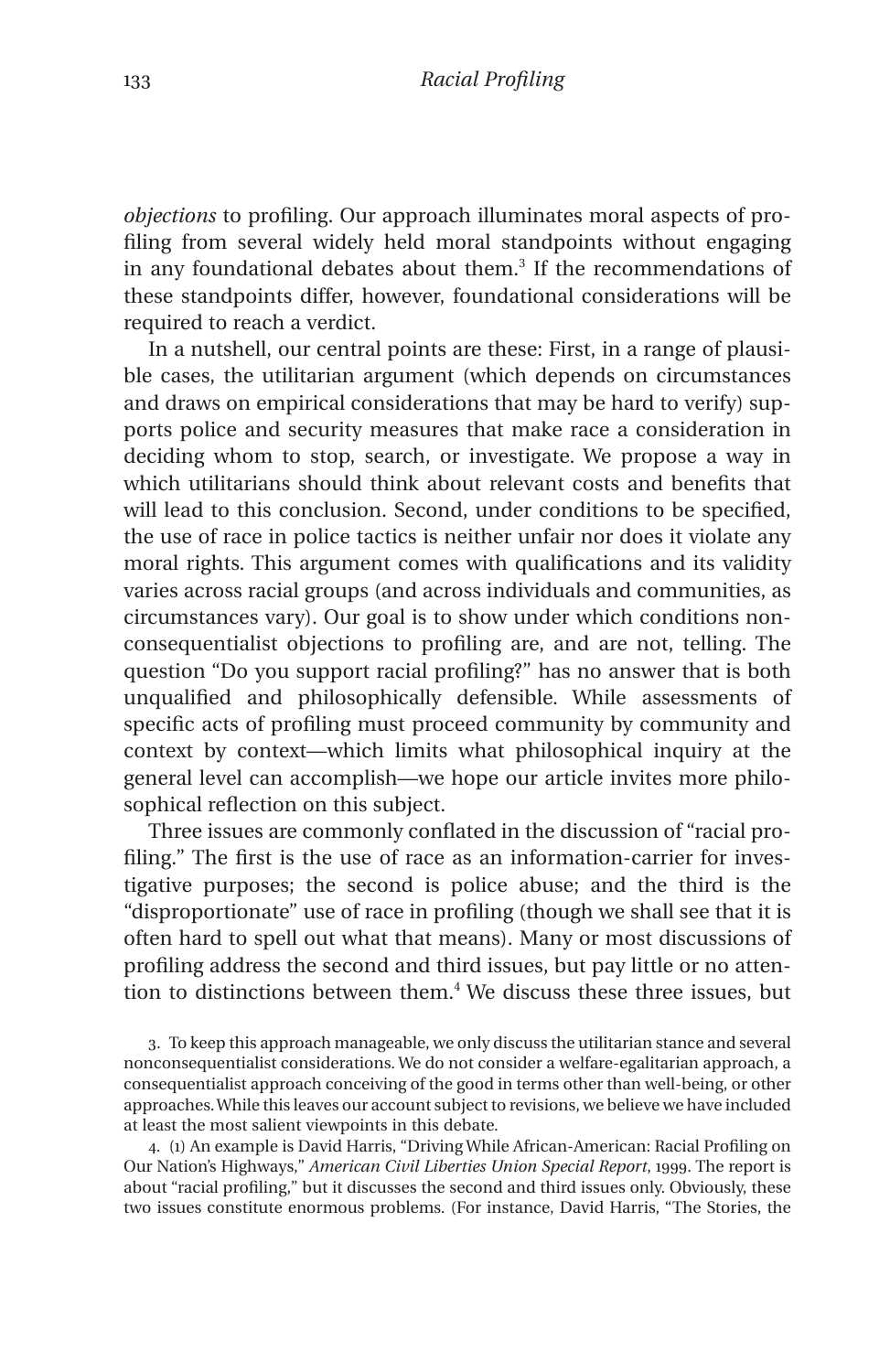*objections* to profiling. Our approach illuminates moral aspects of profiling from several widely held moral standpoints without engaging in any foundational debates about them.<sup>3</sup> If the recommendations of these standpoints differ, however, foundational considerations will be required to reach a verdict.

In a nutshell, our central points are these: First, in a range of plausible cases, the utilitarian argument (which depends on circumstances and draws on empirical considerations that may be hard to verify) supports police and security measures that make race a consideration in deciding whom to stop, search, or investigate. We propose a way in which utilitarians should think about relevant costs and benefits that will lead to this conclusion. Second, under conditions to be specified, the use of race in police tactics is neither unfair nor does it violate any moral rights. This argument comes with qualifications and its validity varies across racial groups (and across individuals and communities, as circumstances vary). Our goal is to show under which conditions nonconsequentialist objections to profiling are, and are not, telling. The question "Do you support racial profiling?" has no answer that is both unqualified and philosophically defensible. While assessments of specific acts of profiling must proceed community by community and context by context—which limits what philosophical inquiry at the general level can accomplish—we hope our article invites more philosophical reflection on this subject.

Three issues are commonly conflated in the discussion of "racial profiling." The first is the use of race as an information-carrier for investigative purposes; the second is police abuse; and the third is the "disproportionate" use of race in profiling (though we shall see that it is often hard to spell out what that means). Many or most discussions of profiling address the second and third issues, but pay little or no attention to distinctions between them.4 We discuss these three issues, but

3. To keep this approach manageable, we only discuss the utilitarian stance and several nonconsequentialist considerations. We do not consider a welfare-egalitarian approach, a consequentialist approach conceiving of the good in terms other than well-being, or other approaches. While this leaves our account subject to revisions, we believe we have included at least the most salient viewpoints in this debate.

4. (1) An example is David Harris, "Driving While African-American: Racial Profiling on Our Nation's Highways," *American Civil Liberties Union Special Report*, 1999. The report is about "racial profiling," but it discusses the second and third issues only. Obviously, these two issues constitute enormous problems. (For instance, David Harris, "The Stories, the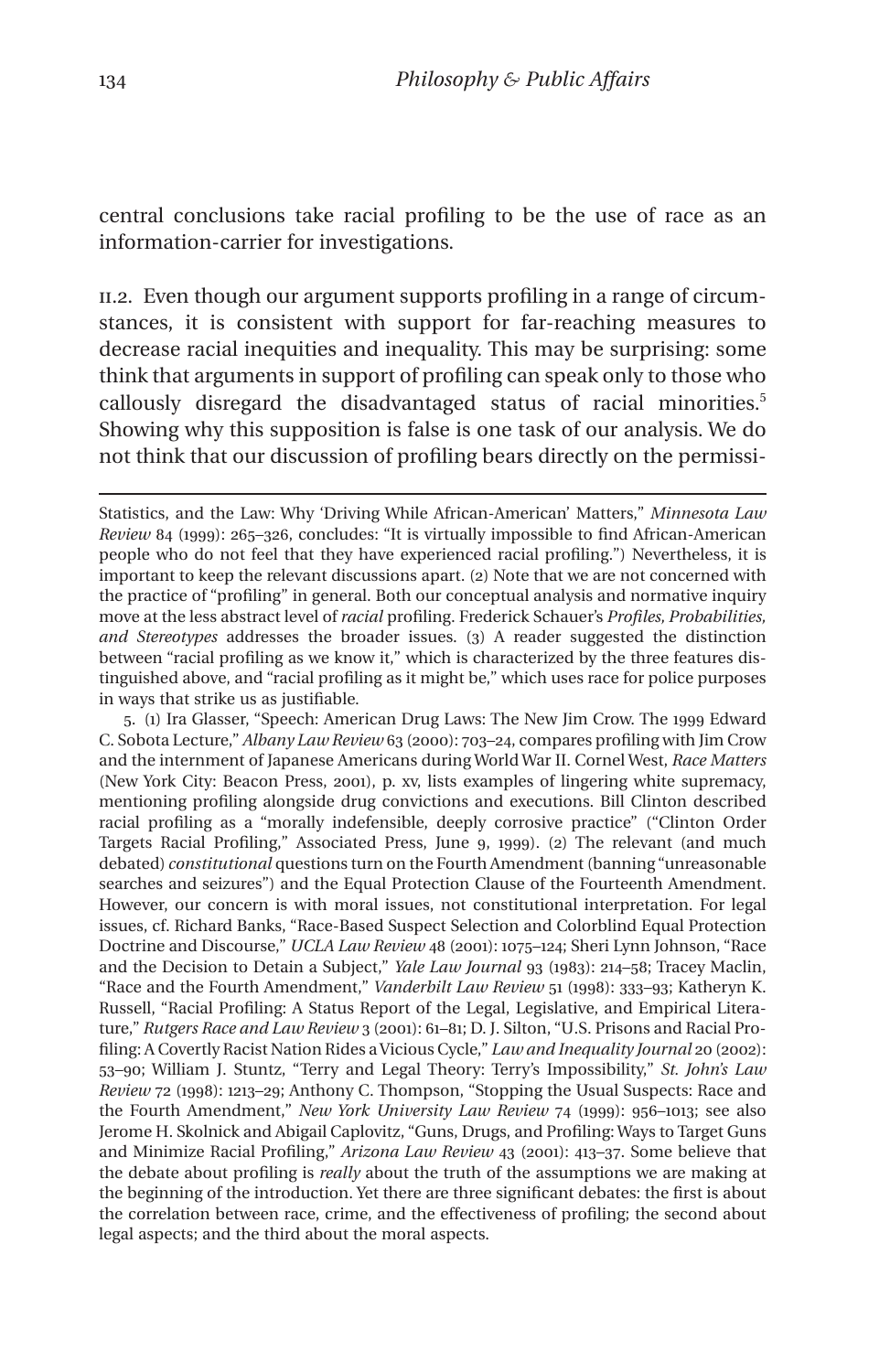central conclusions take racial profiling to be the use of race as an information-carrier for investigations.

II.2. Even though our argument supports profiling in a range of circumstances, it is consistent with support for far-reaching measures to decrease racial inequities and inequality. This may be surprising: some think that arguments in support of profiling can speak only to those who callously disregard the disadvantaged status of racial minorities.<sup>5</sup> Showing why this supposition is false is one task of our analysis. We do not think that our discussion of profiling bears directly on the permissi-

5. (1) Ira Glasser, "Speech: American Drug Laws: The New Jim Crow. The 1999 Edward C. Sobota Lecture," *Albany Law Review* 63 (2000): 703–24, compares profiling with Jim Crow and the internment of Japanese Americans during World War II. Cornel West, *Race Matters* (New York City: Beacon Press, 2001), p. xv, lists examples of lingering white supremacy, mentioning profiling alongside drug convictions and executions. Bill Clinton described racial profiling as a "morally indefensible, deeply corrosive practice" ("Clinton Order Targets Racial Profiling," Associated Press, June 9, 1999). (2) The relevant (and much debated) *constitutional* questions turn on the Fourth Amendment (banning "unreasonable searches and seizures") and the Equal Protection Clause of the Fourteenth Amendment. However, our concern is with moral issues, not constitutional interpretation. For legal issues, cf. Richard Banks, "Race-Based Suspect Selection and Colorblind Equal Protection Doctrine and Discourse," *UCLA Law Review* 48 (2001): 1075–124; Sheri Lynn Johnson, "Race and the Decision to Detain a Subject," *Yale Law Journal* 93 (1983): 214–58; Tracey Maclin, "Race and the Fourth Amendment," *Vanderbilt Law Review* 51 (1998): 333–93; Katheryn K. Russell, "Racial Profiling: A Status Report of the Legal, Legislative, and Empirical Literature," *Rutgers Race and Law Review* 3 (2001): 61–81; D. J. Silton, "U.S. Prisons and Racial Profiling: A Covertly Racist Nation Rides a Vicious Cycle," *Law and Inequality Journal* 20 (2002): 53–90; William J. Stuntz, "Terry and Legal Theory: Terry's Impossibility," *St. John's Law Review* 72 (1998): 1213–29; Anthony C. Thompson, "Stopping the Usual Suspects: Race and the Fourth Amendment," *New York University Law Review* 74 (1999): 956–1013; see also Jerome H. Skolnick and Abigail Caplovitz, "Guns, Drugs, and Profiling: Ways to Target Guns and Minimize Racial Profiling," *Arizona Law Review* 43 (2001): 413–37. Some believe that the debate about profiling is *really* about the truth of the assumptions we are making at the beginning of the introduction. Yet there are three significant debates: the first is about the correlation between race, crime, and the effectiveness of profiling; the second about legal aspects; and the third about the moral aspects.

Statistics, and the Law: Why 'Driving While African-American' Matters," *Minnesota Law Review* 84 (1999): 265–326, concludes: "It is virtually impossible to find African-American people who do not feel that they have experienced racial profiling.") Nevertheless, it is important to keep the relevant discussions apart. (2) Note that we are not concerned with the practice of "profiling" in general. Both our conceptual analysis and normative inquiry move at the less abstract level of *racial* profiling. Frederick Schauer's *Profiles, Probabilities, and Stereotypes* addresses the broader issues. (3) A reader suggested the distinction between "racial profiling as we know it," which is characterized by the three features distinguished above, and "racial profiling as it might be," which uses race for police purposes in ways that strike us as justifiable.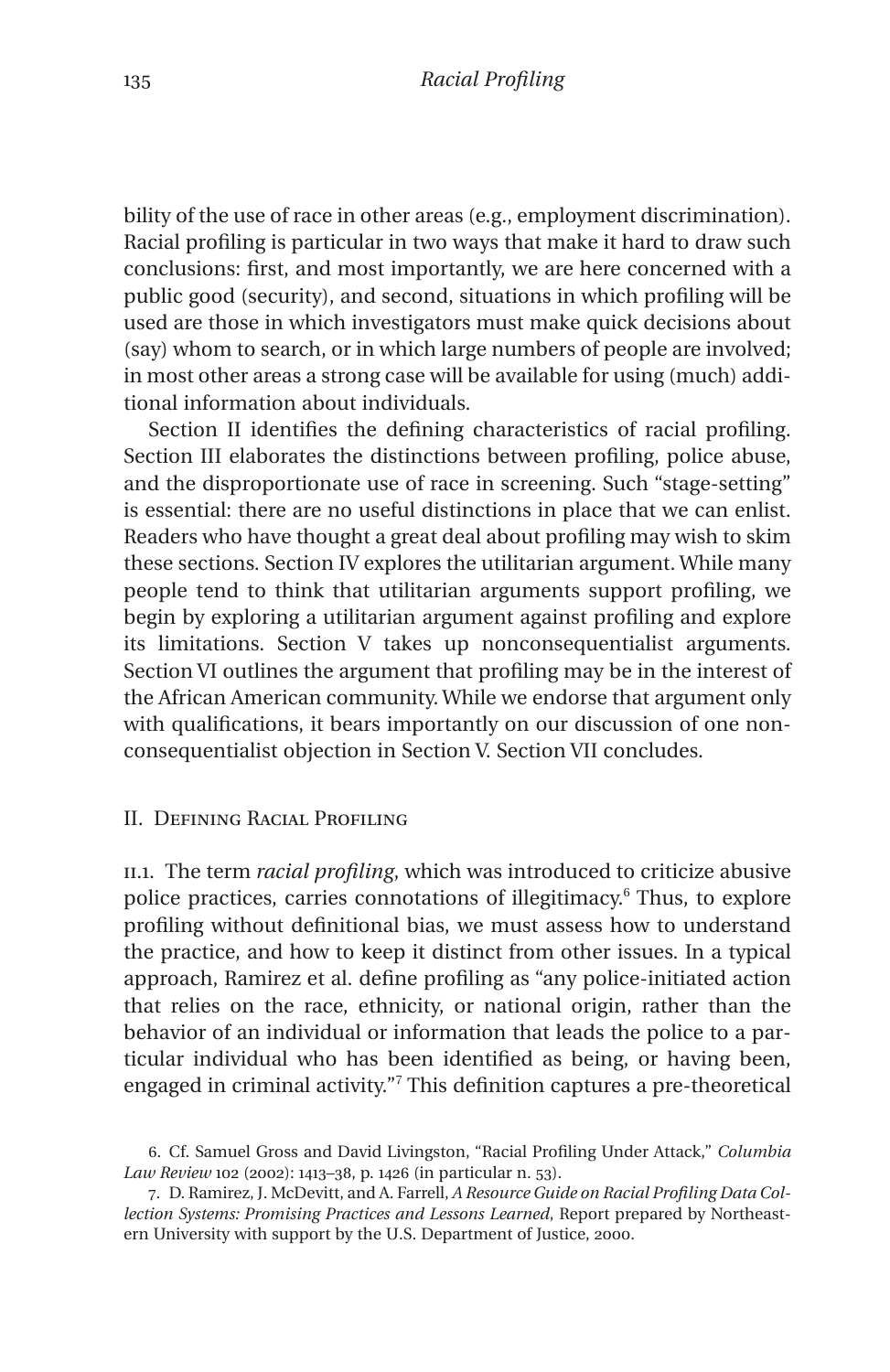bility of the use of race in other areas (e.g., employment discrimination). Racial profiling is particular in two ways that make it hard to draw such conclusions: first, and most importantly, we are here concerned with a public good (security), and second, situations in which profiling will be used are those in which investigators must make quick decisions about (say) whom to search, or in which large numbers of people are involved; in most other areas a strong case will be available for using (much) additional information about individuals.

Section II identifies the defining characteristics of racial profiling. Section III elaborates the distinctions between profiling, police abuse, and the disproportionate use of race in screening. Such "stage-setting" is essential: there are no useful distinctions in place that we can enlist. Readers who have thought a great deal about profiling may wish to skim these sections. Section IV explores the utilitarian argument. While many people tend to think that utilitarian arguments support profiling, we begin by exploring a utilitarian argument against profiling and explore its limitations. Section V takes up nonconsequentialist arguments. Section VI outlines the argument that profiling may be in the interest of the African American community. While we endorse that argument only with qualifications, it bears importantly on our discussion of one nonconsequentialist objection in Section V. Section VII concludes.

# II. Defining Racial Profiling

II.1. The term *racial profiling*, which was introduced to criticize abusive police practices, carries connotations of illegitimacy.6 Thus, to explore profiling without definitional bias, we must assess how to understand the practice, and how to keep it distinct from other issues. In a typical approach, Ramirez et al. define profiling as "any police-initiated action that relies on the race, ethnicity, or national origin, rather than the behavior of an individual or information that leads the police to a particular individual who has been identified as being, or having been, engaged in criminal activity."7 This definition captures a pre-theoretical

<sup>6</sup>. Cf. Samuel Gross and David Livingston, "Racial Profiling Under Attack," *Columbia Law Review* 102 (2002): 1413–38, p. 1426 (in particular n. 53).

<sup>7</sup>. D. Ramirez, J. McDevitt, and A. Farrell, *A Resource Guide on Racial Profiling Data Collection Systems: Promising Practices and Lessons Learned*, Report prepared by Northeastern University with support by the U.S. Department of Justice, 2000.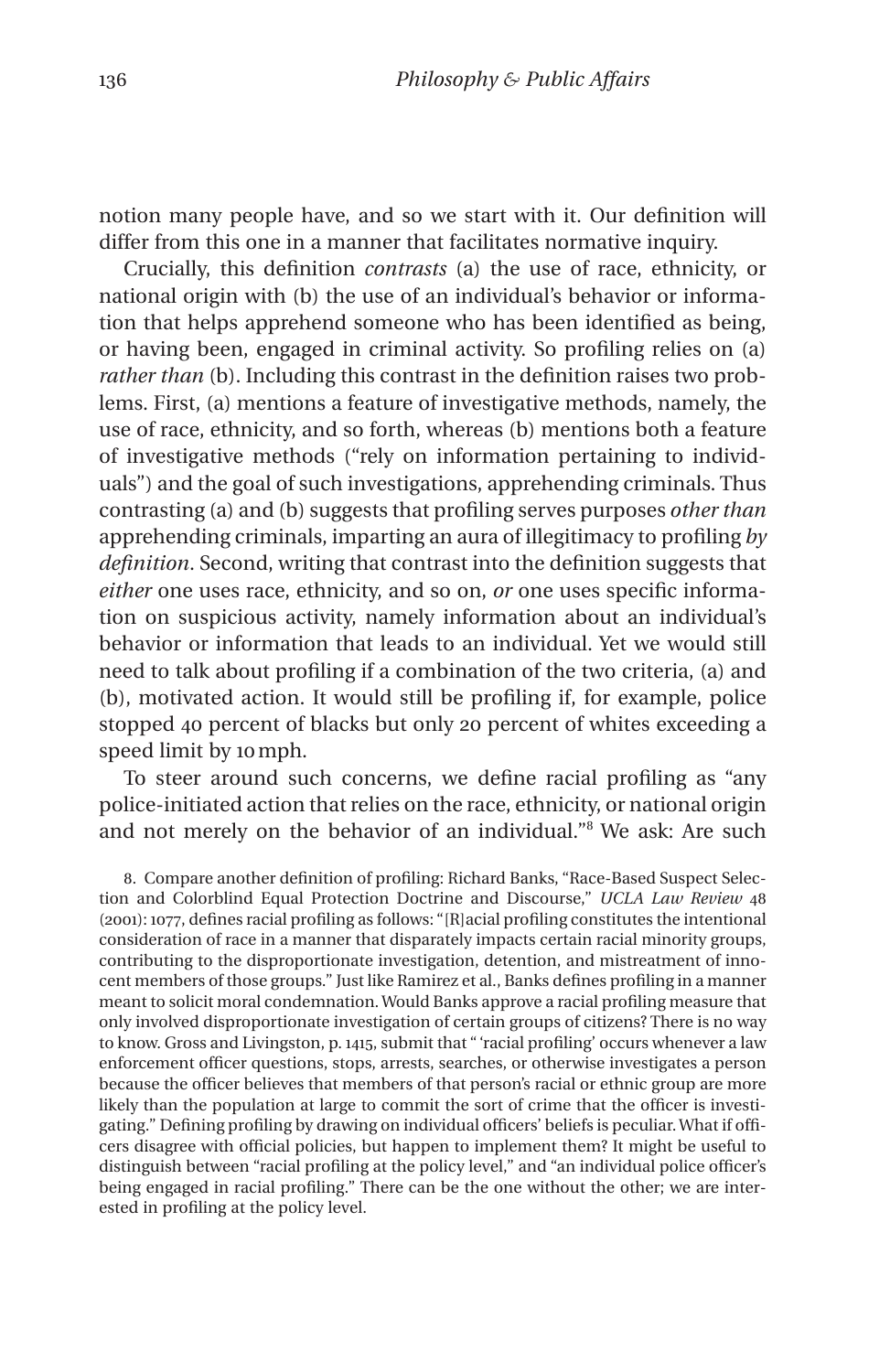notion many people have, and so we start with it. Our definition will differ from this one in a manner that facilitates normative inquiry.

Crucially, this definition *contrasts* (a) the use of race, ethnicity, or national origin with (b) the use of an individual's behavior or information that helps apprehend someone who has been identified as being, or having been, engaged in criminal activity. So profiling relies on (a) *rather than* (b). Including this contrast in the definition raises two problems. First, (a) mentions a feature of investigative methods, namely, the use of race, ethnicity, and so forth, whereas (b) mentions both a feature of investigative methods ("rely on information pertaining to individuals") and the goal of such investigations, apprehending criminals. Thus contrasting (a) and (b) suggests that profiling serves purposes *other than* apprehending criminals, imparting an aura of illegitimacy to profiling *by definition*. Second, writing that contrast into the definition suggests that *either* one uses race, ethnicity, and so on, *or* one uses specific information on suspicious activity, namely information about an individual's behavior or information that leads to an individual. Yet we would still need to talk about profiling if a combination of the two criteria, (a) and (b), motivated action. It would still be profiling if, for example, police stopped 40 percent of blacks but only 20 percent of whites exceeding a speed limit by 10mph.

To steer around such concerns, we define racial profiling as "any police-initiated action that relies on the race, ethnicity, or national origin and not merely on the behavior of an individual."8 We ask: Are such

8. Compare another definition of profiling: Richard Banks, "Race-Based Suspect Selection and Colorblind Equal Protection Doctrine and Discourse," *UCLA Law Review* 48 (2001): 1077, defines racial profiling as follows: "[R]acial profiling constitutes the intentional consideration of race in a manner that disparately impacts certain racial minority groups, contributing to the disproportionate investigation, detention, and mistreatment of innocent members of those groups." Just like Ramirez et al., Banks defines profiling in a manner meant to solicit moral condemnation. Would Banks approve a racial profiling measure that only involved disproportionate investigation of certain groups of citizens? There is no way to know. Gross and Livingston, p. 1415, submit that " 'racial profiling' occurs whenever a law enforcement officer questions, stops, arrests, searches, or otherwise investigates a person because the officer believes that members of that person's racial or ethnic group are more likely than the population at large to commit the sort of crime that the officer is investigating." Defining profiling by drawing on individual officers' beliefs is peculiar. What if officers disagree with official policies, but happen to implement them? It might be useful to distinguish between "racial profiling at the policy level," and "an individual police officer's being engaged in racial profiling." There can be the one without the other; we are interested in profiling at the policy level.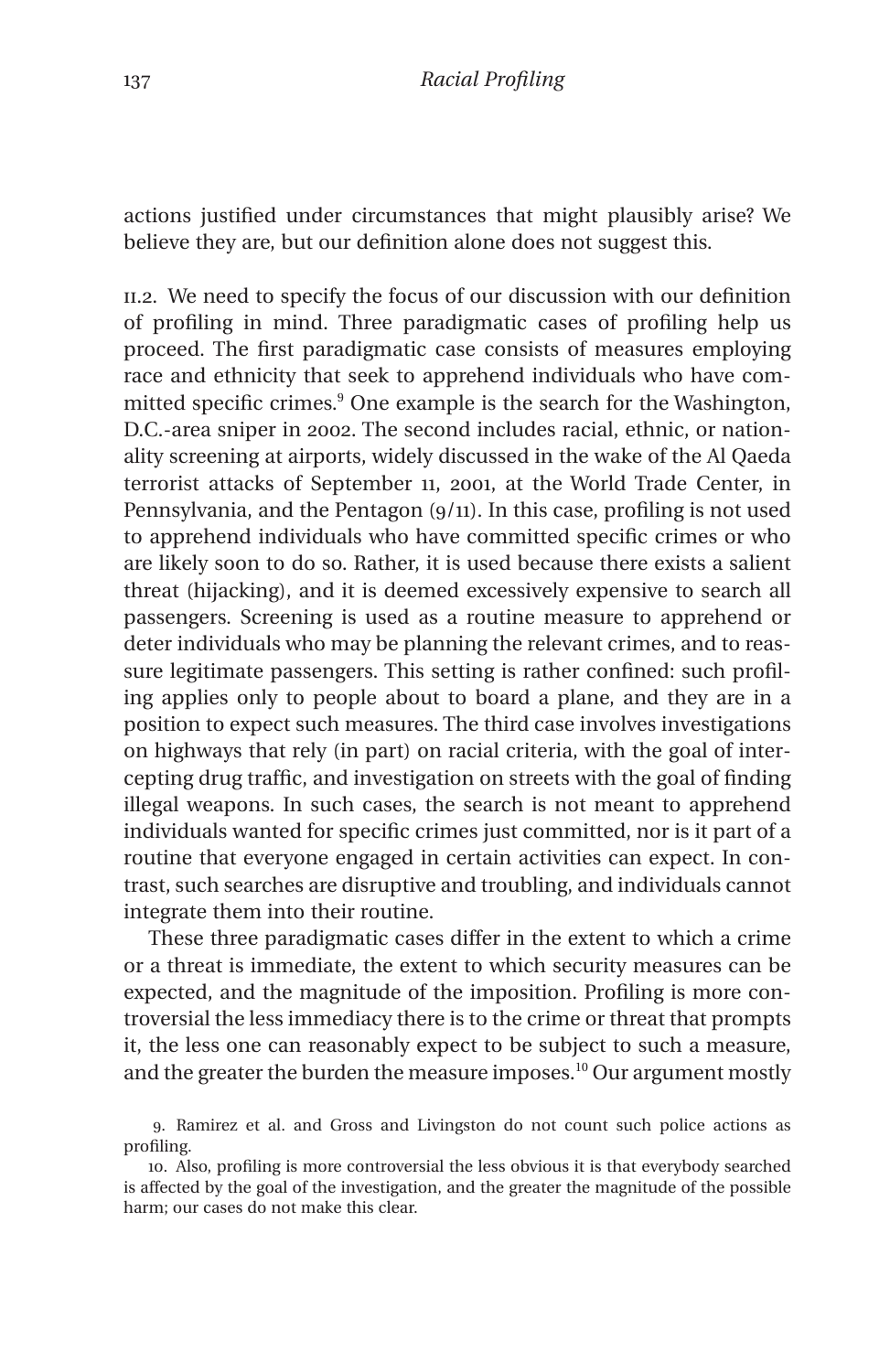actions justified under circumstances that might plausibly arise? We believe they are, but our definition alone does not suggest this.

II.2. We need to specify the focus of our discussion with our definition of profiling in mind. Three paradigmatic cases of profiling help us proceed. The first paradigmatic case consists of measures employing race and ethnicity that seek to apprehend individuals who have committed specific crimes.<sup>9</sup> One example is the search for the Washington, D.C.-area sniper in 2002. The second includes racial, ethnic, or nationality screening at airports, widely discussed in the wake of the Al Qaeda terrorist attacks of September 11, 2001, at the World Trade Center, in Pennsylvania, and the Pentagon (9/11). In this case, profiling is not used to apprehend individuals who have committed specific crimes or who are likely soon to do so. Rather, it is used because there exists a salient threat (hijacking), and it is deemed excessively expensive to search all passengers. Screening is used as a routine measure to apprehend or deter individuals who may be planning the relevant crimes, and to reassure legitimate passengers. This setting is rather confined: such profiling applies only to people about to board a plane, and they are in a position to expect such measures. The third case involves investigations on highways that rely (in part) on racial criteria, with the goal of intercepting drug traffic, and investigation on streets with the goal of finding illegal weapons. In such cases, the search is not meant to apprehend individuals wanted for specific crimes just committed, nor is it part of a routine that everyone engaged in certain activities can expect. In contrast, such searches are disruptive and troubling, and individuals cannot integrate them into their routine.

These three paradigmatic cases differ in the extent to which a crime or a threat is immediate, the extent to which security measures can be expected, and the magnitude of the imposition. Profiling is more controversial the less immediacy there is to the crime or threat that prompts it, the less one can reasonably expect to be subject to such a measure, and the greater the burden the measure imposes.<sup>10</sup> Our argument mostly

<sup>9</sup>. Ramirez et al. and Gross and Livingston do not count such police actions as profiling.

<sup>10</sup>. Also, profiling is more controversial the less obvious it is that everybody searched is affected by the goal of the investigation, and the greater the magnitude of the possible harm; our cases do not make this clear.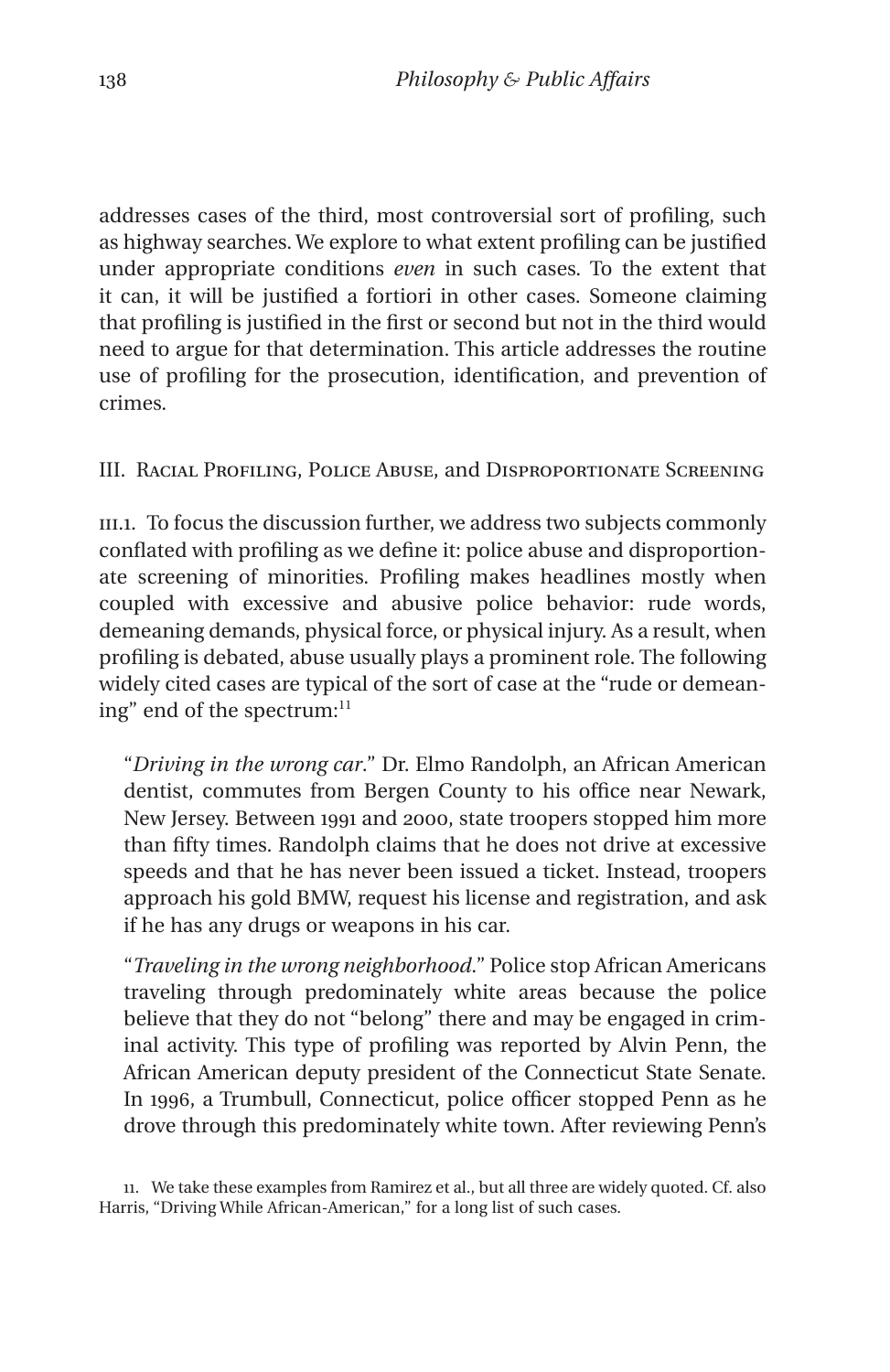addresses cases of the third, most controversial sort of profiling, such as highway searches. We explore to what extent profiling can be justified under appropriate conditions *even* in such cases. To the extent that it can, it will be justified a fortiori in other cases. Someone claiming that profiling is justified in the first or second but not in the third would need to argue for that determination. This article addresses the routine use of profiling for the prosecution, identification, and prevention of crimes.

III. Racial Profiling, Police Abuse, and Disproportionate Screening

iii.1. To focus the discussion further, we address two subjects commonly conflated with profiling as we define it: police abuse and disproportionate screening of minorities. Profiling makes headlines mostly when coupled with excessive and abusive police behavior: rude words, demeaning demands, physical force, or physical injury. As a result, when profiling is debated, abuse usually plays a prominent role. The following widely cited cases are typical of the sort of case at the "rude or demeaning" end of the spectrum:<sup>11</sup>

"*Driving in the wrong car*." Dr. Elmo Randolph, an African American dentist, commutes from Bergen County to his office near Newark, New Jersey. Between 1991 and 2000, state troopers stopped him more than fifty times. Randolph claims that he does not drive at excessive speeds and that he has never been issued a ticket. Instead, troopers approach his gold BMW, request his license and registration, and ask if he has any drugs or weapons in his car.

"*Traveling in the wrong neighborhood*." Police stop African Americans traveling through predominately white areas because the police believe that they do not "belong" there and may be engaged in criminal activity. This type of profiling was reported by Alvin Penn, the African American deputy president of the Connecticut State Senate. In 1996, a Trumbull, Connecticut, police officer stopped Penn as he drove through this predominately white town. After reviewing Penn's

11. We take these examples from Ramirez et al., but all three are widely quoted. Cf. also Harris, "Driving While African-American," for a long list of such cases.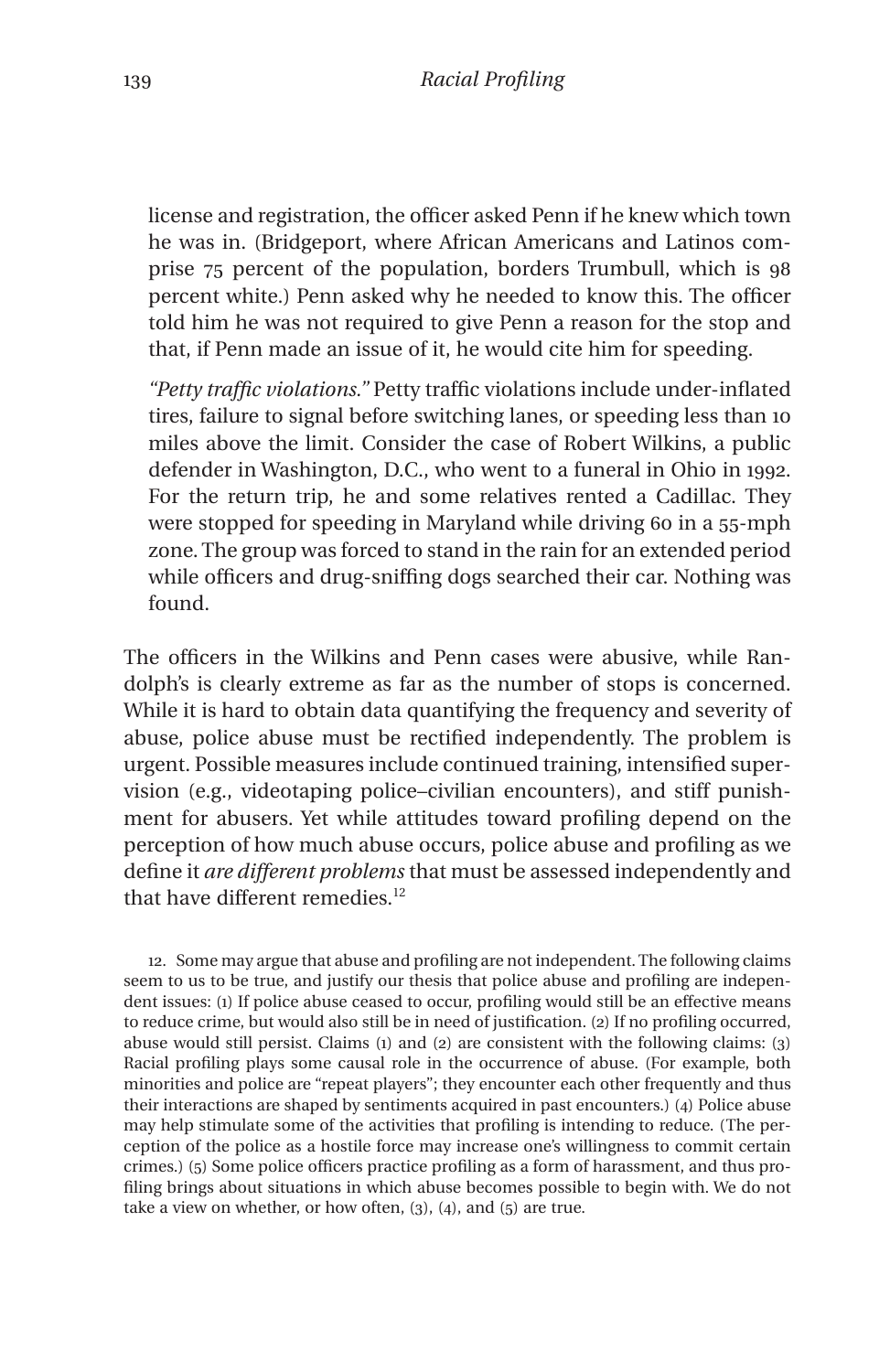license and registration, the officer asked Penn if he knew which town he was in. (Bridgeport, where African Americans and Latinos comprise 75 percent of the population, borders Trumbull, which is 98 percent white.) Penn asked why he needed to know this. The officer told him he was not required to give Penn a reason for the stop and that, if Penn made an issue of it, he would cite him for speeding.

*"Petty traffic violations."* Petty traffic violations include under-inflated tires, failure to signal before switching lanes, or speeding less than 10 miles above the limit. Consider the case of Robert Wilkins, a public defender in Washington, D.C., who went to a funeral in Ohio in 1992. For the return trip, he and some relatives rented a Cadillac. They were stopped for speeding in Maryland while driving 60 in a 55-mph zone. The group was forced to stand in the rain for an extended period while officers and drug-sniffing dogs searched their car. Nothing was found.

The officers in the Wilkins and Penn cases were abusive, while Randolph's is clearly extreme as far as the number of stops is concerned. While it is hard to obtain data quantifying the frequency and severity of abuse, police abuse must be rectified independently. The problem is urgent. Possible measures include continued training, intensified supervision (e.g., videotaping police–civilian encounters), and stiff punishment for abusers. Yet while attitudes toward profiling depend on the perception of how much abuse occurs, police abuse and profiling as we define it *are different problems* that must be assessed independently and that have different remedies. $12$ 

12. Some may argue that abuse and profiling are not independent. The following claims seem to us to be true, and justify our thesis that police abuse and profiling are independent issues: (1) If police abuse ceased to occur, profiling would still be an effective means to reduce crime, but would also still be in need of justification. (2) If no profiling occurred, abuse would still persist. Claims (1) and (2) are consistent with the following claims: (3) Racial profiling plays some causal role in the occurrence of abuse. (For example, both minorities and police are "repeat players"; they encounter each other frequently and thus their interactions are shaped by sentiments acquired in past encounters.) (4) Police abuse may help stimulate some of the activities that profiling is intending to reduce. (The perception of the police as a hostile force may increase one's willingness to commit certain crimes.) (5) Some police officers practice profiling as a form of harassment, and thus profiling brings about situations in which abuse becomes possible to begin with. We do not take a view on whether, or how often, (3), (4), and (5) are true.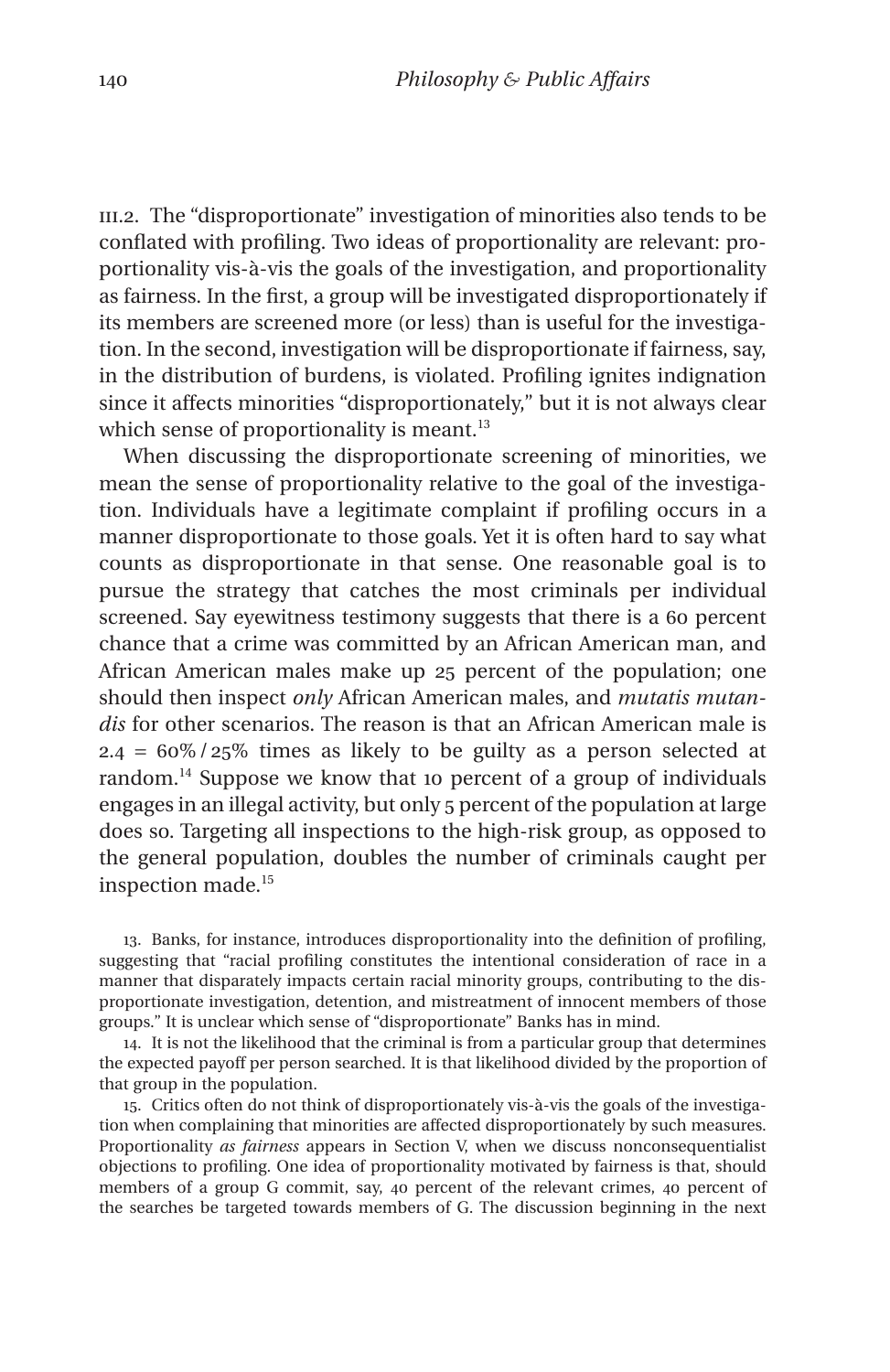III.2. The "disproportionate" investigation of minorities also tends to be conflated with profiling. Two ideas of proportionality are relevant: proportionality vis-à-vis the goals of the investigation, and proportionality as fairness. In the first, a group will be investigated disproportionately if its members are screened more (or less) than is useful for the investigation. In the second, investigation will be disproportionate if fairness, say, in the distribution of burdens, is violated. Profiling ignites indignation since it affects minorities "disproportionately," but it is not always clear which sense of proportionality is meant.<sup>13</sup>

When discussing the disproportionate screening of minorities, we mean the sense of proportionality relative to the goal of the investigation. Individuals have a legitimate complaint if profiling occurs in a manner disproportionate to those goals. Yet it is often hard to say what counts as disproportionate in that sense. One reasonable goal is to pursue the strategy that catches the most criminals per individual screened. Say eyewitness testimony suggests that there is a 60 percent chance that a crime was committed by an African American man, and African American males make up 25 percent of the population; one should then inspect *only* African American males, and *mutatis mutandis* for other scenarios. The reason is that an African American male is  $2.4 = 60\% / 25\%$  times as likely to be guilty as a person selected at random.<sup>14</sup> Suppose we know that 10 percent of a group of individuals engages in an illegal activity, but only 5 percent of the population at large does so. Targeting all inspections to the high-risk group, as opposed to the general population, doubles the number of criminals caught per inspection made.<sup>15</sup>

13. Banks, for instance, introduces disproportionality into the definition of profiling, suggesting that "racial profiling constitutes the intentional consideration of race in a manner that disparately impacts certain racial minority groups, contributing to the disproportionate investigation, detention, and mistreatment of innocent members of those groups." It is unclear which sense of "disproportionate" Banks has in mind.

14. It is not the likelihood that the criminal is from a particular group that determines the expected payoff per person searched. It is that likelihood divided by the proportion of that group in the population.

15. Critics often do not think of disproportionately vis-à-vis the goals of the investigation when complaining that minorities are affected disproportionately by such measures. Proportionality *as fairness* appears in Section V, when we discuss nonconsequentialist objections to profiling. One idea of proportionality motivated by fairness is that, should members of a group G commit, say, 40 percent of the relevant crimes, 40 percent of the searches be targeted towards members of G. The discussion beginning in the next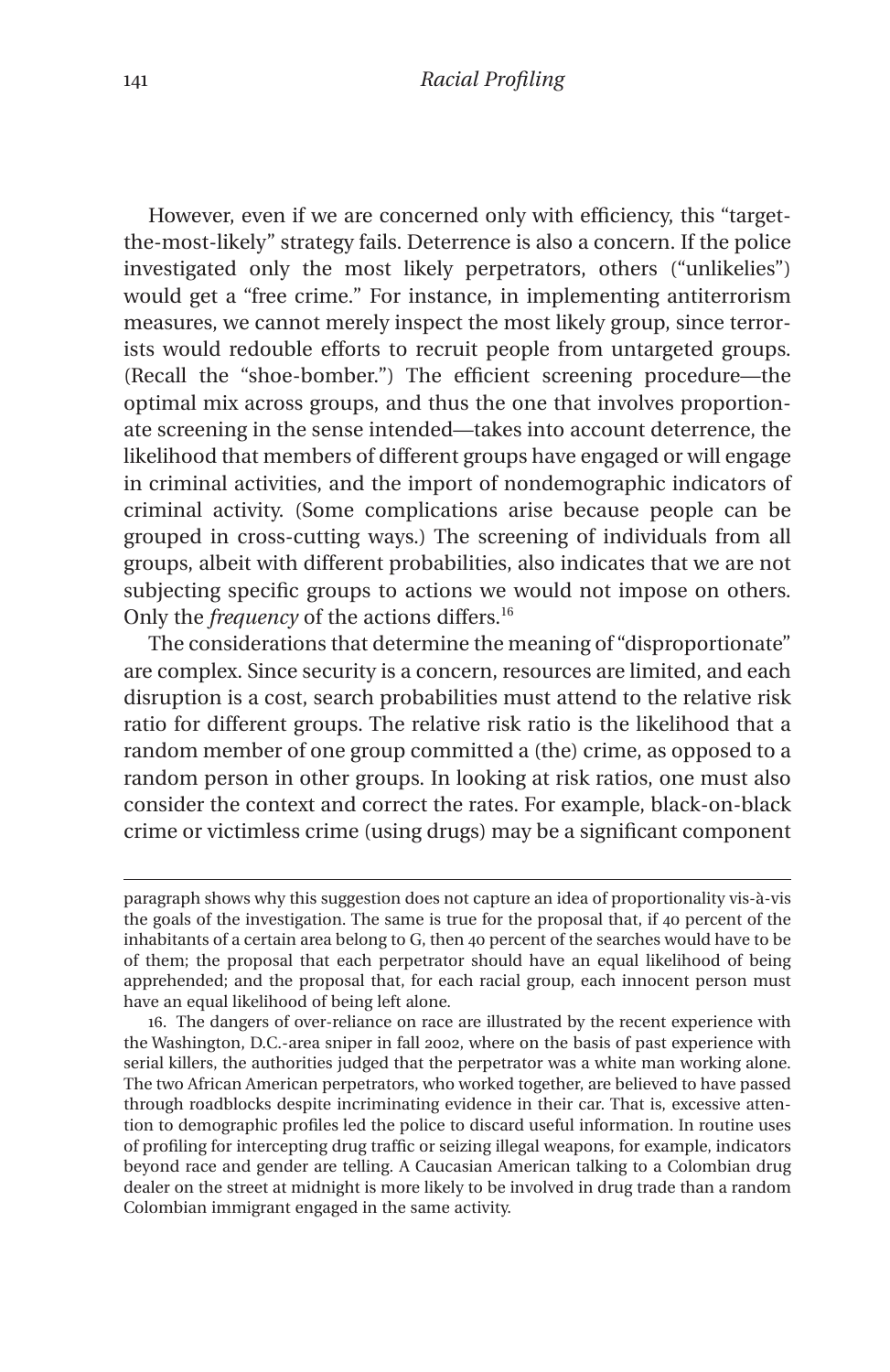However, even if we are concerned only with efficiency, this "targetthe-most-likely" strategy fails. Deterrence is also a concern. If the police investigated only the most likely perpetrators, others ("unlikelies") would get a "free crime." For instance, in implementing antiterrorism measures, we cannot merely inspect the most likely group, since terrorists would redouble efforts to recruit people from untargeted groups. (Recall the "shoe-bomber.") The efficient screening procedure—the optimal mix across groups, and thus the one that involves proportionate screening in the sense intended—takes into account deterrence, the likelihood that members of different groups have engaged or will engage in criminal activities, and the import of nondemographic indicators of criminal activity. (Some complications arise because people can be grouped in cross-cutting ways.) The screening of individuals from all groups, albeit with different probabilities, also indicates that we are not subjecting specific groups to actions we would not impose on others. Only the *frequency* of the actions differs.<sup>16</sup>

The considerations that determine the meaning of "disproportionate" are complex. Since security is a concern, resources are limited, and each disruption is a cost, search probabilities must attend to the relative risk ratio for different groups. The relative risk ratio is the likelihood that a random member of one group committed a (the) crime, as opposed to a random person in other groups. In looking at risk ratios, one must also consider the context and correct the rates. For example, black-on-black crime or victimless crime (using drugs) may be a significant component

paragraph shows why this suggestion does not capture an idea of proportionality vis-à-vis the goals of the investigation. The same is true for the proposal that, if 40 percent of the inhabitants of a certain area belong to G, then 40 percent of the searches would have to be of them; the proposal that each perpetrator should have an equal likelihood of being apprehended; and the proposal that, for each racial group, each innocent person must have an equal likelihood of being left alone.

<sup>16</sup>. The dangers of over-reliance on race are illustrated by the recent experience with the Washington, D.C.-area sniper in fall 2002, where on the basis of past experience with serial killers, the authorities judged that the perpetrator was a white man working alone. The two African American perpetrators, who worked together, are believed to have passed through roadblocks despite incriminating evidence in their car. That is, excessive attention to demographic profiles led the police to discard useful information. In routine uses of profiling for intercepting drug traffic or seizing illegal weapons, for example, indicators beyond race and gender are telling. A Caucasian American talking to a Colombian drug dealer on the street at midnight is more likely to be involved in drug trade than a random Colombian immigrant engaged in the same activity.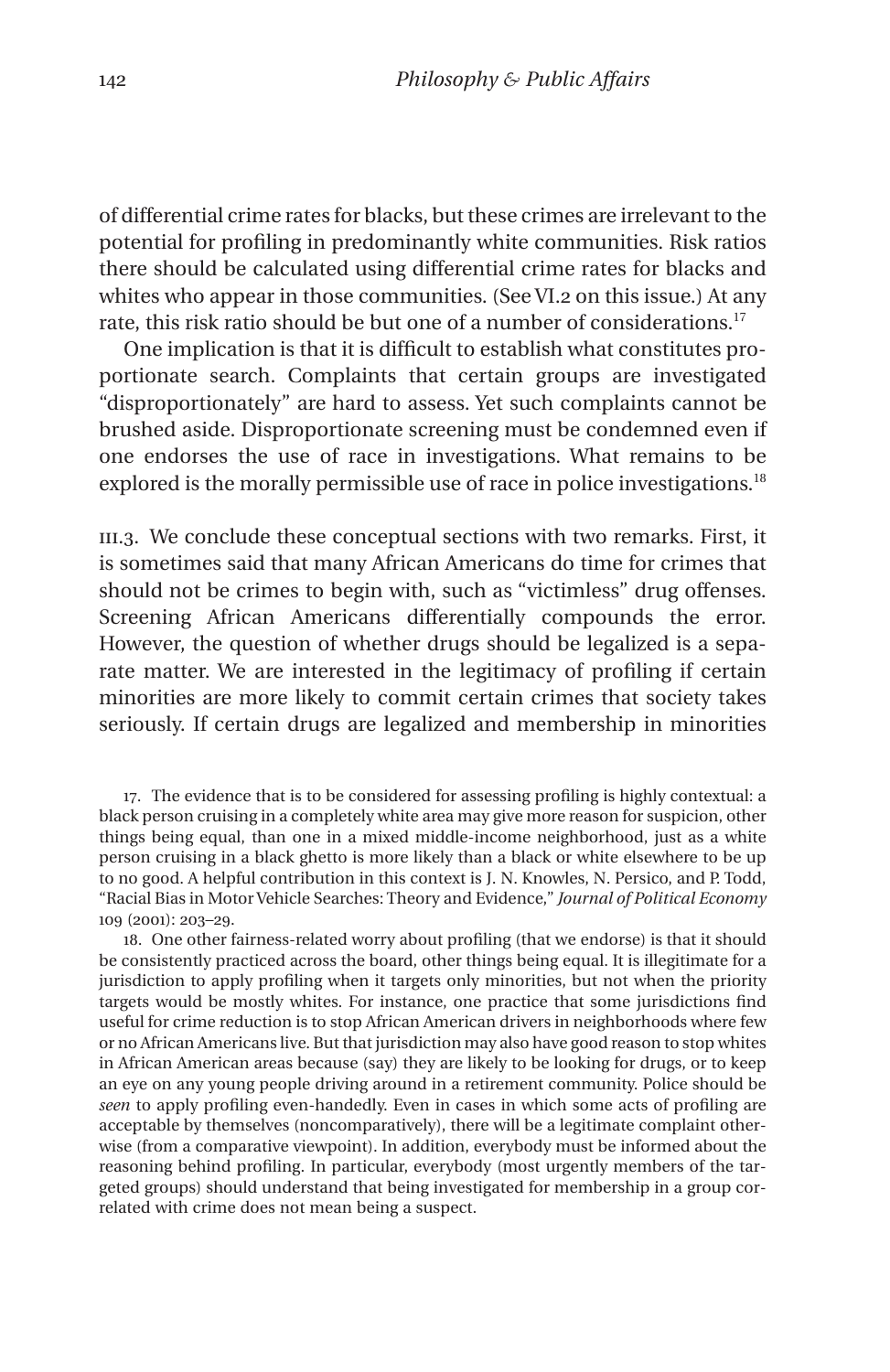of differential crime rates for blacks, but these crimes are irrelevant to the potential for profiling in predominantly white communities. Risk ratios there should be calculated using differential crime rates for blacks and whites who appear in those communities. (See VI.2 on this issue.) At any rate, this risk ratio should be but one of a number of considerations.<sup>17</sup>

One implication is that it is difficult to establish what constitutes proportionate search. Complaints that certain groups are investigated "disproportionately" are hard to assess. Yet such complaints cannot be brushed aside. Disproportionate screening must be condemned even if one endorses the use of race in investigations. What remains to be explored is the morally permissible use of race in police investigations.<sup>18</sup>

III.3. We conclude these conceptual sections with two remarks. First, it is sometimes said that many African Americans do time for crimes that should not be crimes to begin with, such as "victimless" drug offenses. Screening African Americans differentially compounds the error. However, the question of whether drugs should be legalized is a separate matter. We are interested in the legitimacy of profiling if certain minorities are more likely to commit certain crimes that society takes seriously. If certain drugs are legalized and membership in minorities

17. The evidence that is to be considered for assessing profiling is highly contextual: a black person cruising in a completely white area may give more reason for suspicion, other things being equal, than one in a mixed middle-income neighborhood, just as a white person cruising in a black ghetto is more likely than a black or white elsewhere to be up to no good. A helpful contribution in this context is J. N. Knowles, N. Persico, and P. Todd, "Racial Bias in Motor Vehicle Searches: Theory and Evidence," *Journal of Political Economy* 109 (2001): 203–29.

18. One other fairness-related worry about profiling (that we endorse) is that it should be consistently practiced across the board, other things being equal. It is illegitimate for a jurisdiction to apply profiling when it targets only minorities, but not when the priority targets would be mostly whites. For instance, one practice that some jurisdictions find useful for crime reduction is to stop African American drivers in neighborhoods where few or no African Americans live. But that jurisdiction may also have good reason to stop whites in African American areas because (say) they are likely to be looking for drugs, or to keep an eye on any young people driving around in a retirement community. Police should be *seen* to apply profiling even-handedly. Even in cases in which some acts of profiling are acceptable by themselves (noncomparatively), there will be a legitimate complaint otherwise (from a comparative viewpoint). In addition, everybody must be informed about the reasoning behind profiling. In particular, everybody (most urgently members of the targeted groups) should understand that being investigated for membership in a group correlated with crime does not mean being a suspect.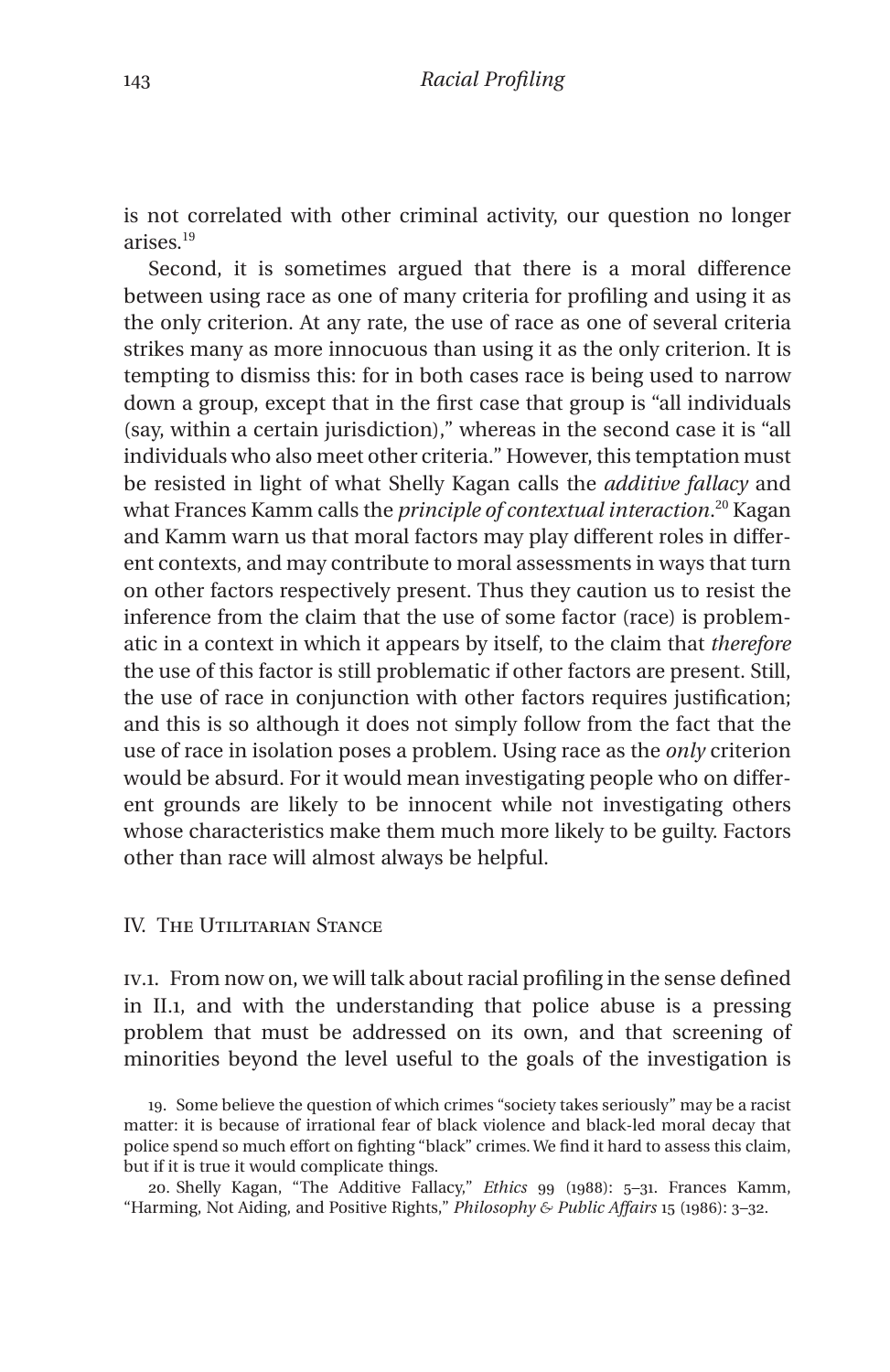is not correlated with other criminal activity, our question no longer arises $^{19}$ 

Second, it is sometimes argued that there is a moral difference between using race as one of many criteria for profiling and using it as the only criterion. At any rate, the use of race as one of several criteria strikes many as more innocuous than using it as the only criterion. It is tempting to dismiss this: for in both cases race is being used to narrow down a group, except that in the first case that group is "all individuals (say, within a certain jurisdiction)," whereas in the second case it is "all individuals who also meet other criteria." However, this temptation must be resisted in light of what Shelly Kagan calls the *additive fallacy* and what Frances Kamm calls the *principle of contextual interaction*. <sup>20</sup> Kagan and Kamm warn us that moral factors may play different roles in different contexts, and may contribute to moral assessments in ways that turn on other factors respectively present. Thus they caution us to resist the inference from the claim that the use of some factor (race) is problematic in a context in which it appears by itself, to the claim that *therefore* the use of this factor is still problematic if other factors are present. Still, the use of race in conjunction with other factors requires justification; and this is so although it does not simply follow from the fact that the use of race in isolation poses a problem. Using race as the *only* criterion would be absurd. For it would mean investigating people who on different grounds are likely to be innocent while not investigating others whose characteristics make them much more likely to be guilty. Factors other than race will almost always be helpful.

#### IV. The Utilitarian Stance

iv.1. From now on, we will talk about racial profiling in the sense defined in II.1, and with the understanding that police abuse is a pressing problem that must be addressed on its own, and that screening of minorities beyond the level useful to the goals of the investigation is

<sup>19</sup>. Some believe the question of which crimes "society takes seriously" may be a racist matter: it is because of irrational fear of black violence and black-led moral decay that police spend so much effort on fighting "black" crimes. We find it hard to assess this claim, but if it is true it would complicate things.

<sup>20</sup>. Shelly Kagan, "The Additive Fallacy," *Ethics* 99 (1988): 5–31. Frances Kamm, "Harming, Not Aiding, and Positive Rights," *Philosophy & Public Affairs* 15 (1986): 3–32.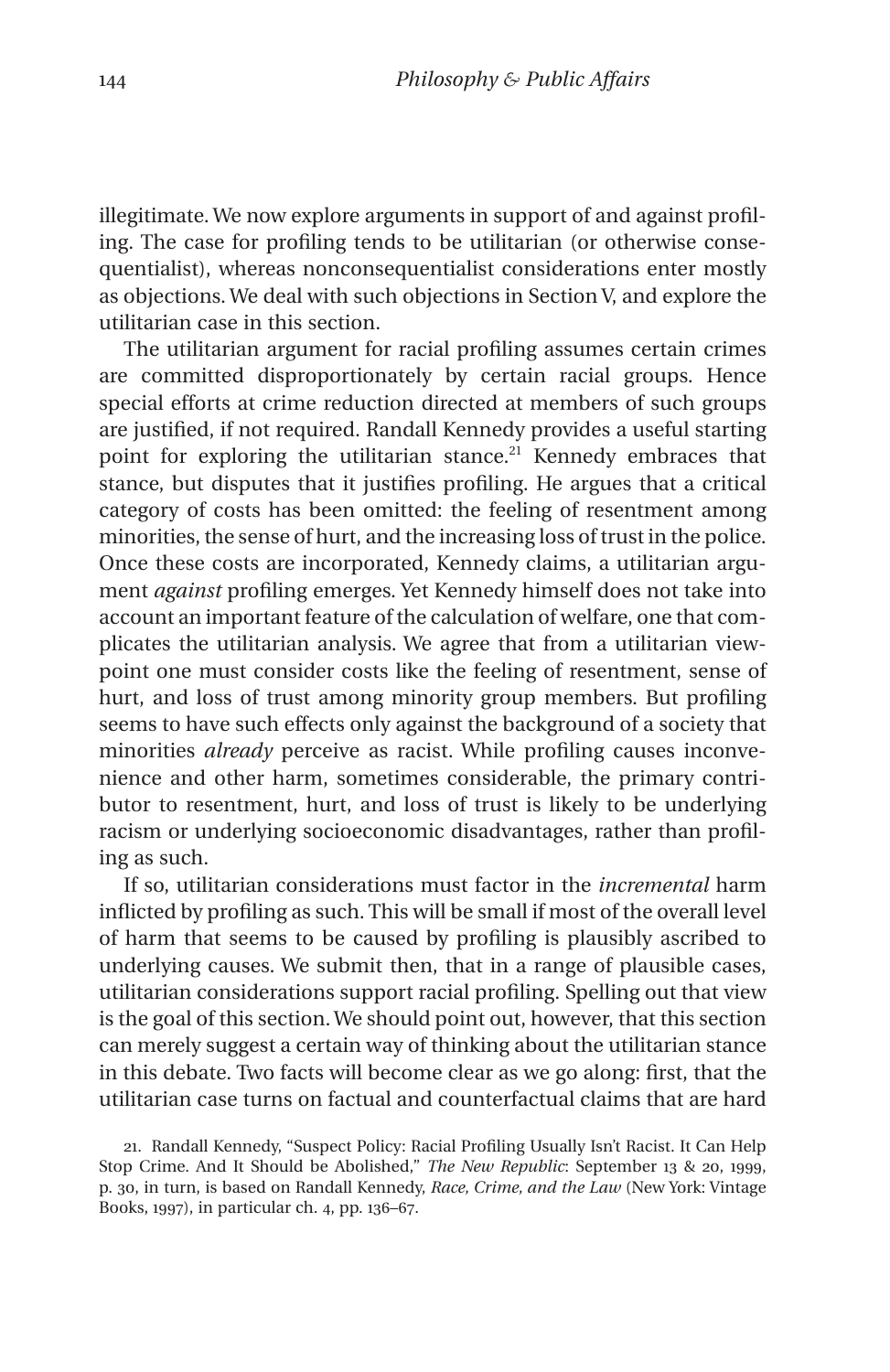illegitimate. We now explore arguments in support of and against profiling. The case for profiling tends to be utilitarian (or otherwise consequentialist), whereas nonconsequentialist considerations enter mostly as objections. We deal with such objections in Section V, and explore the utilitarian case in this section.

The utilitarian argument for racial profiling assumes certain crimes are committed disproportionately by certain racial groups. Hence special efforts at crime reduction directed at members of such groups are justified, if not required. Randall Kennedy provides a useful starting point for exploring the utilitarian stance.<sup>21</sup> Kennedy embraces that stance, but disputes that it justifies profiling. He argues that a critical category of costs has been omitted: the feeling of resentment among minorities, the sense of hurt, and the increasing loss of trust in the police. Once these costs are incorporated, Kennedy claims, a utilitarian argument *against* profiling emerges. Yet Kennedy himself does not take into account an important feature of the calculation of welfare, one that complicates the utilitarian analysis. We agree that from a utilitarian viewpoint one must consider costs like the feeling of resentment, sense of hurt, and loss of trust among minority group members. But profiling seems to have such effects only against the background of a society that minorities *already* perceive as racist. While profiling causes inconvenience and other harm, sometimes considerable, the primary contributor to resentment, hurt, and loss of trust is likely to be underlying racism or underlying socioeconomic disadvantages, rather than profiling as such.

If so, utilitarian considerations must factor in the *incremental* harm inflicted by profiling as such. This will be small if most of the overall level of harm that seems to be caused by profiling is plausibly ascribed to underlying causes. We submit then, that in a range of plausible cases, utilitarian considerations support racial profiling. Spelling out that view is the goal of this section. We should point out, however, that this section can merely suggest a certain way of thinking about the utilitarian stance in this debate. Two facts will become clear as we go along: first, that the utilitarian case turns on factual and counterfactual claims that are hard

<sup>21</sup>. Randall Kennedy, "Suspect Policy: Racial Profiling Usually Isn't Racist. It Can Help Stop Crime. And It Should be Abolished," *The New Republic*: September 13 & 20, 1999, p. 30, in turn, is based on Randall Kennedy, *Race, Crime, and the Law* (New York: Vintage Books, 1997), in particular ch. 4, pp. 136–67.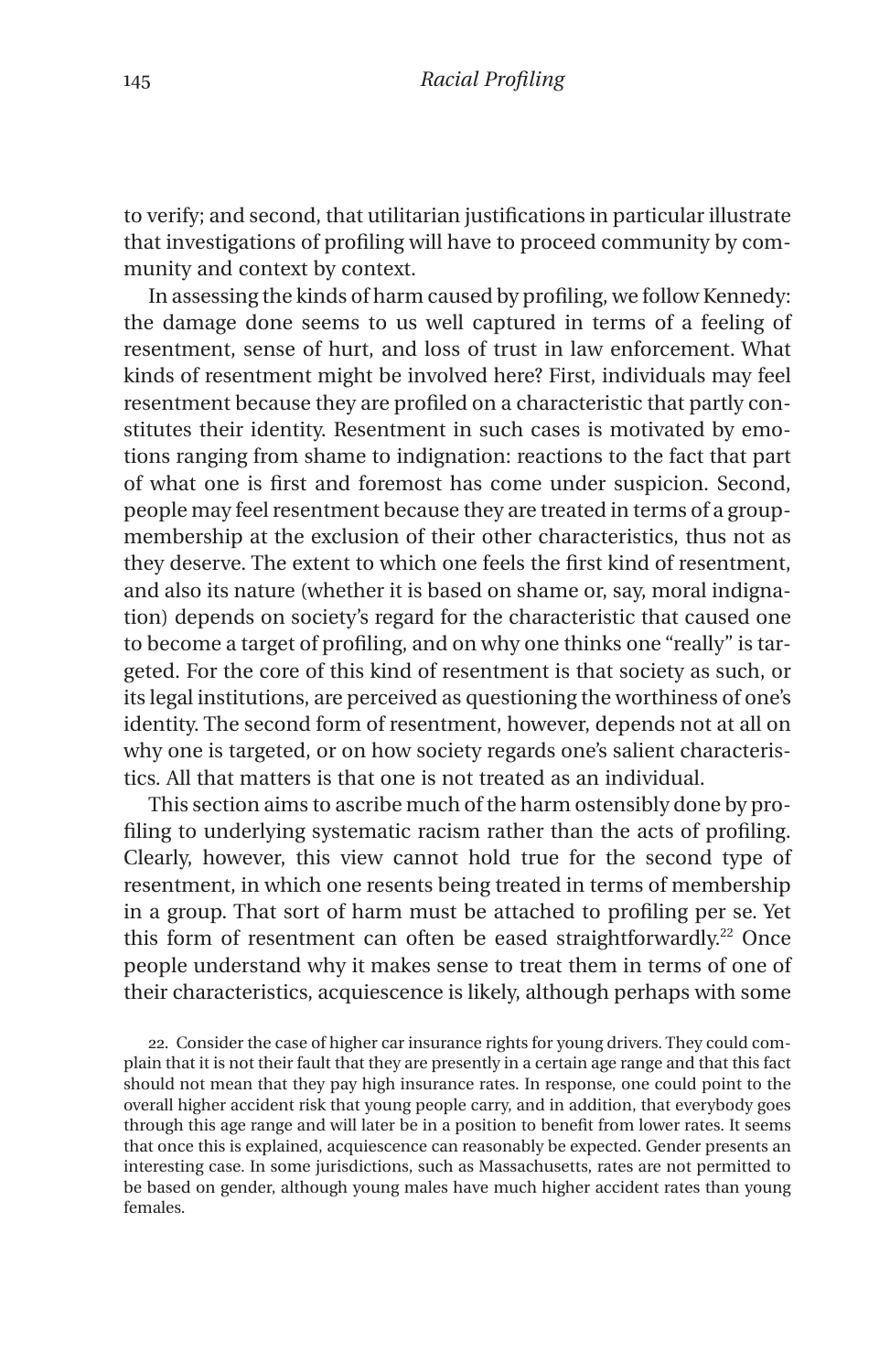to verify; and second, that utilitarian justifications in particular illustrate that investigations of profiling will have to proceed community by community and context by context.

In assessing the kinds of harm caused by profiling, we follow Kennedy: the damage done seems to us well captured in terms of a feeling of resentment, sense of hurt, and loss of trust in law enforcement. What kinds of resentment might be involved here? First, individuals may feel resentment because they are profiled on a characteristic that partly constitutes their identity. Resentment in such cases is motivated by emotions ranging from shame to indignation: reactions to the fact that part of what one is first and foremost has come under suspicion. Second, people may feel resentment because they are treated in terms of a groupmembership at the exclusion of their other characteristics, thus not as they deserve. The extent to which one feels the first kind of resentment, and also its nature (whether it is based on shame or, say, moral indignation) depends on society's regard for the characteristic that caused one to become a target of profiling, and on why one thinks one "really" is targeted. For the core of this kind of resentment is that society as such, or its legal institutions, are perceived as questioning the worthiness of one's identity. The second form of resentment, however, depends not at all on why one is targeted, or on how society regards one's salient characteristics. All that matters is that one is not treated as an individual.

This section aims to ascribe much of the harm ostensibly done by profiling to underlying systematic racism rather than the acts of profiling. Clearly, however, this view cannot hold true for the second type of resentment, in which one resents being treated in terms of membership in a group. That sort of harm must be attached to profiling per se. Yet this form of resentment can often be eased straightforwardly.<sup>22</sup> Once people understand why it makes sense to treat them in terms of one of their characteristics, acquiescence is likely, although perhaps with some

22. Consider the case of higher car insurance rights for young drivers. They could complain that it is not their fault that they are presently in a certain age range and that this fact should not mean that they pay high insurance rates. In response, one could point to the overall higher accident risk that young people carry, and in addition, that everybody goes through this age range and will later be in a position to benefit from lower rates. It seems that once this is explained, acquiescence can reasonably be expected. Gender presents an interesting case. In some jurisdictions, such as Massachusetts, rates are not permitted to be based on gender, although young males have much higher accident rates than young females.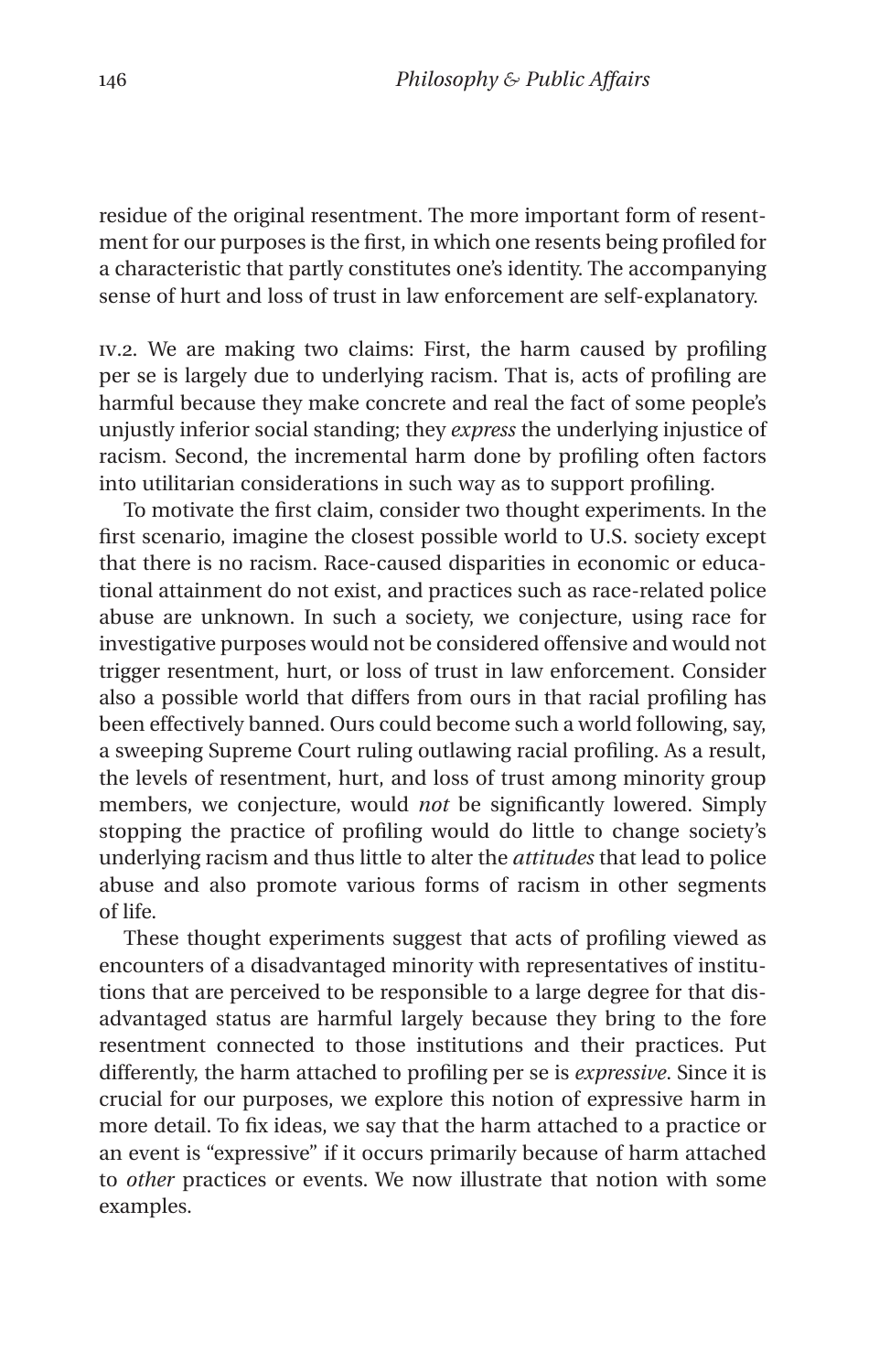residue of the original resentment. The more important form of resentment for our purposes is the first, in which one resents being profiled for a characteristic that partly constitutes one's identity. The accompanying sense of hurt and loss of trust in law enforcement are self-explanatory.

iv.2. We are making two claims: First, the harm caused by profiling per se is largely due to underlying racism. That is, acts of profiling are harmful because they make concrete and real the fact of some people's unjustly inferior social standing; they *express* the underlying injustice of racism. Second, the incremental harm done by profiling often factors into utilitarian considerations in such way as to support profiling.

To motivate the first claim, consider two thought experiments. In the first scenario, imagine the closest possible world to U.S. society except that there is no racism. Race-caused disparities in economic or educational attainment do not exist, and practices such as race-related police abuse are unknown. In such a society, we conjecture, using race for investigative purposes would not be considered offensive and would not trigger resentment, hurt, or loss of trust in law enforcement. Consider also a possible world that differs from ours in that racial profiling has been effectively banned. Ours could become such a world following, say, a sweeping Supreme Court ruling outlawing racial profiling. As a result, the levels of resentment, hurt, and loss of trust among minority group members, we conjecture, would *not* be significantly lowered. Simply stopping the practice of profiling would do little to change society's underlying racism and thus little to alter the *attitudes* that lead to police abuse and also promote various forms of racism in other segments of life.

These thought experiments suggest that acts of profiling viewed as encounters of a disadvantaged minority with representatives of institutions that are perceived to be responsible to a large degree for that disadvantaged status are harmful largely because they bring to the fore resentment connected to those institutions and their practices. Put differently, the harm attached to profiling per se is *expressive*. Since it is crucial for our purposes, we explore this notion of expressive harm in more detail. To fix ideas, we say that the harm attached to a practice or an event is "expressive" if it occurs primarily because of harm attached to *other* practices or events. We now illustrate that notion with some examples.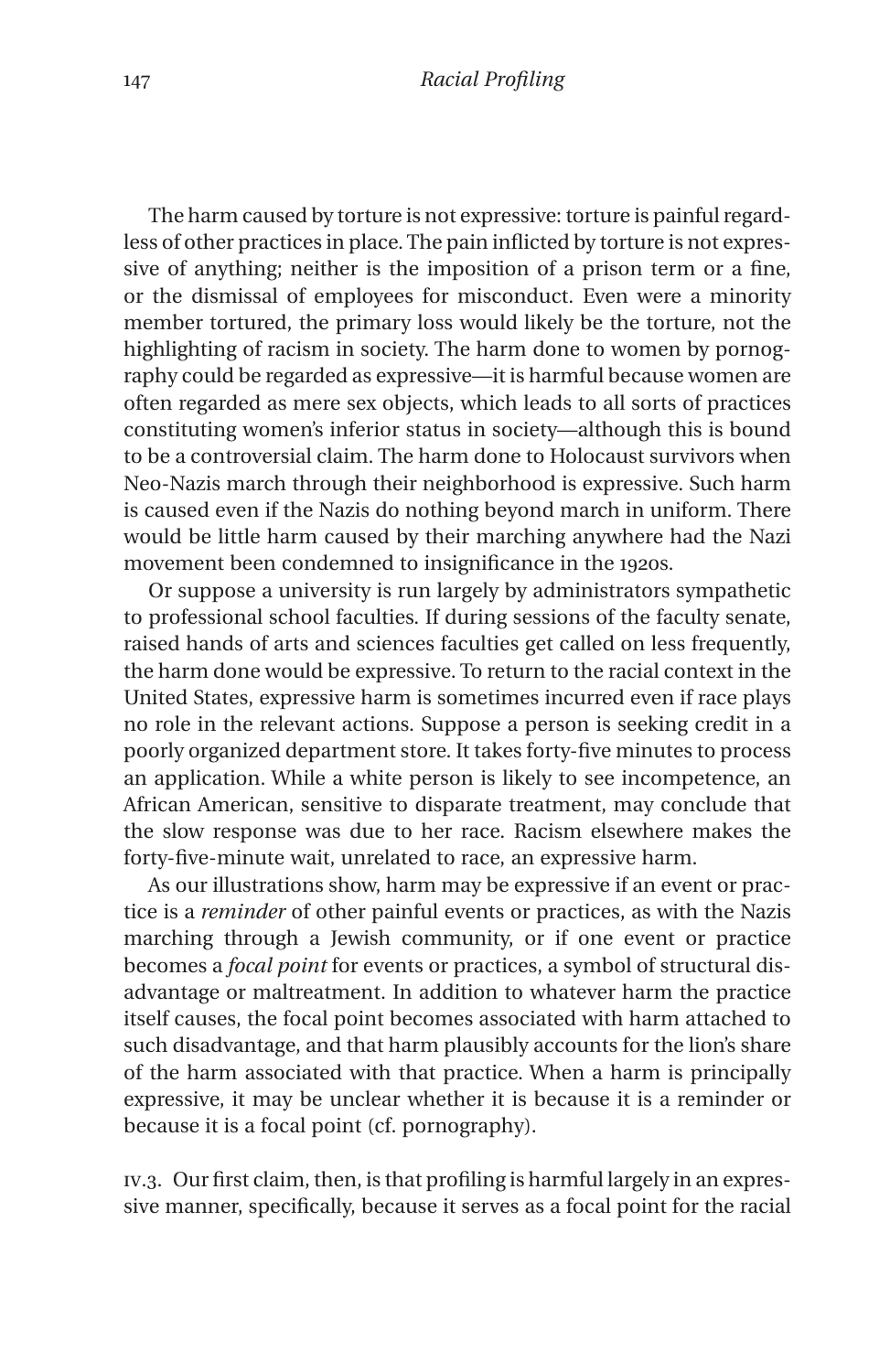The harm caused by torture is not expressive: torture is painful regardless of other practices in place. The pain inflicted by torture is not expressive of anything; neither is the imposition of a prison term or a fine, or the dismissal of employees for misconduct. Even were a minority member tortured, the primary loss would likely be the torture, not the highlighting of racism in society. The harm done to women by pornography could be regarded as expressive—it is harmful because women are often regarded as mere sex objects, which leads to all sorts of practices constituting women's inferior status in society—although this is bound to be a controversial claim. The harm done to Holocaust survivors when Neo-Nazis march through their neighborhood is expressive. Such harm is caused even if the Nazis do nothing beyond march in uniform. There would be little harm caused by their marching anywhere had the Nazi movement been condemned to insignificance in the 1920s.

Or suppose a university is run largely by administrators sympathetic to professional school faculties. If during sessions of the faculty senate, raised hands of arts and sciences faculties get called on less frequently, the harm done would be expressive. To return to the racial context in the United States, expressive harm is sometimes incurred even if race plays no role in the relevant actions. Suppose a person is seeking credit in a poorly organized department store. It takes forty-five minutes to process an application. While a white person is likely to see incompetence, an African American, sensitive to disparate treatment, may conclude that the slow response was due to her race. Racism elsewhere makes the forty-five-minute wait, unrelated to race, an expressive harm.

As our illustrations show, harm may be expressive if an event or practice is a *reminder* of other painful events or practices, as with the Nazis marching through a Jewish community, or if one event or practice becomes a *focal point* for events or practices, a symbol of structural disadvantage or maltreatment. In addition to whatever harm the practice itself causes, the focal point becomes associated with harm attached to such disadvantage, and that harm plausibly accounts for the lion's share of the harm associated with that practice. When a harm is principally expressive, it may be unclear whether it is because it is a reminder or because it is a focal point (cf. pornography).

iv.3. Our first claim, then, is that profiling is harmful largely in an expressive manner, specifically, because it serves as a focal point for the racial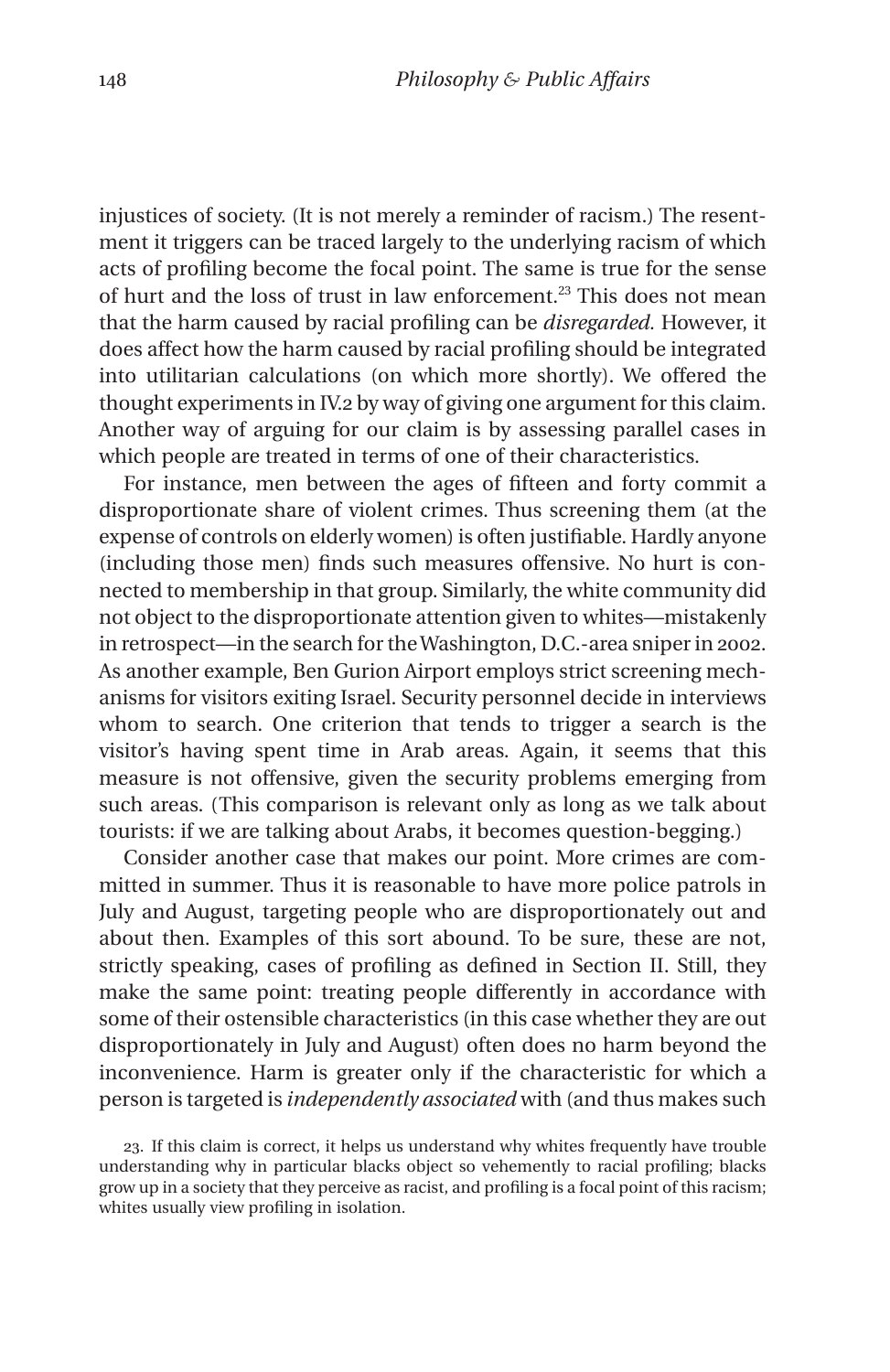injustices of society. (It is not merely a reminder of racism.) The resentment it triggers can be traced largely to the underlying racism of which acts of profiling become the focal point. The same is true for the sense of hurt and the loss of trust in law enforcement.<sup>23</sup> This does not mean that the harm caused by racial profiling can be *disregarded.* However, it does affect how the harm caused by racial profiling should be integrated into utilitarian calculations (on which more shortly). We offered the thought experiments in IV.2 by way of giving one argument for this claim. Another way of arguing for our claim is by assessing parallel cases in which people are treated in terms of one of their characteristics.

For instance, men between the ages of fifteen and forty commit a disproportionate share of violent crimes. Thus screening them (at the expense of controls on elderly women) is often justifiable. Hardly anyone (including those men) finds such measures offensive. No hurt is connected to membership in that group. Similarly, the white community did not object to the disproportionate attention given to whites—mistakenly in retrospect—in the search for the Washington, D.C.-area sniper in 2002. As another example, Ben Gurion Airport employs strict screening mechanisms for visitors exiting Israel. Security personnel decide in interviews whom to search. One criterion that tends to trigger a search is the visitor's having spent time in Arab areas. Again, it seems that this measure is not offensive, given the security problems emerging from such areas. (This comparison is relevant only as long as we talk about tourists: if we are talking about Arabs, it becomes question-begging.)

Consider another case that makes our point. More crimes are committed in summer. Thus it is reasonable to have more police patrols in July and August, targeting people who are disproportionately out and about then. Examples of this sort abound. To be sure, these are not, strictly speaking, cases of profiling as defined in Section II. Still, they make the same point: treating people differently in accordance with some of their ostensible characteristics (in this case whether they are out disproportionately in July and August) often does no harm beyond the inconvenience. Harm is greater only if the characteristic for which a person is targeted is *independently associated* with (and thus makes such

<sup>23</sup>. If this claim is correct, it helps us understand why whites frequently have trouble understanding why in particular blacks object so vehemently to racial profiling; blacks grow up in a society that they perceive as racist, and profiling is a focal point of this racism; whites usually view profiling in isolation.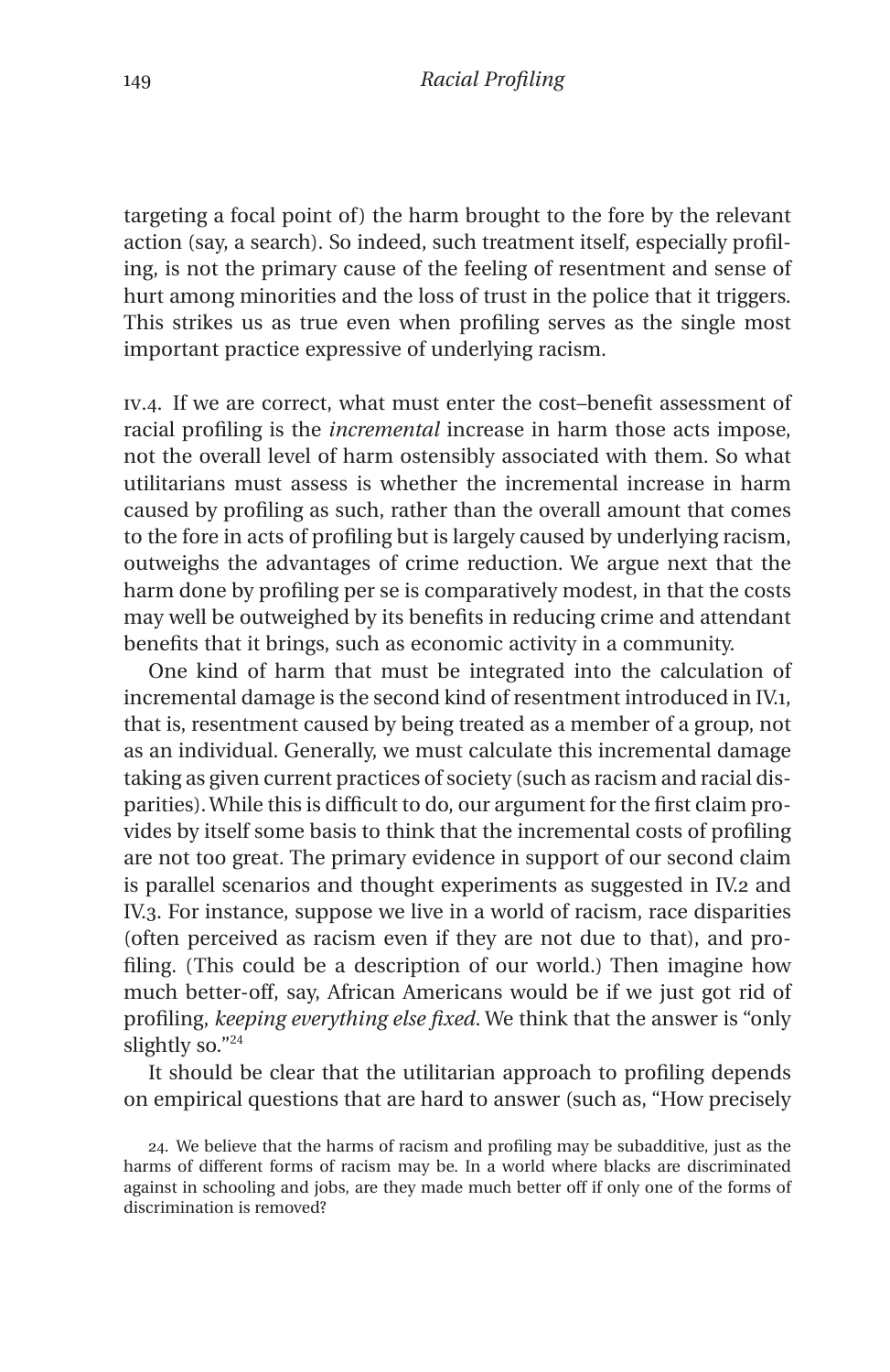targeting a focal point of) the harm brought to the fore by the relevant action (say, a search). So indeed, such treatment itself, especially profiling, is not the primary cause of the feeling of resentment and sense of hurt among minorities and the loss of trust in the police that it triggers. This strikes us as true even when profiling serves as the single most important practice expressive of underlying racism.

iv.4. If we are correct, what must enter the cost–benefit assessment of racial profiling is the *incremental* increase in harm those acts impose, not the overall level of harm ostensibly associated with them. So what utilitarians must assess is whether the incremental increase in harm caused by profiling as such, rather than the overall amount that comes to the fore in acts of profiling but is largely caused by underlying racism, outweighs the advantages of crime reduction. We argue next that the harm done by profiling per se is comparatively modest, in that the costs may well be outweighed by its benefits in reducing crime and attendant benefits that it brings, such as economic activity in a community.

One kind of harm that must be integrated into the calculation of incremental damage is the second kind of resentment introduced in IV.1, that is, resentment caused by being treated as a member of a group, not as an individual. Generally, we must calculate this incremental damage taking as given current practices of society (such as racism and racial disparities). While this is difficult to do, our argument for the first claim provides by itself some basis to think that the incremental costs of profiling are not too great. The primary evidence in support of our second claim is parallel scenarios and thought experiments as suggested in IV.2 and IV.3. For instance, suppose we live in a world of racism, race disparities (often perceived as racism even if they are not due to that), and profiling. (This could be a description of our world.) Then imagine how much better-off, say, African Americans would be if we just got rid of profiling, *keeping everything else fixed*. We think that the answer is "only slightly so."<sup>24</sup>

It should be clear that the utilitarian approach to profiling depends on empirical questions that are hard to answer (such as, "How precisely

<sup>24</sup>. We believe that the harms of racism and profiling may be subadditive, just as the harms of different forms of racism may be. In a world where blacks are discriminated against in schooling and jobs, are they made much better off if only one of the forms of discrimination is removed?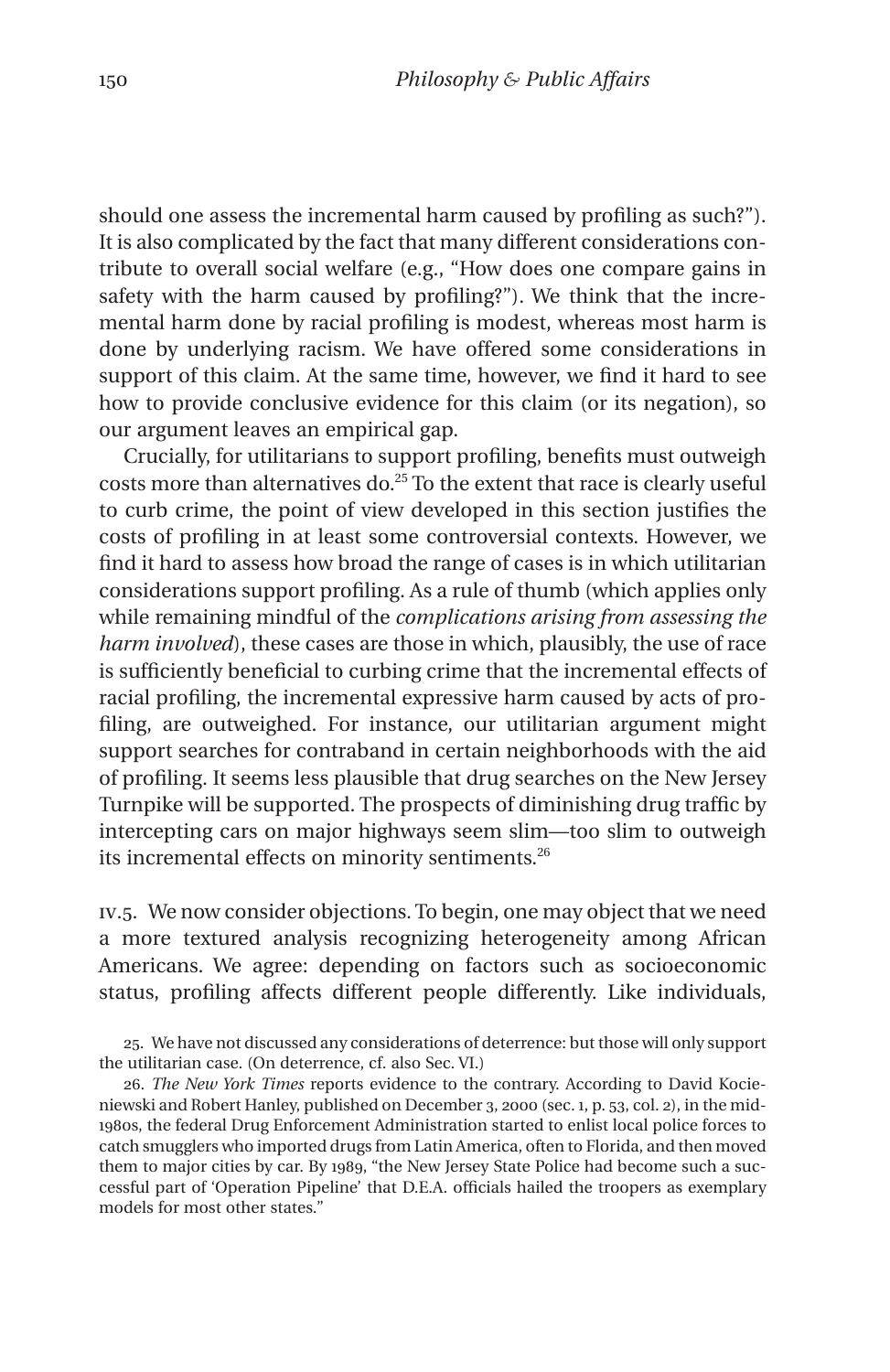should one assess the incremental harm caused by profiling as such?"). It is also complicated by the fact that many different considerations contribute to overall social welfare (e.g., "How does one compare gains in safety with the harm caused by profiling?"). We think that the incremental harm done by racial profiling is modest, whereas most harm is done by underlying racism. We have offered some considerations in support of this claim. At the same time, however, we find it hard to see how to provide conclusive evidence for this claim (or its negation), so our argument leaves an empirical gap.

Crucially, for utilitarians to support profiling, benefits must outweigh costs more than alternatives do.<sup>25</sup> To the extent that race is clearly useful to curb crime, the point of view developed in this section justifies the costs of profiling in at least some controversial contexts. However, we find it hard to assess how broad the range of cases is in which utilitarian considerations support profiling. As a rule of thumb (which applies only while remaining mindful of the *complications arising from assessing the harm involved*), these cases are those in which, plausibly, the use of race is sufficiently beneficial to curbing crime that the incremental effects of racial profiling, the incremental expressive harm caused by acts of profiling, are outweighed. For instance, our utilitarian argument might support searches for contraband in certain neighborhoods with the aid of profiling. It seems less plausible that drug searches on the New Jersey Turnpike will be supported. The prospects of diminishing drug traffic by intercepting cars on major highways seem slim—too slim to outweigh its incremental effects on minority sentiments.<sup>26</sup>

iv.5. We now consider objections. To begin, one may object that we need a more textured analysis recognizing heterogeneity among African Americans. We agree: depending on factors such as socioeconomic status, profiling affects different people differently. Like individuals,

<sup>25</sup>. We have not discussed any considerations of deterrence: but those will only support the utilitarian case. (On deterrence, cf. also Sec. VI.)

<sup>26</sup>. *The New York Times* reports evidence to the contrary. According to David Kocieniewski and Robert Hanley, published on December 3, 2000 (sec. 1, p. 53, col. 2), in the mid-1980s, the federal Drug Enforcement Administration started to enlist local police forces to catch smugglers who imported drugs from Latin America, often to Florida, and then moved them to major cities by car. By 1989, "the New Jersey State Police had become such a successful part of 'Operation Pipeline' that D.E.A. officials hailed the troopers as exemplary models for most other states."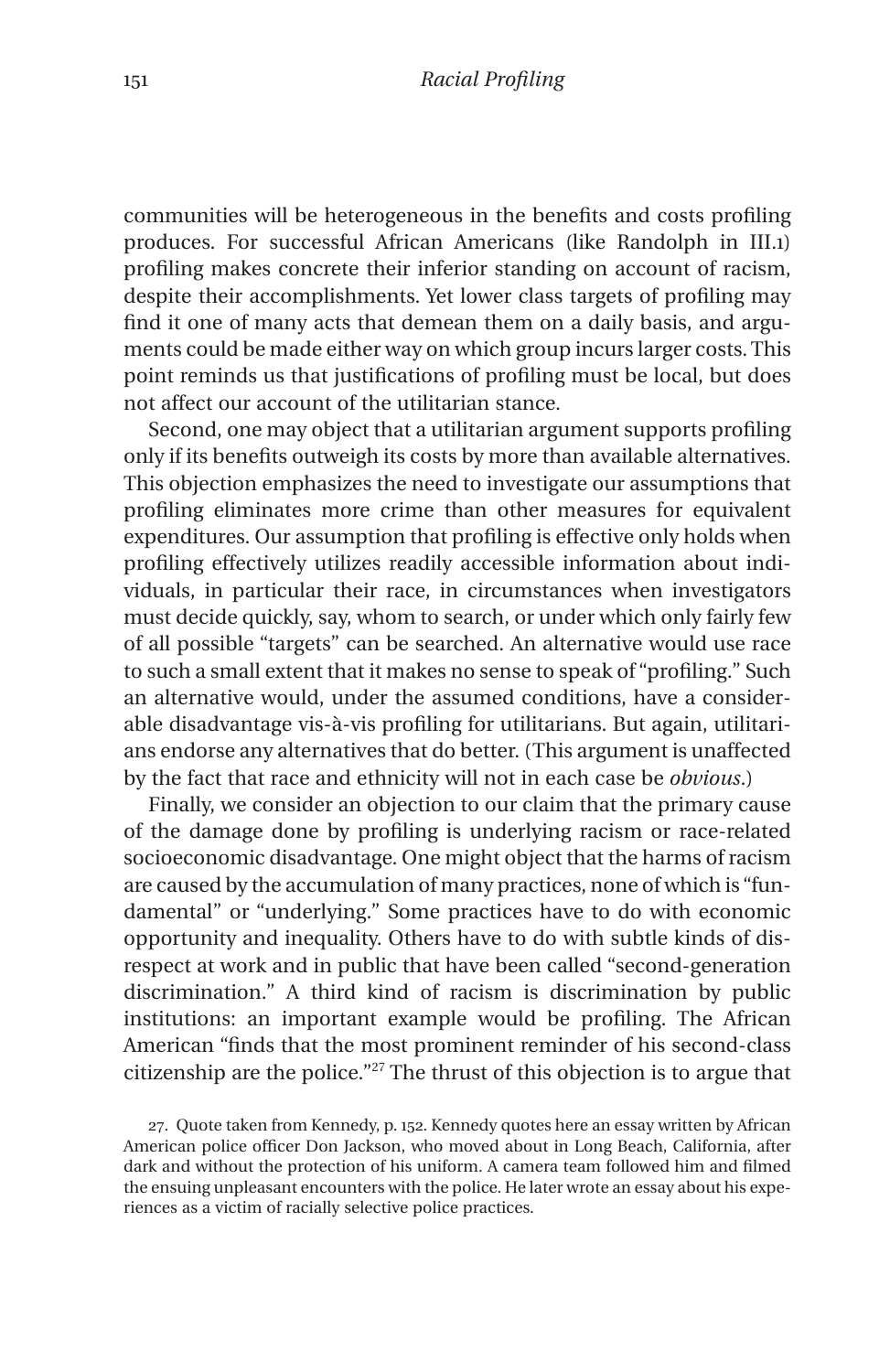communities will be heterogeneous in the benefits and costs profiling produces. For successful African Americans (like Randolph in III.1) profiling makes concrete their inferior standing on account of racism, despite their accomplishments. Yet lower class targets of profiling may find it one of many acts that demean them on a daily basis, and arguments could be made either way on which group incurs larger costs. This point reminds us that justifications of profiling must be local, but does not affect our account of the utilitarian stance.

Second, one may object that a utilitarian argument supports profiling only if its benefits outweigh its costs by more than available alternatives. This objection emphasizes the need to investigate our assumptions that profiling eliminates more crime than other measures for equivalent expenditures. Our assumption that profiling is effective only holds when profiling effectively utilizes readily accessible information about individuals, in particular their race, in circumstances when investigators must decide quickly, say, whom to search, or under which only fairly few of all possible "targets" can be searched. An alternative would use race to such a small extent that it makes no sense to speak of "profiling." Such an alternative would, under the assumed conditions, have a considerable disadvantage vis-à-vis profiling for utilitarians. But again, utilitarians endorse any alternatives that do better. (This argument is unaffected by the fact that race and ethnicity will not in each case be *obvious*.)

Finally, we consider an objection to our claim that the primary cause of the damage done by profiling is underlying racism or race-related socioeconomic disadvantage. One might object that the harms of racism are caused by the accumulation of many practices, none of which is "fundamental" or "underlying." Some practices have to do with economic opportunity and inequality. Others have to do with subtle kinds of disrespect at work and in public that have been called "second-generation discrimination." A third kind of racism is discrimination by public institutions: an important example would be profiling. The African American "finds that the most prominent reminder of his second-class citizenship are the police."27 The thrust of this objection is to argue that

<sup>27</sup>. Quote taken from Kennedy, p. 152. Kennedy quotes here an essay written by African American police officer Don Jackson, who moved about in Long Beach, California, after dark and without the protection of his uniform. A camera team followed him and filmed the ensuing unpleasant encounters with the police. He later wrote an essay about his experiences as a victim of racially selective police practices.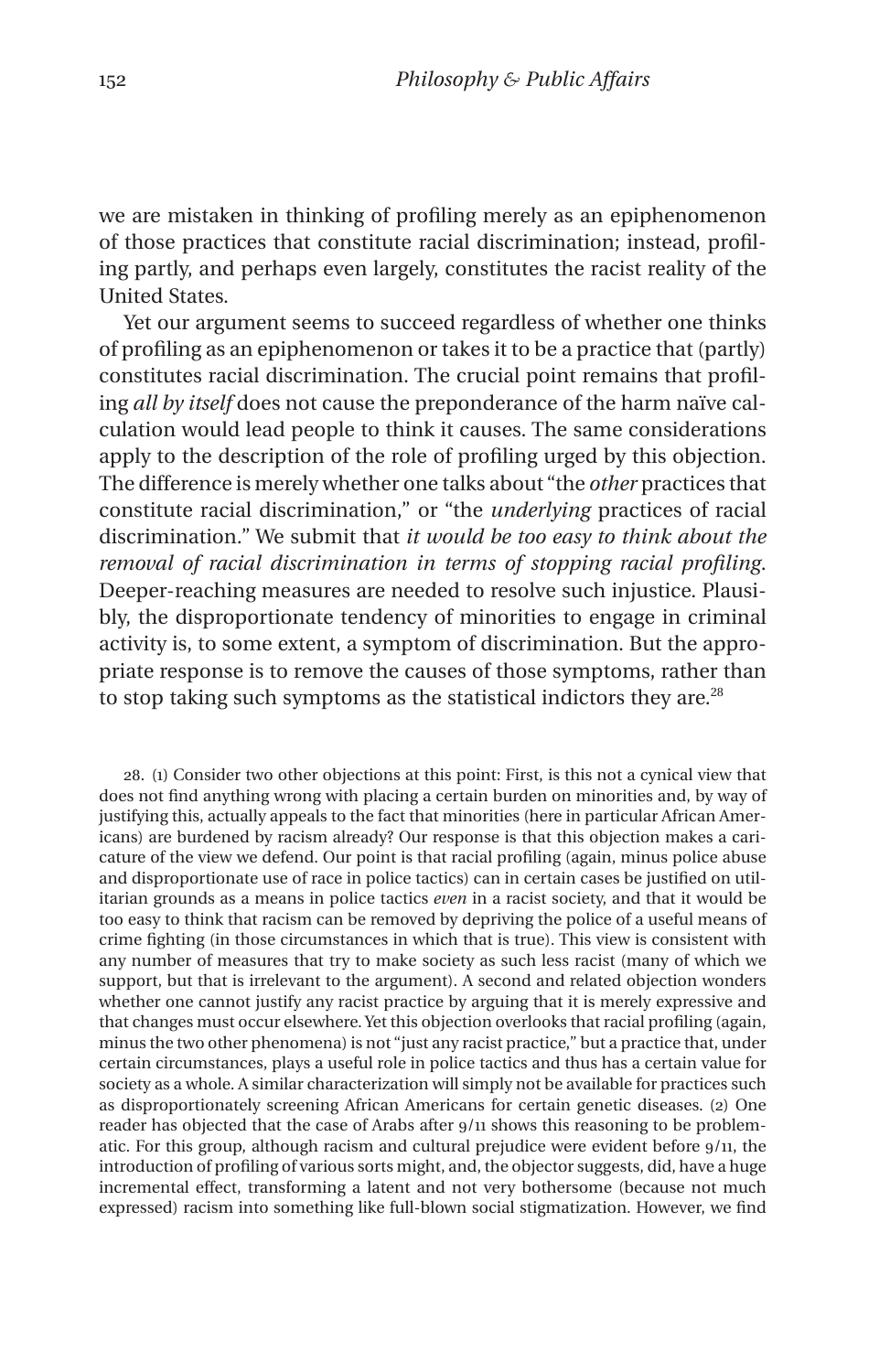we are mistaken in thinking of profiling merely as an epiphenomenon of those practices that constitute racial discrimination; instead, profiling partly, and perhaps even largely, constitutes the racist reality of the United States.

Yet our argument seems to succeed regardless of whether one thinks of profiling as an epiphenomenon or takes it to be a practice that (partly) constitutes racial discrimination. The crucial point remains that profiling *all by itself* does not cause the preponderance of the harm naïve calculation would lead people to think it causes. The same considerations apply to the description of the role of profiling urged by this objection. The difference is merely whether one talks about "the *other* practices that constitute racial discrimination," or "the *underlying* practices of racial discrimination." We submit that *it would be too easy to think about the removal of racial discrimination in terms of stopping racial profiling*. Deeper-reaching measures are needed to resolve such injustice. Plausibly, the disproportionate tendency of minorities to engage in criminal activity is, to some extent, a symptom of discrimination. But the appropriate response is to remove the causes of those symptoms, rather than to stop taking such symptoms as the statistical indictors they are. $^{28}$ 

28. (1) Consider two other objections at this point: First, is this not a cynical view that does not find anything wrong with placing a certain burden on minorities and, by way of justifying this, actually appeals to the fact that minorities (here in particular African Americans) are burdened by racism already? Our response is that this objection makes a caricature of the view we defend. Our point is that racial profiling (again, minus police abuse and disproportionate use of race in police tactics) can in certain cases be justified on utilitarian grounds as a means in police tactics *even* in a racist society, and that it would be too easy to think that racism can be removed by depriving the police of a useful means of crime fighting (in those circumstances in which that is true). This view is consistent with any number of measures that try to make society as such less racist (many of which we support, but that is irrelevant to the argument). A second and related objection wonders whether one cannot justify any racist practice by arguing that it is merely expressive and that changes must occur elsewhere. Yet this objection overlooks that racial profiling (again, minus the two other phenomena) is not "just any racist practice," but a practice that, under certain circumstances, plays a useful role in police tactics and thus has a certain value for society as a whole. A similar characterization will simply not be available for practices such as disproportionately screening African Americans for certain genetic diseases. (2) One reader has objected that the case of Arabs after 9/11 shows this reasoning to be problematic. For this group, although racism and cultural prejudice were evident before 9/11, the introduction of profiling of various sorts might, and, the objector suggests, did, have a huge incremental effect, transforming a latent and not very bothersome (because not much expressed) racism into something like full-blown social stigmatization. However, we find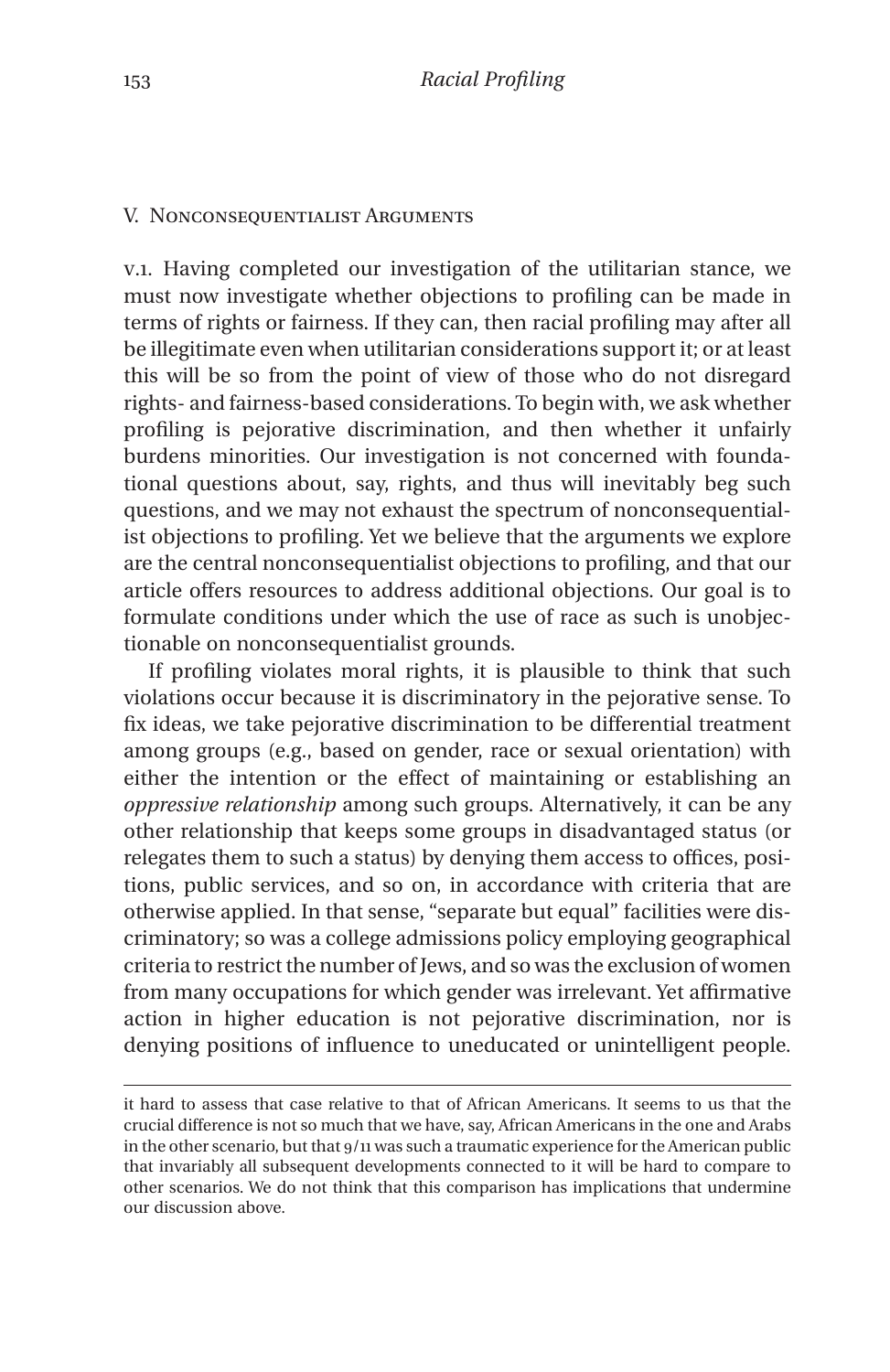## V. Nonconsequentialist Arguments

v.1. Having completed our investigation of the utilitarian stance, we must now investigate whether objections to profiling can be made in terms of rights or fairness. If they can, then racial profiling may after all be illegitimate even when utilitarian considerations support it; or at least this will be so from the point of view of those who do not disregard rights- and fairness-based considerations. To begin with, we ask whether profiling is pejorative discrimination, and then whether it unfairly burdens minorities. Our investigation is not concerned with foundational questions about, say, rights, and thus will inevitably beg such questions, and we may not exhaust the spectrum of nonconsequentialist objections to profiling. Yet we believe that the arguments we explore are the central nonconsequentialist objections to profiling, and that our article offers resources to address additional objections. Our goal is to formulate conditions under which the use of race as such is unobjectionable on nonconsequentialist grounds.

If profiling violates moral rights, it is plausible to think that such violations occur because it is discriminatory in the pejorative sense. To fix ideas, we take pejorative discrimination to be differential treatment among groups (e.g., based on gender, race or sexual orientation) with either the intention or the effect of maintaining or establishing an *oppressive relationship* among such groups. Alternatively, it can be any other relationship that keeps some groups in disadvantaged status (or relegates them to such a status) by denying them access to offices, positions, public services, and so on, in accordance with criteria that are otherwise applied. In that sense, "separate but equal" facilities were discriminatory; so was a college admissions policy employing geographical criteria to restrict the number of Jews, and so was the exclusion of women from many occupations for which gender was irrelevant. Yet affirmative action in higher education is not pejorative discrimination, nor is denying positions of influence to uneducated or unintelligent people.

it hard to assess that case relative to that of African Americans. It seems to us that the crucial difference is not so much that we have, say, African Americans in the one and Arabs in the other scenario, but that 9/11 was such a traumatic experience for the American public that invariably all subsequent developments connected to it will be hard to compare to other scenarios. We do not think that this comparison has implications that undermine our discussion above.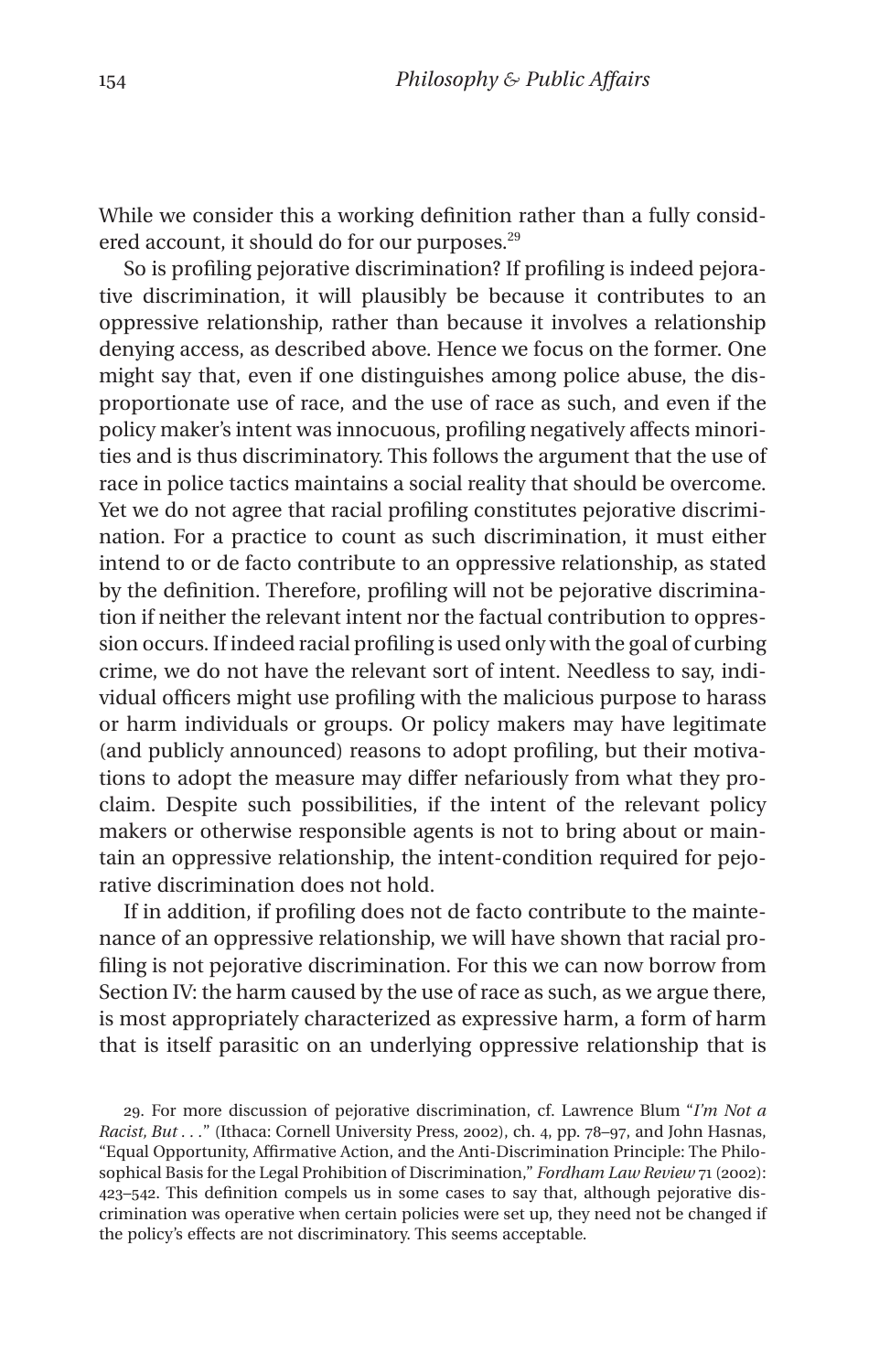While we consider this a working definition rather than a fully considered account, it should do for our purposes.<sup>29</sup>

So is profiling pejorative discrimination? If profiling is indeed pejorative discrimination, it will plausibly be because it contributes to an oppressive relationship, rather than because it involves a relationship denying access, as described above. Hence we focus on the former. One might say that, even if one distinguishes among police abuse, the disproportionate use of race, and the use of race as such, and even if the policy maker's intent was innocuous, profiling negatively affects minorities and is thus discriminatory. This follows the argument that the use of race in police tactics maintains a social reality that should be overcome. Yet we do not agree that racial profiling constitutes pejorative discrimination. For a practice to count as such discrimination, it must either intend to or de facto contribute to an oppressive relationship, as stated by the definition. Therefore, profiling will not be pejorative discrimination if neither the relevant intent nor the factual contribution to oppression occurs. If indeed racial profiling is used only with the goal of curbing crime, we do not have the relevant sort of intent. Needless to say, individual officers might use profiling with the malicious purpose to harass or harm individuals or groups. Or policy makers may have legitimate (and publicly announced) reasons to adopt profiling, but their motivations to adopt the measure may differ nefariously from what they proclaim. Despite such possibilities, if the intent of the relevant policy makers or otherwise responsible agents is not to bring about or maintain an oppressive relationship, the intent-condition required for pejorative discrimination does not hold.

If in addition, if profiling does not de facto contribute to the maintenance of an oppressive relationship, we will have shown that racial profiling is not pejorative discrimination. For this we can now borrow from Section IV: the harm caused by the use of race as such, as we argue there, is most appropriately characterized as expressive harm, a form of harm that is itself parasitic on an underlying oppressive relationship that is

<sup>29</sup>. For more discussion of pejorative discrimination, cf. Lawrence Blum "*I'm Not a Racist, But . . .*" (Ithaca: Cornell University Press, 2002), ch. 4, pp. 78–97, and John Hasnas, "Equal Opportunity, Affirmative Action, and the Anti-Discrimination Principle: The Philosophical Basis for the Legal Prohibition of Discrimination," *Fordham Law Review* 71 (2002): 423–542. This definition compels us in some cases to say that, although pejorative discrimination was operative when certain policies were set up, they need not be changed if the policy's effects are not discriminatory. This seems acceptable.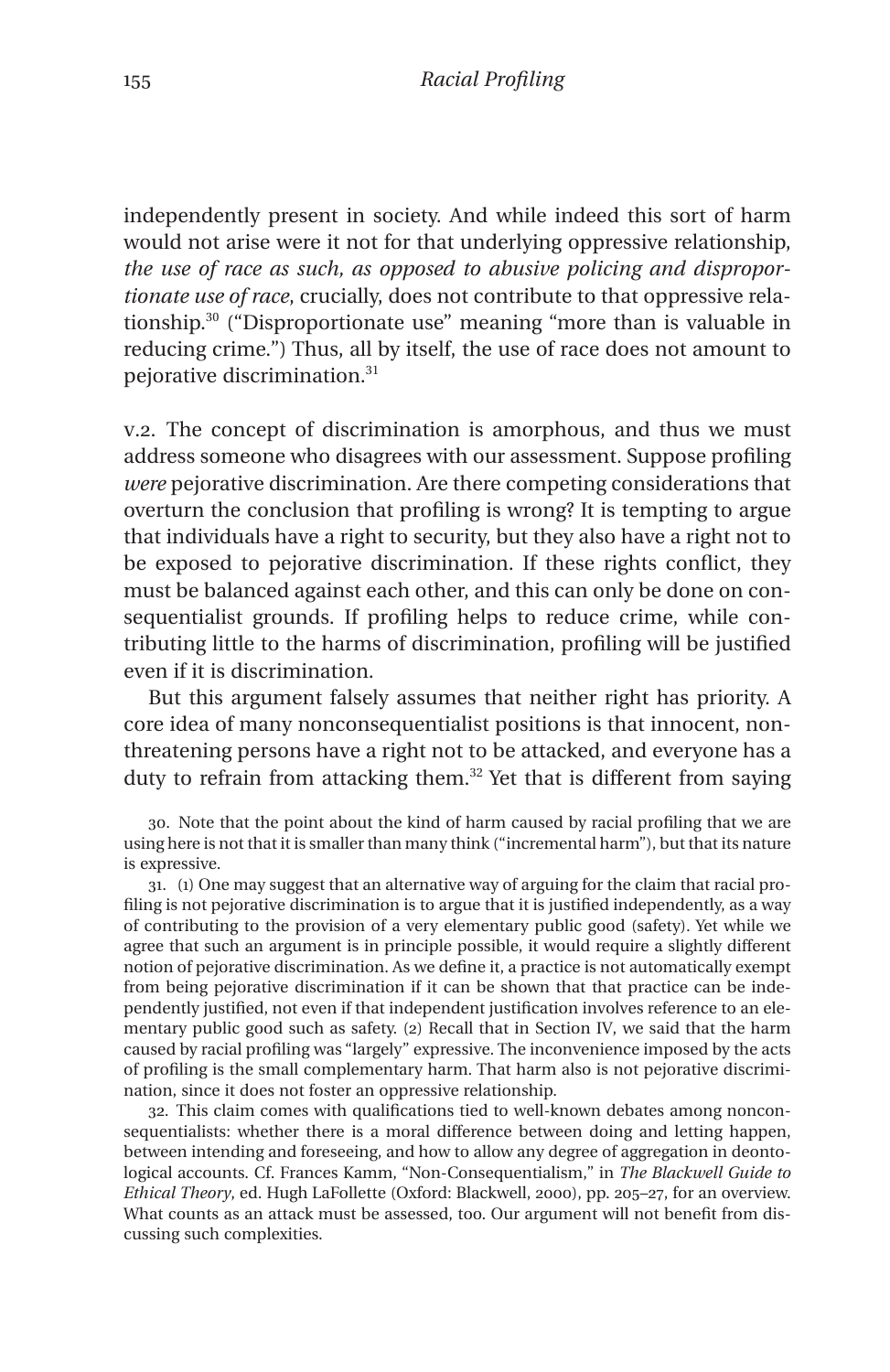independently present in society. And while indeed this sort of harm would not arise were it not for that underlying oppressive relationship, *the use of race as such, as opposed to abusive policing and disproportionate use of race*, crucially, does not contribute to that oppressive relationship.30 ("Disproportionate use" meaning "more than is valuable in reducing crime.") Thus, all by itself, the use of race does not amount to pejorative discrimination.<sup>31</sup>

v.2. The concept of discrimination is amorphous, and thus we must address someone who disagrees with our assessment. Suppose profiling *were* pejorative discrimination. Are there competing considerations that overturn the conclusion that profiling is wrong? It is tempting to argue that individuals have a right to security, but they also have a right not to be exposed to pejorative discrimination. If these rights conflict, they must be balanced against each other, and this can only be done on consequentialist grounds. If profiling helps to reduce crime, while contributing little to the harms of discrimination, profiling will be justified even if it is discrimination.

But this argument falsely assumes that neither right has priority. A core idea of many nonconsequentialist positions is that innocent, nonthreatening persons have a right not to be attacked, and everyone has a duty to refrain from attacking them.<sup>32</sup> Yet that is different from saying

30. Note that the point about the kind of harm caused by racial profiling that we are using here is not that it is smaller than many think ("incremental harm"), but that its nature is expressive.

31. (1) One may suggest that an alternative way of arguing for the claim that racial profiling is not pejorative discrimination is to argue that it is justified independently, as a way of contributing to the provision of a very elementary public good (safety). Yet while we agree that such an argument is in principle possible, it would require a slightly different notion of pejorative discrimination. As we define it, a practice is not automatically exempt from being pejorative discrimination if it can be shown that that practice can be independently justified, not even if that independent justification involves reference to an elementary public good such as safety. (2) Recall that in Section IV, we said that the harm caused by racial profiling was "largely" expressive. The inconvenience imposed by the acts of profiling is the small complementary harm. That harm also is not pejorative discrimination, since it does not foster an oppressive relationship.

32. This claim comes with qualifications tied to well-known debates among nonconsequentialists: whether there is a moral difference between doing and letting happen, between intending and foreseeing, and how to allow any degree of aggregation in deontological accounts. Cf. Frances Kamm, "Non-Consequentialism," in *The Blackwell Guide to Ethical Theory*, ed. Hugh LaFollette (Oxford: Blackwell, 2000), pp. 205–27, for an overview. What counts as an attack must be assessed, too. Our argument will not benefit from discussing such complexities.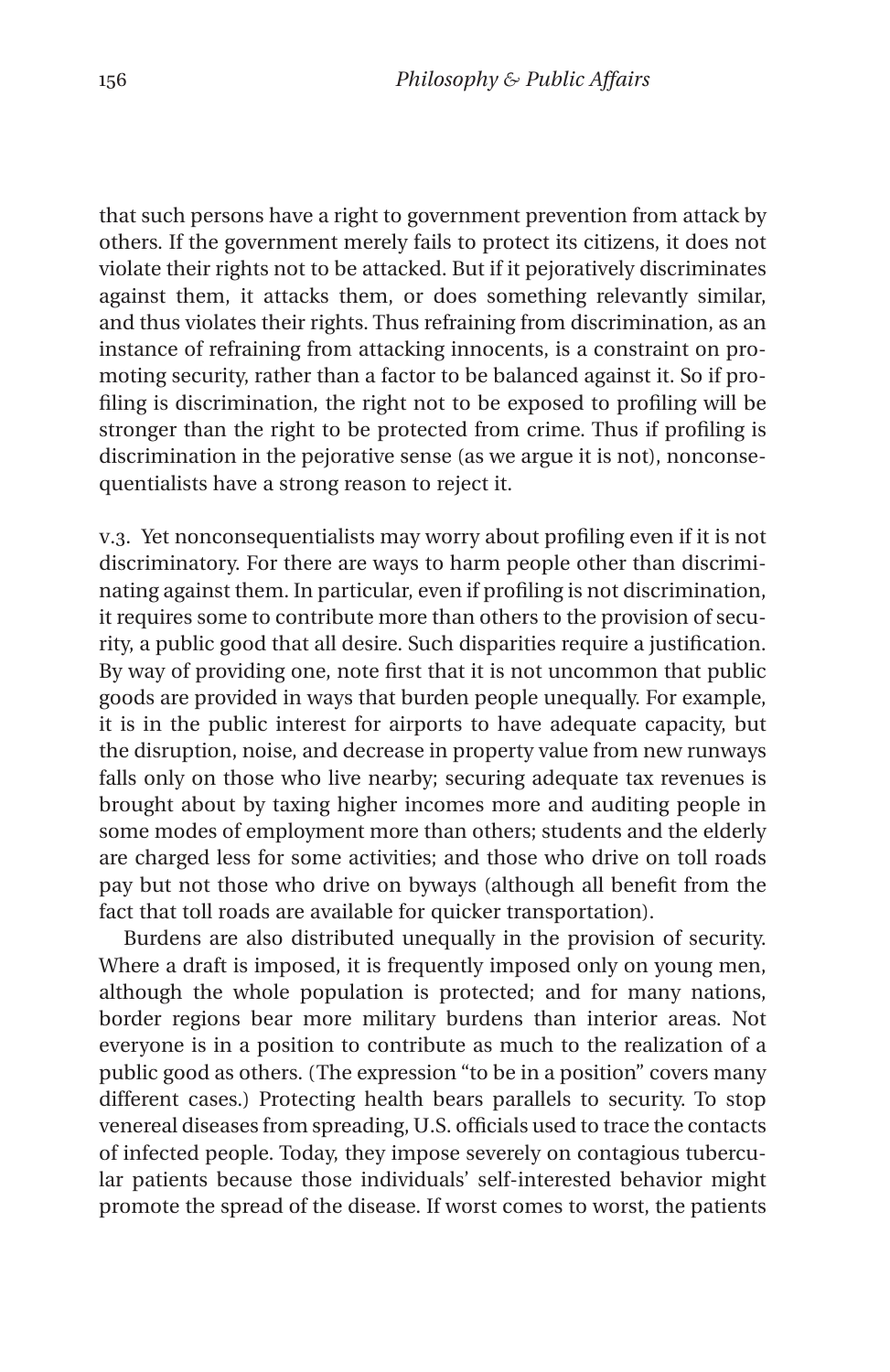that such persons have a right to government prevention from attack by others. If the government merely fails to protect its citizens, it does not violate their rights not to be attacked. But if it pejoratively discriminates against them, it attacks them, or does something relevantly similar, and thus violates their rights. Thus refraining from discrimination, as an instance of refraining from attacking innocents, is a constraint on promoting security, rather than a factor to be balanced against it. So if profiling is discrimination, the right not to be exposed to profiling will be stronger than the right to be protected from crime. Thus if profiling is discrimination in the pejorative sense (as we argue it is not), nonconsequentialists have a strong reason to reject it.

v.3. Yet nonconsequentialists may worry about profiling even if it is not discriminatory. For there are ways to harm people other than discriminating against them. In particular, even if profiling is not discrimination, it requires some to contribute more than others to the provision of security, a public good that all desire. Such disparities require a justification. By way of providing one, note first that it is not uncommon that public goods are provided in ways that burden people unequally. For example, it is in the public interest for airports to have adequate capacity, but the disruption, noise, and decrease in property value from new runways falls only on those who live nearby; securing adequate tax revenues is brought about by taxing higher incomes more and auditing people in some modes of employment more than others; students and the elderly are charged less for some activities; and those who drive on toll roads pay but not those who drive on byways (although all benefit from the fact that toll roads are available for quicker transportation).

Burdens are also distributed unequally in the provision of security. Where a draft is imposed, it is frequently imposed only on young men, although the whole population is protected; and for many nations, border regions bear more military burdens than interior areas. Not everyone is in a position to contribute as much to the realization of a public good as others. (The expression "to be in a position" covers many different cases.) Protecting health bears parallels to security. To stop venereal diseases from spreading, U.S. officials used to trace the contacts of infected people. Today, they impose severely on contagious tubercular patients because those individuals' self-interested behavior might promote the spread of the disease. If worst comes to worst, the patients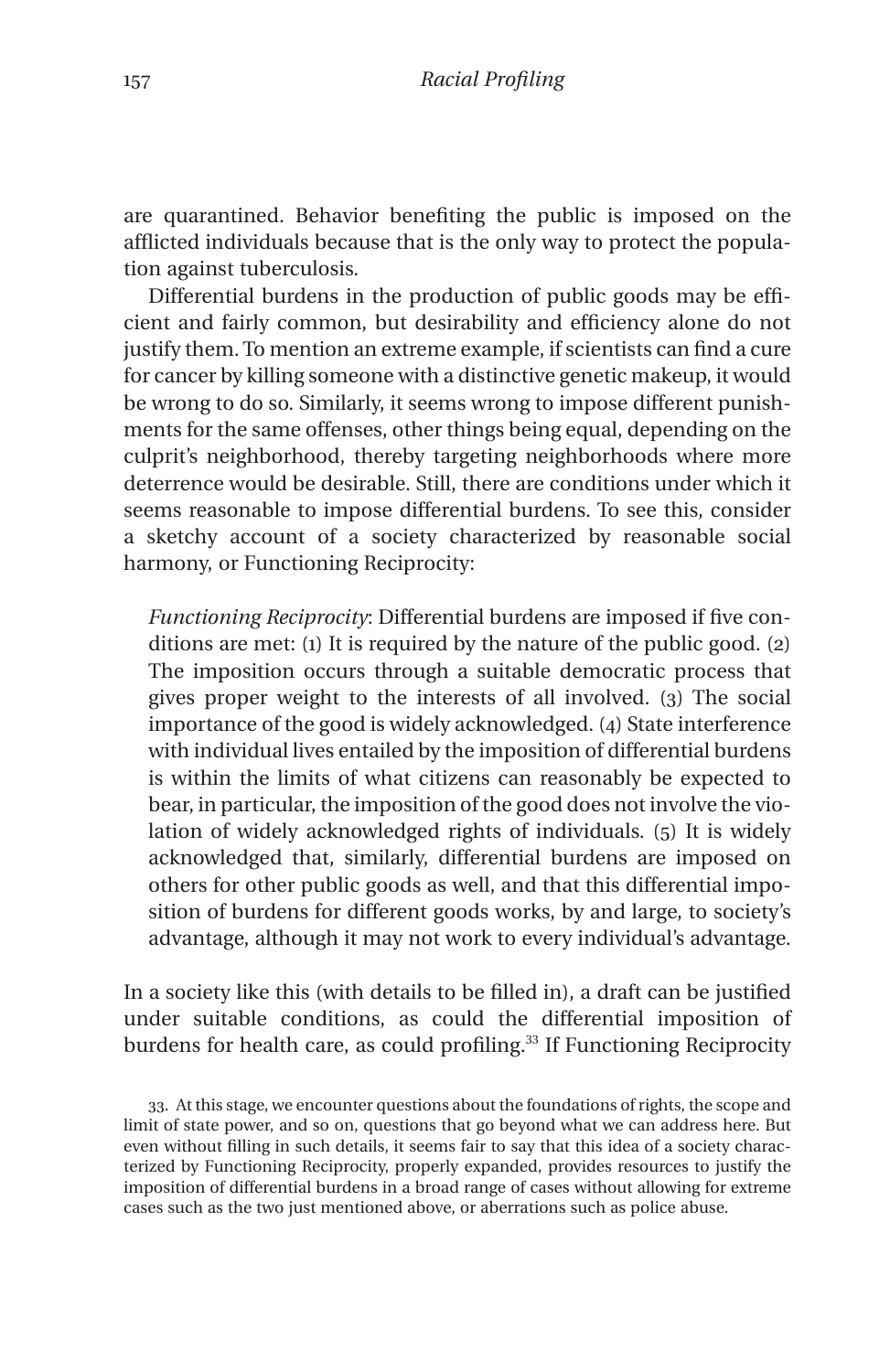are quarantined. Behavior benefiting the public is imposed on the afflicted individuals because that is the only way to protect the population against tuberculosis.

Differential burdens in the production of public goods may be efficient and fairly common, but desirability and efficiency alone do not justify them. To mention an extreme example, if scientists can find a cure for cancer by killing someone with a distinctive genetic makeup, it would be wrong to do so. Similarly, it seems wrong to impose different punishments for the same offenses, other things being equal, depending on the culprit's neighborhood, thereby targeting neighborhoods where more deterrence would be desirable. Still, there are conditions under which it seems reasonable to impose differential burdens. To see this, consider a sketchy account of a society characterized by reasonable social harmony, or Functioning Reciprocity:

*Functioning Reciprocity*: Differential burdens are imposed if five conditions are met: (1) It is required by the nature of the public good. (2) The imposition occurs through a suitable democratic process that gives proper weight to the interests of all involved. (3) The social importance of the good is widely acknowledged. (4) State interference with individual lives entailed by the imposition of differential burdens is within the limits of what citizens can reasonably be expected to bear, in particular, the imposition of the good does not involve the violation of widely acknowledged rights of individuals. (5) It is widely acknowledged that, similarly, differential burdens are imposed on others for other public goods as well, and that this differential imposition of burdens for different goods works, by and large, to society's advantage, although it may not work to every individual's advantage.

In a society like this (with details to be filled in), a draft can be justified under suitable conditions, as could the differential imposition of burdens for health care, as could profiling.<sup>33</sup> If Functioning Reciprocity

<sup>33</sup>. At this stage, we encounter questions about the foundations of rights, the scope and limit of state power, and so on, questions that go beyond what we can address here. But even without filling in such details, it seems fair to say that this idea of a society characterized by Functioning Reciprocity, properly expanded, provides resources to justify the imposition of differential burdens in a broad range of cases without allowing for extreme cases such as the two just mentioned above, or aberrations such as police abuse.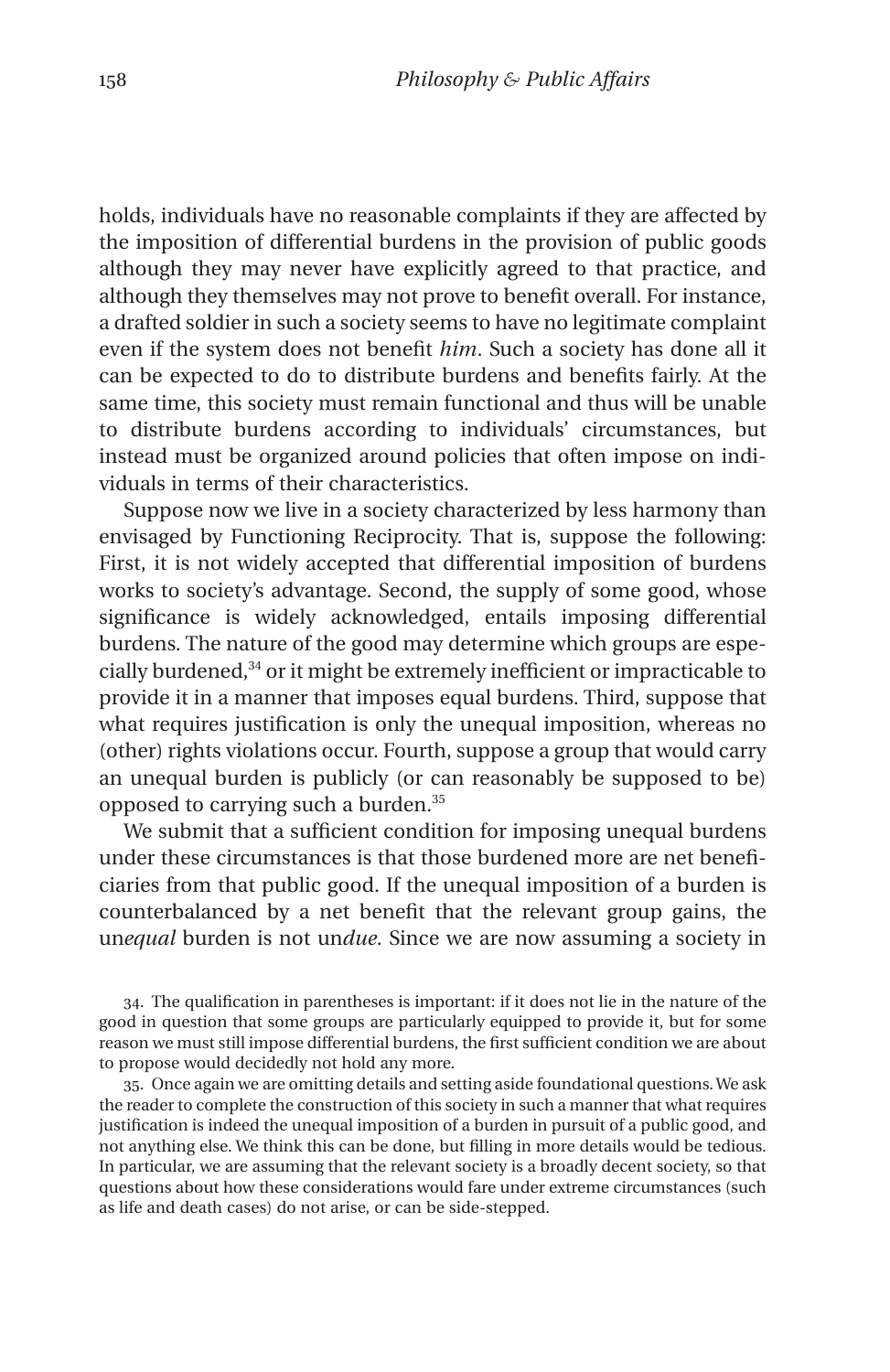holds, individuals have no reasonable complaints if they are affected by the imposition of differential burdens in the provision of public goods although they may never have explicitly agreed to that practice, and although they themselves may not prove to benefit overall. For instance, a drafted soldier in such a society seems to have no legitimate complaint even if the system does not benefit *him*. Such a society has done all it can be expected to do to distribute burdens and benefits fairly. At the same time, this society must remain functional and thus will be unable to distribute burdens according to individuals' circumstances, but instead must be organized around policies that often impose on individuals in terms of their characteristics.

Suppose now we live in a society characterized by less harmony than envisaged by Functioning Reciprocity. That is, suppose the following: First, it is not widely accepted that differential imposition of burdens works to society's advantage. Second, the supply of some good, whose significance is widely acknowledged, entails imposing differential burdens. The nature of the good may determine which groups are especially burdened,<sup>34</sup> or it might be extremely inefficient or impracticable to provide it in a manner that imposes equal burdens. Third, suppose that what requires justification is only the unequal imposition, whereas no (other) rights violations occur. Fourth, suppose a group that would carry an unequal burden is publicly (or can reasonably be supposed to be) opposed to carrying such a burden.<sup>35</sup>

We submit that a sufficient condition for imposing unequal burdens under these circumstances is that those burdened more are net beneficiaries from that public good. If the unequal imposition of a burden is counterbalanced by a net benefit that the relevant group gains, the un*equal* burden is not un*due*. Since we are now assuming a society in

34. The qualification in parentheses is important: if it does not lie in the nature of the good in question that some groups are particularly equipped to provide it, but for some reason we must still impose differential burdens, the first sufficient condition we are about to propose would decidedly not hold any more.

35. Once again we are omitting details and setting aside foundational questions. We ask the reader to complete the construction of this society in such a manner that what requires justification is indeed the unequal imposition of a burden in pursuit of a public good, and not anything else. We think this can be done, but filling in more details would be tedious. In particular, we are assuming that the relevant society is a broadly decent society, so that questions about how these considerations would fare under extreme circumstances (such as life and death cases) do not arise, or can be side-stepped.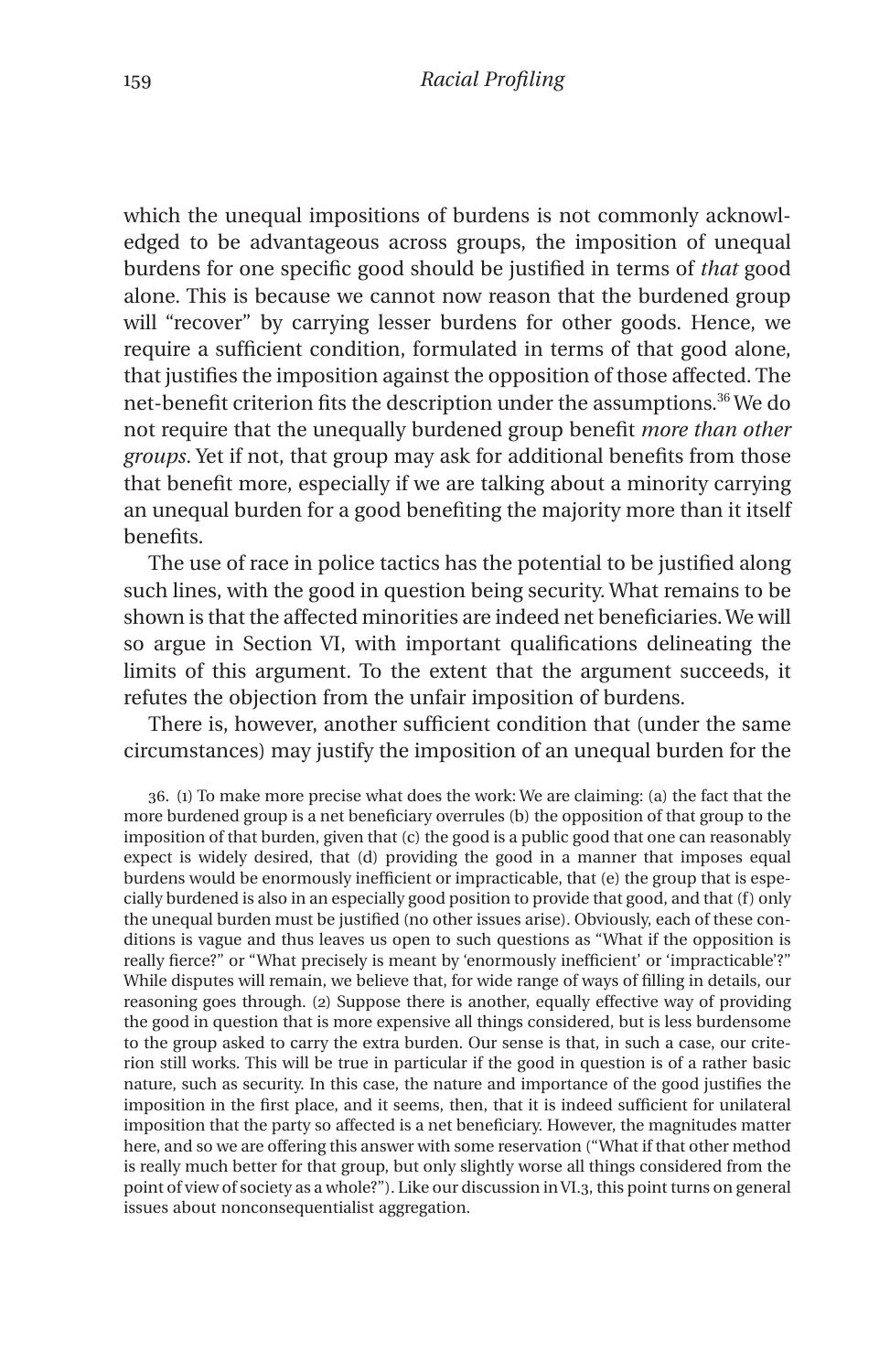which the unequal impositions of burdens is not commonly acknowledged to be advantageous across groups, the imposition of unequal burdens for one specific good should be justified in terms of *that* good alone. This is because we cannot now reason that the burdened group will "recover" by carrying lesser burdens for other goods. Hence, we require a sufficient condition, formulated in terms of that good alone, that justifies the imposition against the opposition of those affected. The net-benefit criterion fits the description under the assumptions.<sup>36</sup> We do not require that the unequally burdened group benefit *more than other groups*. Yet if not, that group may ask for additional benefits from those that benefit more, especially if we are talking about a minority carrying an unequal burden for a good benefiting the majority more than it itself benefits.

The use of race in police tactics has the potential to be justified along such lines, with the good in question being security. What remains to be shown is that the affected minorities are indeed net beneficiaries. We will so argue in Section VI, with important qualifications delineating the limits of this argument. To the extent that the argument succeeds, it refutes the objection from the unfair imposition of burdens.

There is, however, another sufficient condition that (under the same circumstances) may justify the imposition of an unequal burden for the

36. (1) To make more precise what does the work: We are claiming: (a) the fact that the more burdened group is a net beneficiary overrules (b) the opposition of that group to the imposition of that burden, given that (c) the good is a public good that one can reasonably expect is widely desired, that (d) providing the good in a manner that imposes equal burdens would be enormously inefficient or impracticable, that (e) the group that is especially burdened is also in an especially good position to provide that good, and that (f) only the unequal burden must be justified (no other issues arise). Obviously, each of these conditions is vague and thus leaves us open to such questions as "What if the opposition is really fierce?" or "What precisely is meant by 'enormously inefficient' or 'impracticable'?" While disputes will remain, we believe that, for wide range of ways of filling in details, our reasoning goes through. (2) Suppose there is another, equally effective way of providing the good in question that is more expensive all things considered, but is less burdensome to the group asked to carry the extra burden. Our sense is that, in such a case, our criterion still works. This will be true in particular if the good in question is of a rather basic nature, such as security. In this case, the nature and importance of the good justifies the imposition in the first place, and it seems, then, that it is indeed sufficient for unilateral imposition that the party so affected is a net beneficiary. However, the magnitudes matter here, and so we are offering this answer with some reservation ("What if that other method is really much better for that group, but only slightly worse all things considered from the point of view of society as a whole?"). Like our discussion in VI.3, this point turns on general issues about nonconsequentialist aggregation.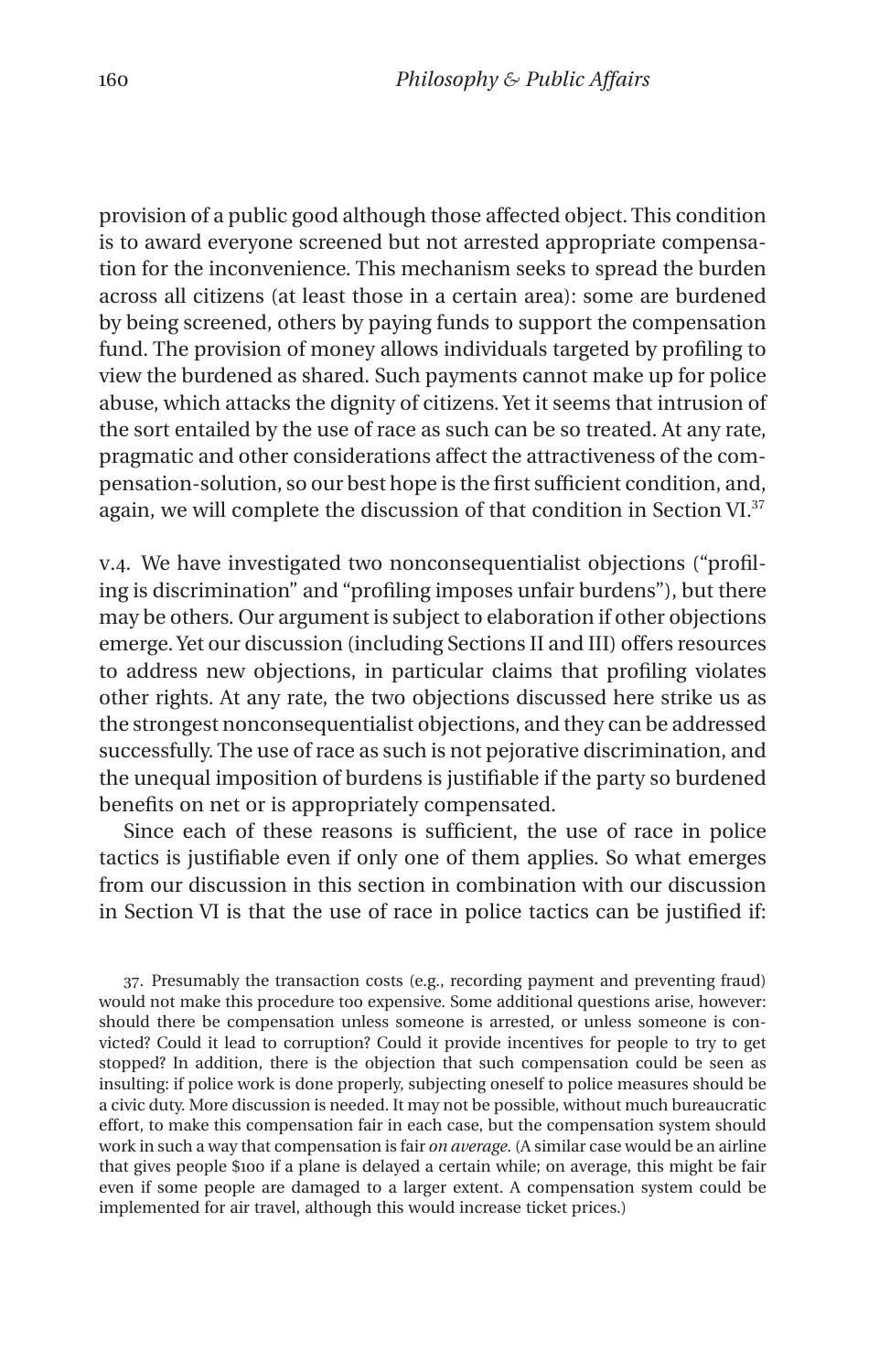provision of a public good although those affected object. This condition is to award everyone screened but not arrested appropriate compensation for the inconvenience. This mechanism seeks to spread the burden across all citizens (at least those in a certain area): some are burdened by being screened, others by paying funds to support the compensation fund. The provision of money allows individuals targeted by profiling to view the burdened as shared. Such payments cannot make up for police abuse, which attacks the dignity of citizens. Yet it seems that intrusion of the sort entailed by the use of race as such can be so treated. At any rate, pragmatic and other considerations affect the attractiveness of the compensation-solution, so our best hope is the first sufficient condition, and, again, we will complete the discussion of that condition in Section VI.<sup>37</sup>

v.4. We have investigated two nonconsequentialist objections ("profiling is discrimination" and "profiling imposes unfair burdens"), but there may be others. Our argument is subject to elaboration if other objections emerge. Yet our discussion (including Sections II and III) offers resources to address new objections, in particular claims that profiling violates other rights. At any rate, the two objections discussed here strike us as the strongest nonconsequentialist objections, and they can be addressed successfully. The use of race as such is not pejorative discrimination, and the unequal imposition of burdens is justifiable if the party so burdened benefits on net or is appropriately compensated.

Since each of these reasons is sufficient, the use of race in police tactics is justifiable even if only one of them applies. So what emerges from our discussion in this section in combination with our discussion in Section VI is that the use of race in police tactics can be justified if:

37. Presumably the transaction costs (e.g., recording payment and preventing fraud) would not make this procedure too expensive. Some additional questions arise, however: should there be compensation unless someone is arrested, or unless someone is convicted? Could it lead to corruption? Could it provide incentives for people to try to get stopped? In addition, there is the objection that such compensation could be seen as insulting: if police work is done properly, subjecting oneself to police measures should be a civic duty. More discussion is needed. It may not be possible, without much bureaucratic effort, to make this compensation fair in each case, but the compensation system should work in such a way that compensation is fair *on average*. (A similar case would be an airline that gives people \$100 if a plane is delayed a certain while; on average, this might be fair even if some people are damaged to a larger extent. A compensation system could be implemented for air travel, although this would increase ticket prices.)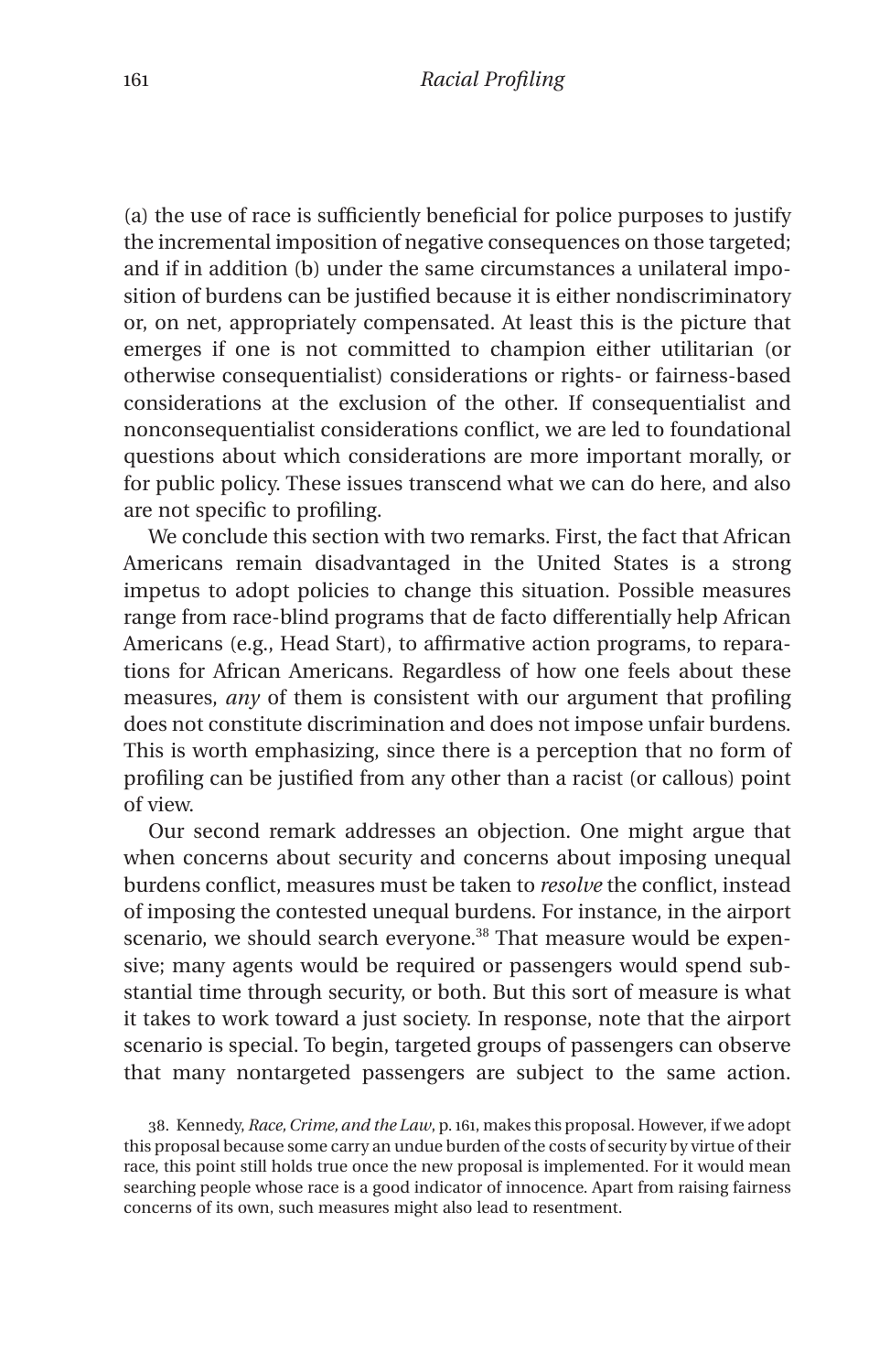(a) the use of race is sufficiently beneficial for police purposes to justify the incremental imposition of negative consequences on those targeted; and if in addition (b) under the same circumstances a unilateral imposition of burdens can be justified because it is either nondiscriminatory or, on net, appropriately compensated. At least this is the picture that emerges if one is not committed to champion either utilitarian (or otherwise consequentialist) considerations or rights- or fairness-based considerations at the exclusion of the other. If consequentialist and nonconsequentialist considerations conflict, we are led to foundational questions about which considerations are more important morally, or for public policy. These issues transcend what we can do here, and also are not specific to profiling.

We conclude this section with two remarks. First, the fact that African Americans remain disadvantaged in the United States is a strong impetus to adopt policies to change this situation. Possible measures range from race-blind programs that de facto differentially help African Americans (e.g., Head Start), to affirmative action programs, to reparations for African Americans. Regardless of how one feels about these measures, *any* of them is consistent with our argument that profiling does not constitute discrimination and does not impose unfair burdens. This is worth emphasizing, since there is a perception that no form of profiling can be justified from any other than a racist (or callous) point of view.

Our second remark addresses an objection. One might argue that when concerns about security and concerns about imposing unequal burdens conflict, measures must be taken to *resolve* the conflict, instead of imposing the contested unequal burdens. For instance, in the airport scenario, we should search everyone.<sup>38</sup> That measure would be expensive; many agents would be required or passengers would spend substantial time through security, or both. But this sort of measure is what it takes to work toward a just society. In response, note that the airport scenario is special. To begin, targeted groups of passengers can observe that many nontargeted passengers are subject to the same action.

38. Kennedy, *Race, Crime, and the Law*, p. 161, makes this proposal. However, if we adopt this proposal because some carry an undue burden of the costs of security by virtue of their race, this point still holds true once the new proposal is implemented. For it would mean searching people whose race is a good indicator of innocence. Apart from raising fairness concerns of its own, such measures might also lead to resentment.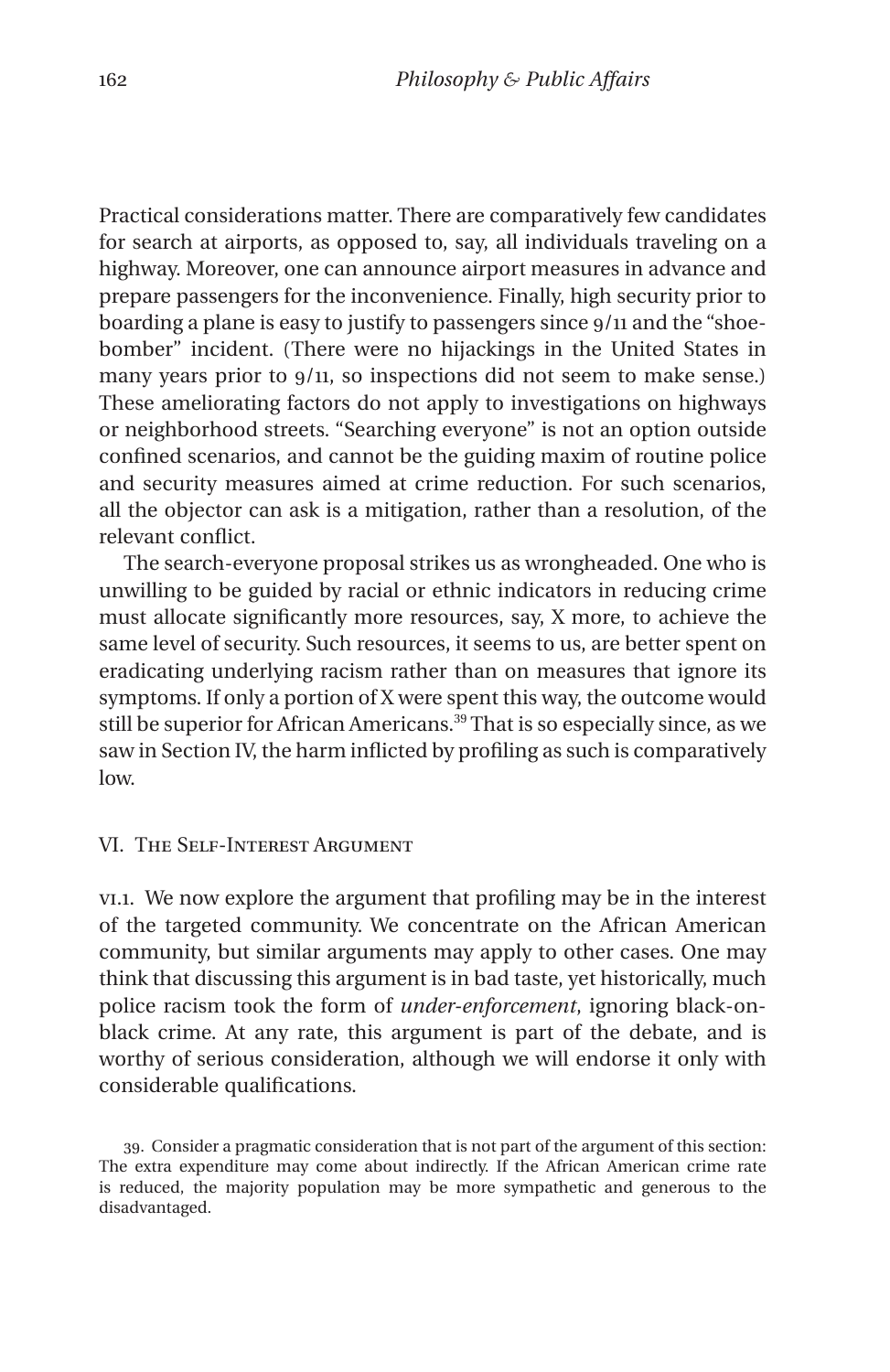Practical considerations matter. There are comparatively few candidates for search at airports, as opposed to, say, all individuals traveling on a highway. Moreover, one can announce airport measures in advance and prepare passengers for the inconvenience. Finally, high security prior to boarding a plane is easy to justify to passengers since 9/11 and the "shoebomber" incident. (There were no hijackings in the United States in many years prior to  $9/11$ , so inspections did not seem to make sense.) These ameliorating factors do not apply to investigations on highways or neighborhood streets. "Searching everyone" is not an option outside confined scenarios, and cannot be the guiding maxim of routine police and security measures aimed at crime reduction. For such scenarios, all the objector can ask is a mitigation, rather than a resolution, of the relevant conflict.

The search-everyone proposal strikes us as wrongheaded. One who is unwilling to be guided by racial or ethnic indicators in reducing crime must allocate significantly more resources, say, X more, to achieve the same level of security. Such resources, it seems to us, are better spent on eradicating underlying racism rather than on measures that ignore its symptoms. If only a portion of X were spent this way, the outcome would still be superior for African Americans.<sup>39</sup> That is so especially since, as we saw in Section IV, the harm inflicted by profiling as such is comparatively low.

# VI. The Self-Interest Argument

vi.1. We now explore the argument that profiling may be in the interest of the targeted community. We concentrate on the African American community, but similar arguments may apply to other cases. One may think that discussing this argument is in bad taste, yet historically, much police racism took the form of *under-enforcement*, ignoring black-onblack crime. At any rate, this argument is part of the debate, and is worthy of serious consideration, although we will endorse it only with considerable qualifications.

39. Consider a pragmatic consideration that is not part of the argument of this section: The extra expenditure may come about indirectly. If the African American crime rate is reduced, the majority population may be more sympathetic and generous to the disadvantaged.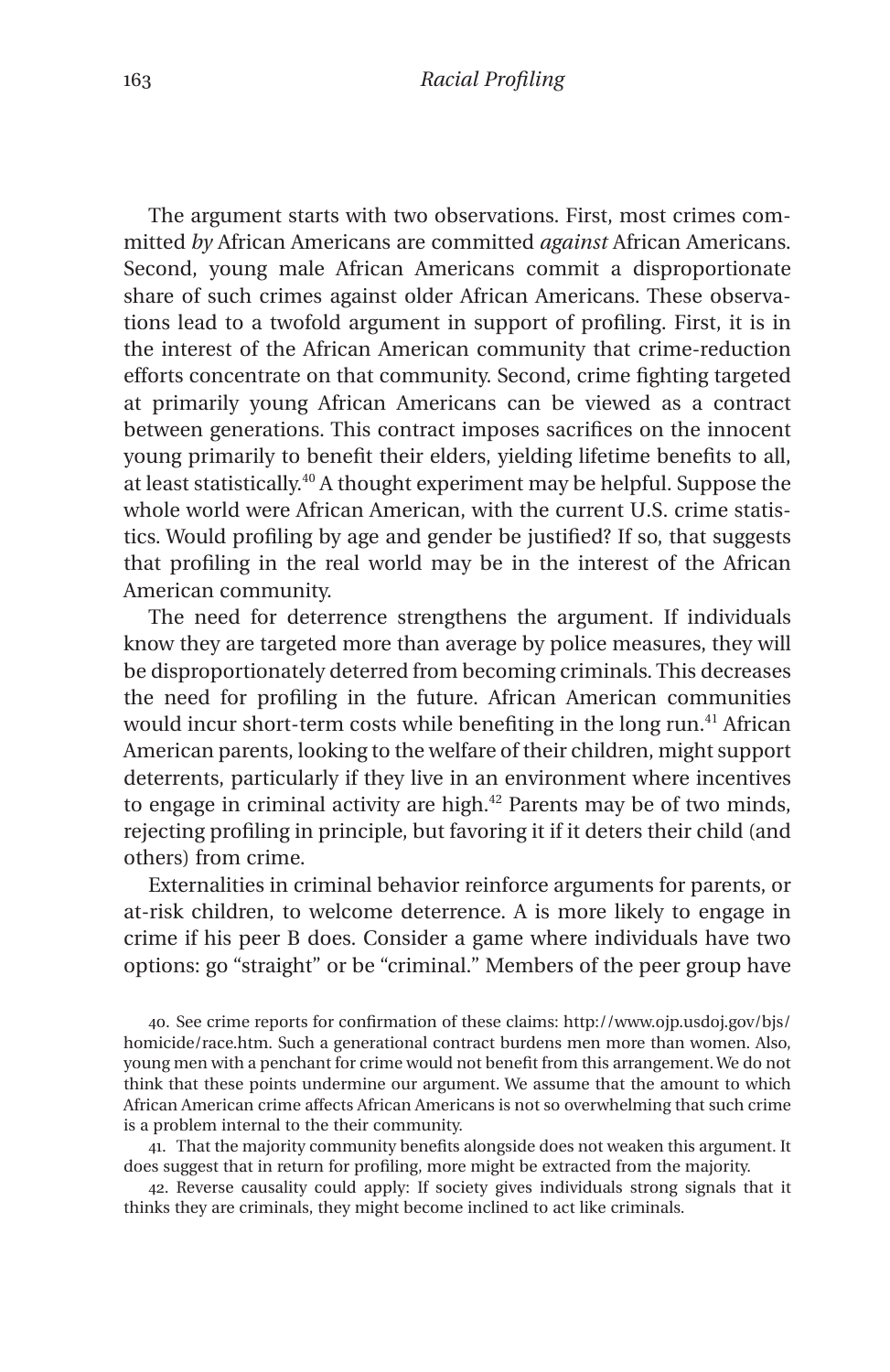The argument starts with two observations. First, most crimes committed *by* African Americans are committed *against* African Americans. Second, young male African Americans commit a disproportionate share of such crimes against older African Americans. These observations lead to a twofold argument in support of profiling. First, it is in the interest of the African American community that crime-reduction efforts concentrate on that community. Second, crime fighting targeted at primarily young African Americans can be viewed as a contract between generations. This contract imposes sacrifices on the innocent young primarily to benefit their elders, yielding lifetime benefits to all, at least statistically.40 A thought experiment may be helpful. Suppose the whole world were African American, with the current U.S. crime statistics. Would profiling by age and gender be justified? If so, that suggests that profiling in the real world may be in the interest of the African American community.

The need for deterrence strengthens the argument. If individuals know they are targeted more than average by police measures, they will be disproportionately deterred from becoming criminals. This decreases the need for profiling in the future. African American communities would incur short-term costs while benefiting in the long run.<sup>41</sup> African American parents, looking to the welfare of their children, might support deterrents, particularly if they live in an environment where incentives to engage in criminal activity are high. $42$  Parents may be of two minds, rejecting profiling in principle, but favoring it if it deters their child (and others) from crime.

Externalities in criminal behavior reinforce arguments for parents, or at-risk children, to welcome deterrence. A is more likely to engage in crime if his peer B does. Consider a game where individuals have two options: go "straight" or be "criminal." Members of the peer group have

40. See crime reports for confirmation of these claims: <http://www.ojp.usdoj.gov/bjs/> homicide/race.htm. Such a generational contract burdens men more than women. Also, young men with a penchant for crime would not benefit from this arrangement. We do not think that these points undermine our argument. We assume that the amount to which African American crime affects African Americans is not so overwhelming that such crime is a problem internal to the their community.

41. That the majority community benefits alongside does not weaken this argument. It does suggest that in return for profiling, more might be extracted from the majority.

42. Reverse causality could apply: If society gives individuals strong signals that it thinks they are criminals, they might become inclined to act like criminals.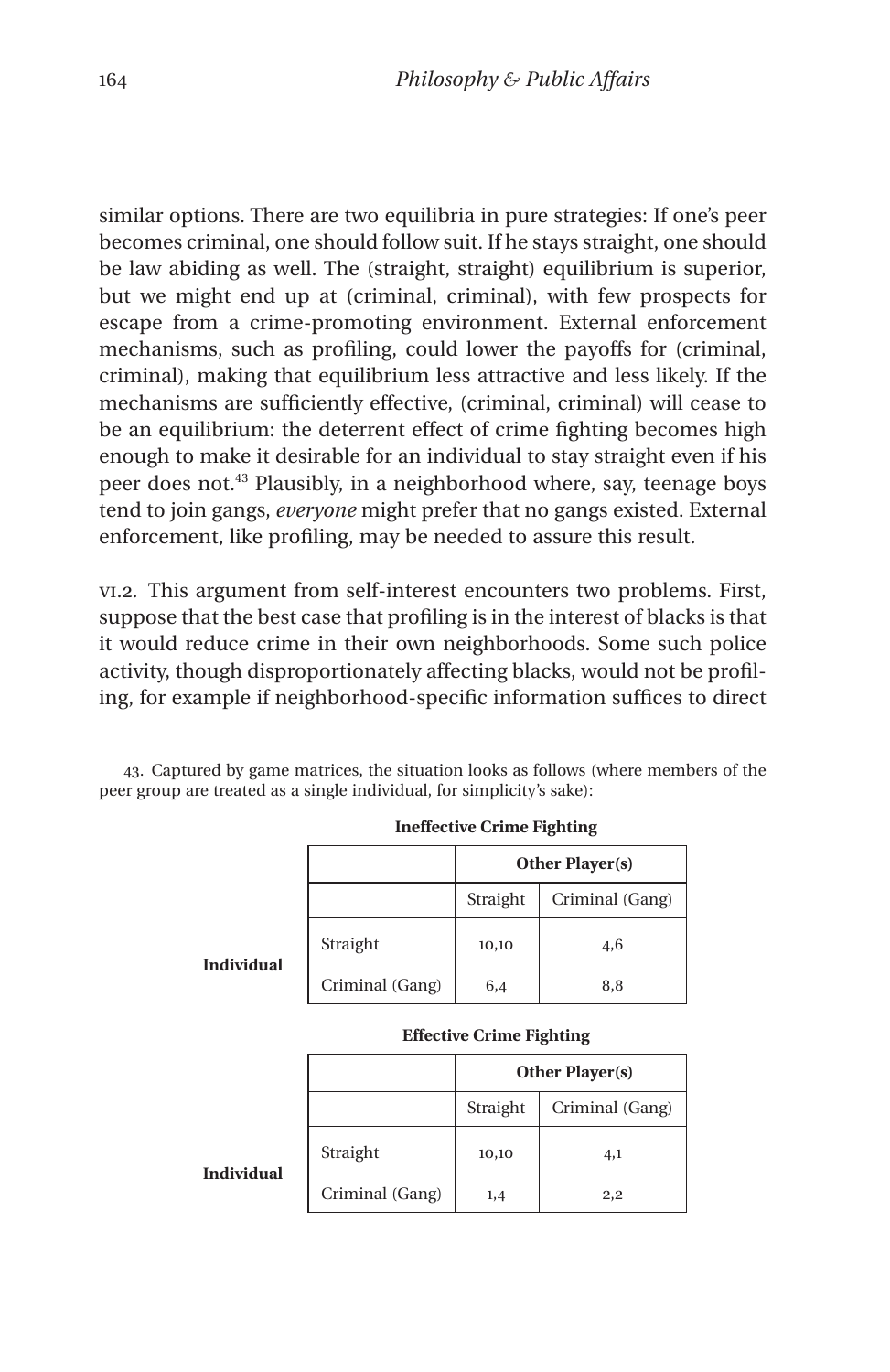similar options. There are two equilibria in pure strategies: If one's peer becomes criminal, one should follow suit. If he stays straight, one should be law abiding as well. The (straight, straight) equilibrium is superior, but we might end up at (criminal, criminal), with few prospects for escape from a crime-promoting environment. External enforcement mechanisms, such as profiling, could lower the payoffs for (criminal, criminal), making that equilibrium less attractive and less likely. If the mechanisms are sufficiently effective, (criminal, criminal) will cease to be an equilibrium: the deterrent effect of crime fighting becomes high enough to make it desirable for an individual to stay straight even if his peer does not.<sup>43</sup> Plausibly, in a neighborhood where, say, teenage boys tend to join gangs, *everyone* might prefer that no gangs existed. External enforcement, like profiling, may be needed to assure this result.

vi.2. This argument from self-interest encounters two problems. First, suppose that the best case that profiling is in the interest of blacks is that it would reduce crime in their own neighborhoods. Some such police activity, though disproportionately affecting blacks, would not be profiling, for example if neighborhood-specific information suffices to direct

43. Captured by game matrices, the situation looks as follows (where members of the peer group are treated as a single individual, for simplicity's sake):

|                   |                 | <b>Other Player(s)</b> |                 |
|-------------------|-----------------|------------------------|-----------------|
|                   |                 | Straight               | Criminal (Gang) |
| <b>Individual</b> | Straight        | 10,10                  | 4,6             |
|                   | Criminal (Gang) | 6,4                    | 8,8             |

#### **Effective Crime Fighting**

|                   |                 | <b>Other Player(s)</b> |                 |
|-------------------|-----------------|------------------------|-----------------|
|                   |                 | Straight               | Criminal (Gang) |
| <b>Individual</b> | Straight        | 10,10                  | 4,1             |
|                   | Criminal (Gang) | 1,4                    | 2,2             |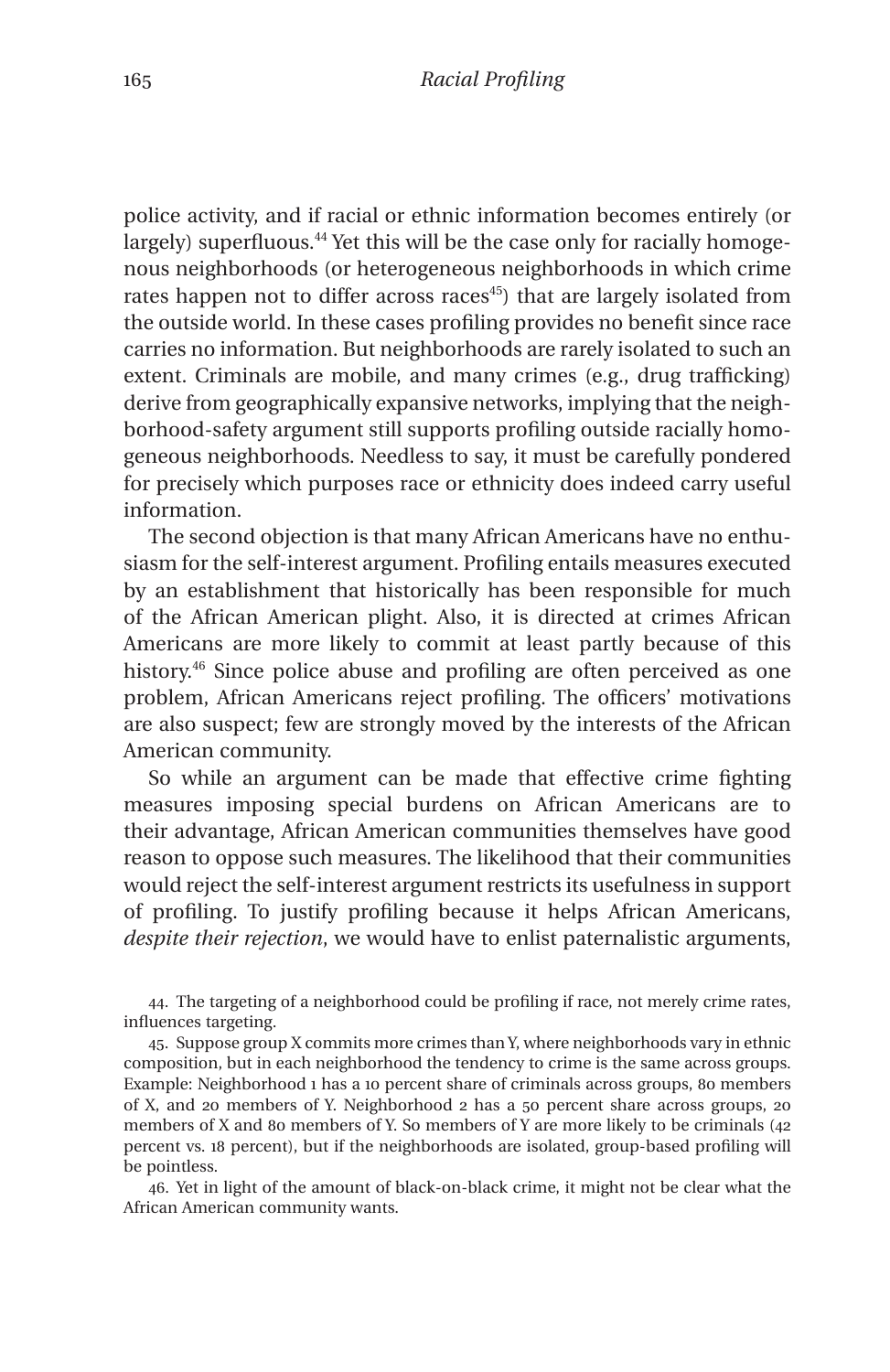police activity, and if racial or ethnic information becomes entirely (or largely) superfluous.<sup>44</sup> Yet this will be the case only for racially homogenous neighborhoods (or heterogeneous neighborhoods in which crime rates happen not to differ across races<sup> $45$ </sup>) that are largely isolated from the outside world. In these cases profiling provides no benefit since race carries no information. But neighborhoods are rarely isolated to such an extent. Criminals are mobile, and many crimes (e.g., drug trafficking) derive from geographically expansive networks, implying that the neighborhood-safety argument still supports profiling outside racially homogeneous neighborhoods. Needless to say, it must be carefully pondered for precisely which purposes race or ethnicity does indeed carry useful information.

The second objection is that many African Americans have no enthusiasm for the self-interest argument. Profiling entails measures executed by an establishment that historically has been responsible for much of the African American plight. Also, it is directed at crimes African Americans are more likely to commit at least partly because of this history.<sup>46</sup> Since police abuse and profiling are often perceived as one problem, African Americans reject profiling. The officers' motivations are also suspect; few are strongly moved by the interests of the African American community.

So while an argument can be made that effective crime fighting measures imposing special burdens on African Americans are to their advantage, African American communities themselves have good reason to oppose such measures. The likelihood that their communities would reject the self-interest argument restricts its usefulness in support of profiling. To justify profiling because it helps African Americans, *despite their rejection*, we would have to enlist paternalistic arguments,

44. The targeting of a neighborhood could be profiling if race, not merely crime rates, influences targeting.

45. Suppose group X commits more crimes than Y, where neighborhoods vary in ethnic composition, but in each neighborhood the tendency to crime is the same across groups. Example: Neighborhood 1 has a 10 percent share of criminals across groups, 80 members of X, and 20 members of Y. Neighborhood 2 has a 50 percent share across groups, 20 members of X and 80 members of Y. So members of Y are more likely to be criminals (42 percent vs. 18 percent), but if the neighborhoods are isolated, group-based profiling will be pointless.

46. Yet in light of the amount of black-on-black crime, it might not be clear what the African American community wants.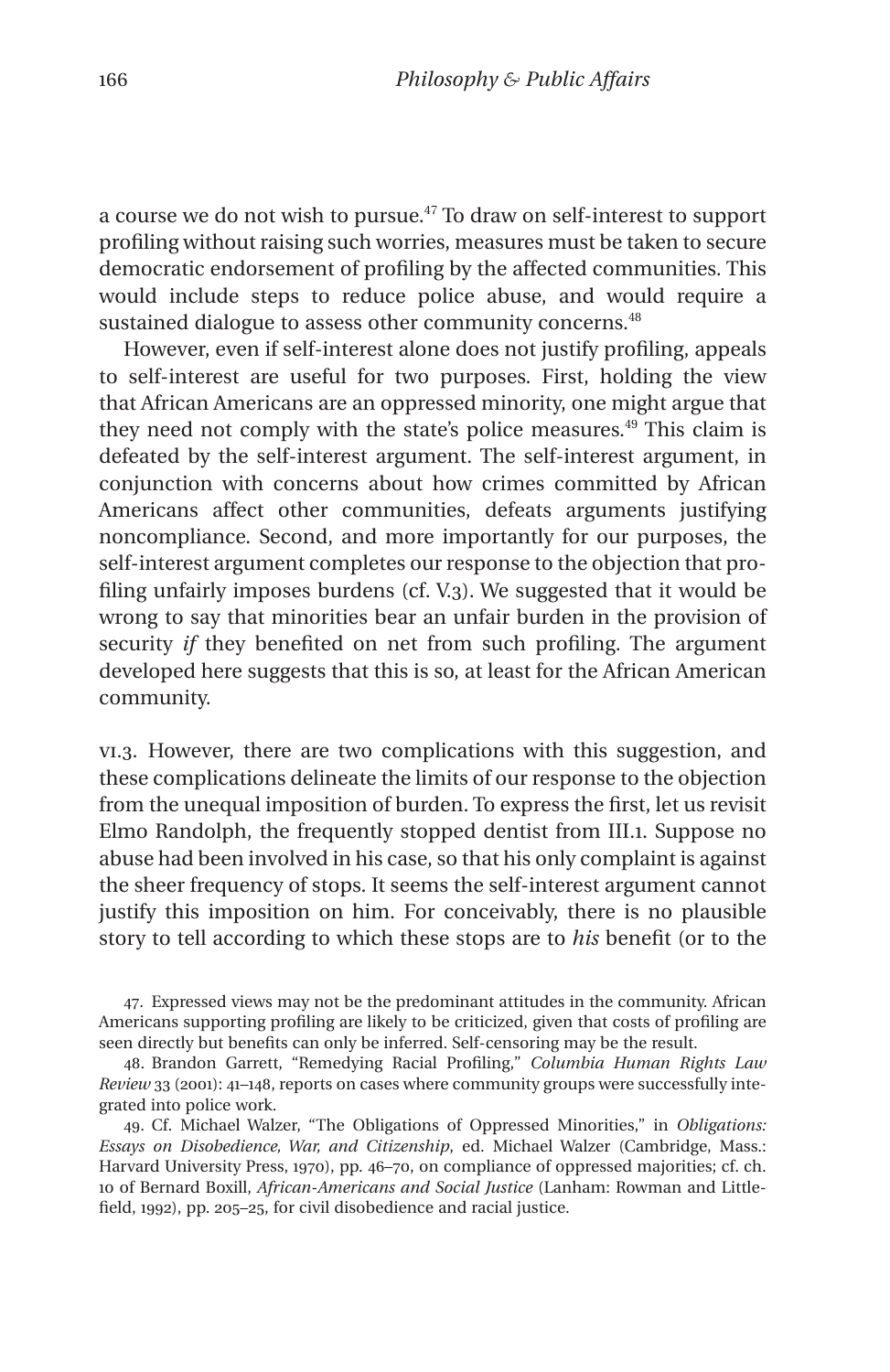a course we do not wish to pursue.47 To draw on self-interest to support profiling without raising such worries, measures must be taken to secure democratic endorsement of profiling by the affected communities. This would include steps to reduce police abuse, and would require a sustained dialogue to assess other community concerns.<sup>48</sup>

However, even if self-interest alone does not justify profiling, appeals to self-interest are useful for two purposes. First, holding the view that African Americans are an oppressed minority, one might argue that they need not comply with the state's police measures.<sup>49</sup> This claim is defeated by the self-interest argument. The self-interest argument, in conjunction with concerns about how crimes committed by African Americans affect other communities, defeats arguments justifying noncompliance. Second, and more importantly for our purposes, the self-interest argument completes our response to the objection that profiling unfairly imposes burdens (cf. V.3). We suggested that it would be wrong to say that minorities bear an unfair burden in the provision of security *if* they benefited on net from such profiling. The argument developed here suggests that this is so, at least for the African American community.

vi.3. However, there are two complications with this suggestion, and these complications delineate the limits of our response to the objection from the unequal imposition of burden. To express the first, let us revisit Elmo Randolph, the frequently stopped dentist from III.1. Suppose no abuse had been involved in his case, so that his only complaint is against the sheer frequency of stops. It seems the self-interest argument cannot justify this imposition on him. For conceivably, there is no plausible story to tell according to which these stops are to *his* benefit (or to the

47. Expressed views may not be the predominant attitudes in the community. African Americans supporting profiling are likely to be criticized, given that costs of profiling are seen directly but benefits can only be inferred. Self-censoring may be the result.

49. Cf. Michael Walzer, "The Obligations of Oppressed Minorities," in *Obligations: Essays on Disobedience, War, and Citizenship*, ed. Michael Walzer (Cambridge, Mass.: Harvard University Press, 1970), pp. 46–70, on compliance of oppressed majorities; cf. ch. 10 of Bernard Boxill, *African-Americans and Social Justice* (Lanham: Rowman and Littlefield, 1992), pp. 205–25, for civil disobedience and racial justice.

<sup>48</sup>. Brandon Garrett, "Remedying Racial Profiling," *Columbia Human Rights Law Review* 33 (2001): 41–148, reports on cases where community groups were successfully integrated into police work.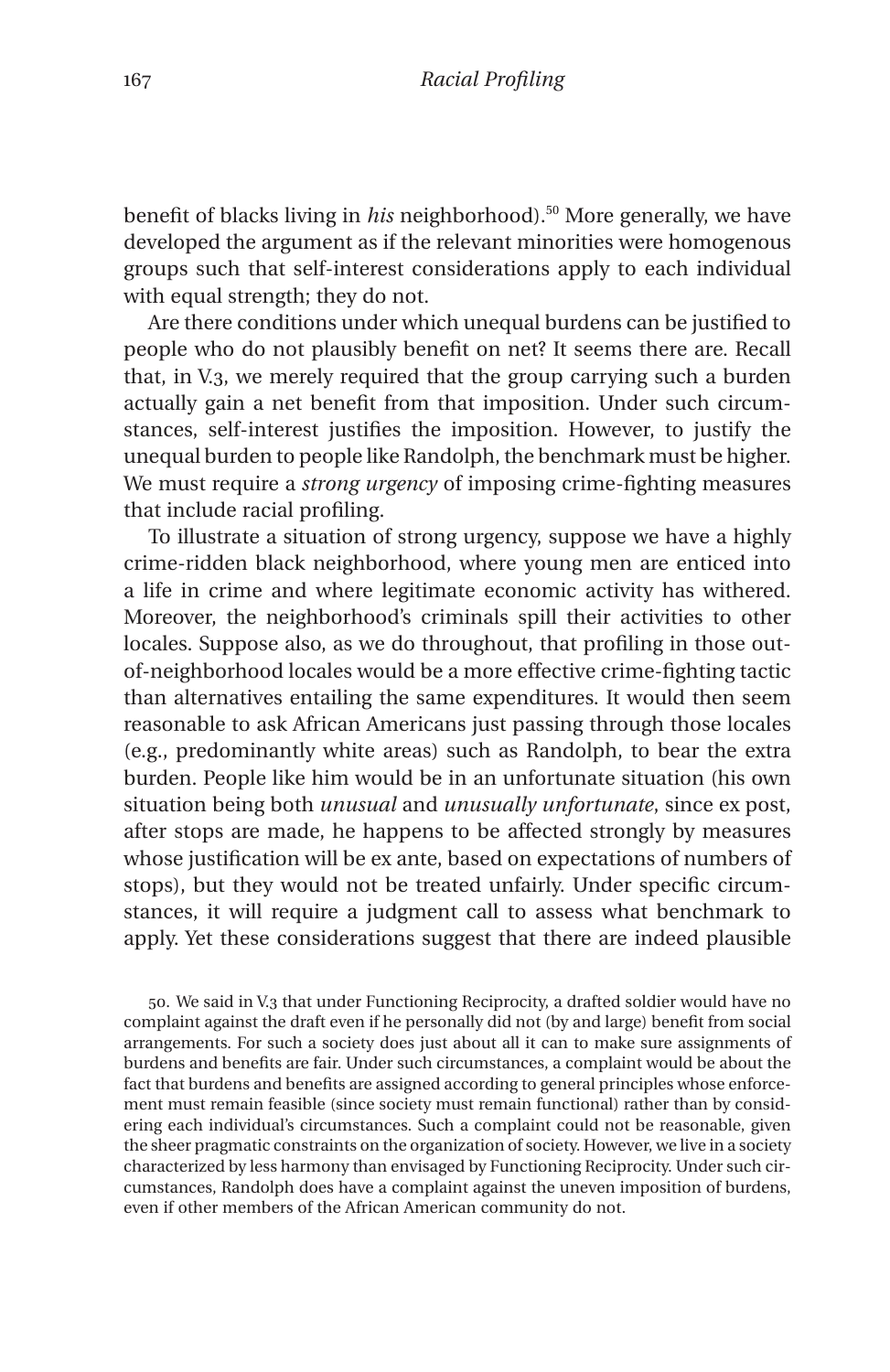benefit of blacks living in *his* neighborhood).<sup>50</sup> More generally, we have developed the argument as if the relevant minorities were homogenous groups such that self-interest considerations apply to each individual with equal strength; they do not.

Are there conditions under which unequal burdens can be justified to people who do not plausibly benefit on net? It seems there are. Recall that, in V.3, we merely required that the group carrying such a burden actually gain a net benefit from that imposition. Under such circumstances, self-interest justifies the imposition. However, to justify the unequal burden to people like Randolph, the benchmark must be higher. We must require a *strong urgency* of imposing crime-fighting measures that include racial profiling.

To illustrate a situation of strong urgency, suppose we have a highly crime-ridden black neighborhood, where young men are enticed into a life in crime and where legitimate economic activity has withered. Moreover, the neighborhood's criminals spill their activities to other locales. Suppose also, as we do throughout, that profiling in those outof-neighborhood locales would be a more effective crime-fighting tactic than alternatives entailing the same expenditures. It would then seem reasonable to ask African Americans just passing through those locales (e.g., predominantly white areas) such as Randolph, to bear the extra burden. People like him would be in an unfortunate situation (his own situation being both *unusual* and *unusually unfortunate*, since ex post, after stops are made, he happens to be affected strongly by measures whose justification will be ex ante, based on expectations of numbers of stops), but they would not be treated unfairly. Under specific circumstances, it will require a judgment call to assess what benchmark to apply. Yet these considerations suggest that there are indeed plausible

50. We said in V.3 that under Functioning Reciprocity, a drafted soldier would have no complaint against the draft even if he personally did not (by and large) benefit from social arrangements. For such a society does just about all it can to make sure assignments of burdens and benefits are fair. Under such circumstances, a complaint would be about the fact that burdens and benefits are assigned according to general principles whose enforcement must remain feasible (since society must remain functional) rather than by considering each individual's circumstances. Such a complaint could not be reasonable, given the sheer pragmatic constraints on the organization of society. However, we live in a society characterized by less harmony than envisaged by Functioning Reciprocity. Under such circumstances, Randolph does have a complaint against the uneven imposition of burdens, even if other members of the African American community do not.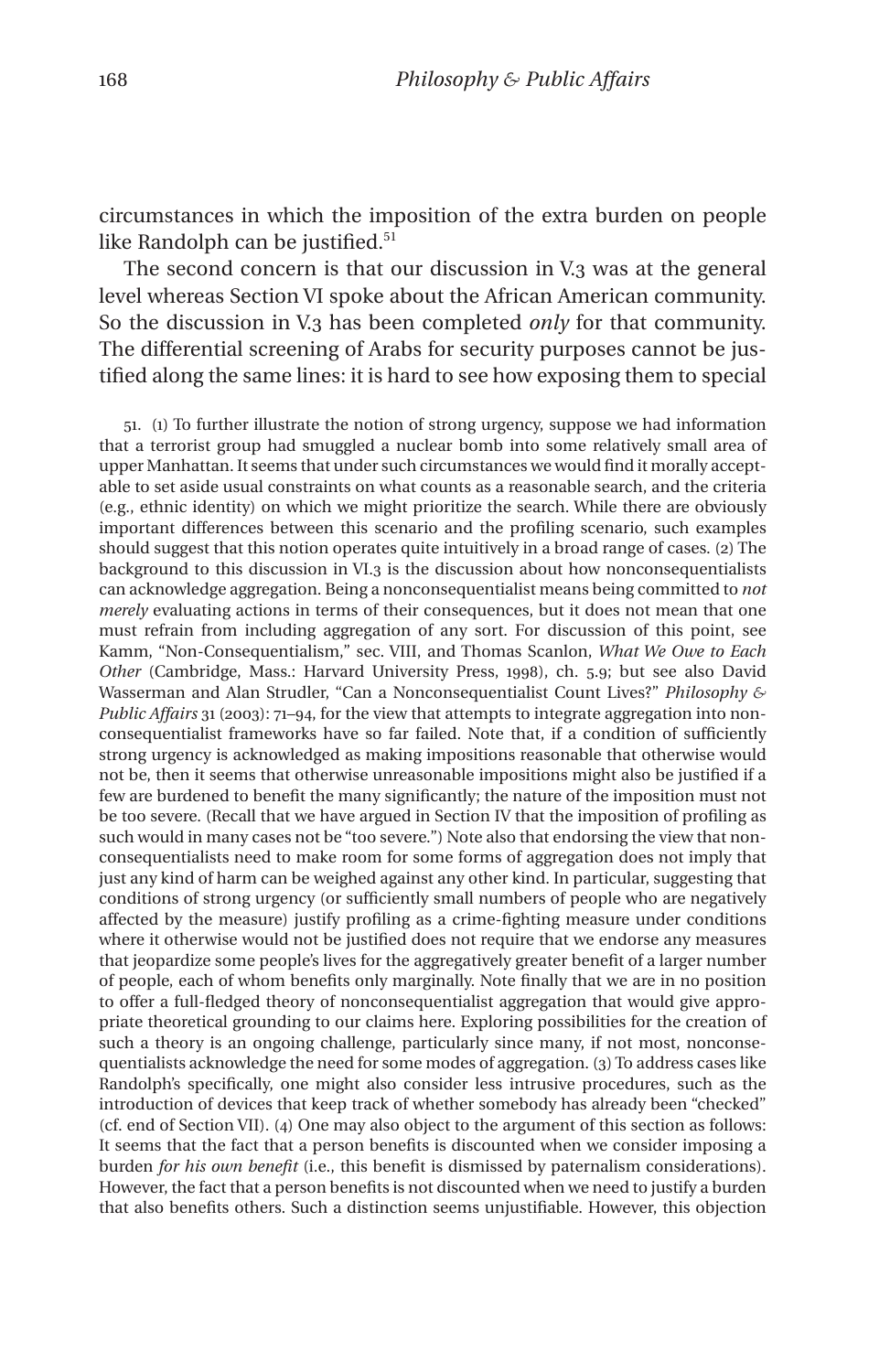circumstances in which the imposition of the extra burden on people like Randolph can be justified.<sup>51</sup>

The second concern is that our discussion in V.3 was at the general level whereas Section VI spoke about the African American community. So the discussion in V.3 has been completed *only* for that community. The differential screening of Arabs for security purposes cannot be justified along the same lines: it is hard to see how exposing them to special

51. (1) To further illustrate the notion of strong urgency, suppose we had information that a terrorist group had smuggled a nuclear bomb into some relatively small area of upper Manhattan. It seems that under such circumstances we would find it morally acceptable to set aside usual constraints on what counts as a reasonable search, and the criteria (e.g., ethnic identity) on which we might prioritize the search. While there are obviously important differences between this scenario and the profiling scenario, such examples should suggest that this notion operates quite intuitively in a broad range of cases. (2) The background to this discussion in VI.3 is the discussion about how nonconsequentialists can acknowledge aggregation. Being a nonconsequentialist means being committed to *not merely* evaluating actions in terms of their consequences, but it does not mean that one must refrain from including aggregation of any sort. For discussion of this point, see Kamm, "Non-Consequentialism," sec. VIII, and Thomas Scanlon, *What We Owe to Each Other* (Cambridge, Mass.: Harvard University Press, 1998), ch. 5.9; but see also David Wasserman and Alan Strudler, "Can a Nonconsequentialist Count Lives?" *Philosophy & Public Affairs* 31 (2003): 71–94, for the view that attempts to integrate aggregation into nonconsequentialist frameworks have so far failed. Note that, if a condition of sufficiently strong urgency is acknowledged as making impositions reasonable that otherwise would not be, then it seems that otherwise unreasonable impositions might also be justified if a few are burdened to benefit the many significantly; the nature of the imposition must not be too severe. (Recall that we have argued in Section IV that the imposition of profiling as such would in many cases not be "too severe.") Note also that endorsing the view that nonconsequentialists need to make room for some forms of aggregation does not imply that just any kind of harm can be weighed against any other kind. In particular, suggesting that conditions of strong urgency (or sufficiently small numbers of people who are negatively affected by the measure) justify profiling as a crime-fighting measure under conditions where it otherwise would not be justified does not require that we endorse any measures that jeopardize some people's lives for the aggregatively greater benefit of a larger number of people, each of whom benefits only marginally. Note finally that we are in no position to offer a full-fledged theory of nonconsequentialist aggregation that would give appropriate theoretical grounding to our claims here. Exploring possibilities for the creation of such a theory is an ongoing challenge, particularly since many, if not most, nonconsequentialists acknowledge the need for some modes of aggregation. (3) To address cases like Randolph's specifically, one might also consider less intrusive procedures, such as the introduction of devices that keep track of whether somebody has already been "checked" (cf. end of Section VII). (4) One may also object to the argument of this section as follows: It seems that the fact that a person benefits is discounted when we consider imposing a burden *for his own benefit* (i.e., this benefit is dismissed by paternalism considerations). However, the fact that a person benefits is not discounted when we need to justify a burden that also benefits others. Such a distinction seems unjustifiable. However, this objection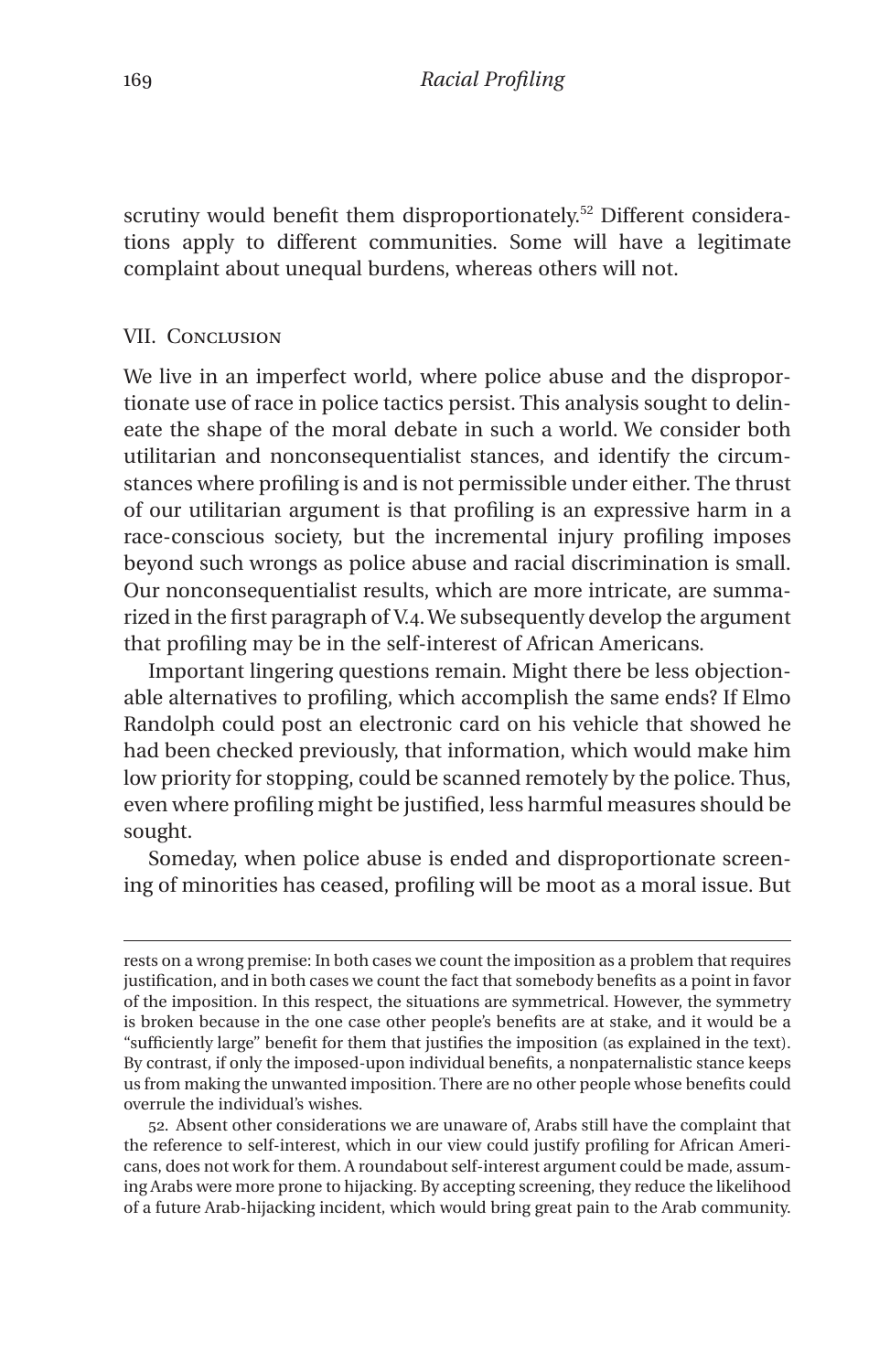scrutiny would benefit them disproportionately.<sup>52</sup> Different considerations apply to different communities. Some will have a legitimate complaint about unequal burdens, whereas others will not.

## VII. CONCLUSION

We live in an imperfect world, where police abuse and the disproportionate use of race in police tactics persist. This analysis sought to delineate the shape of the moral debate in such a world. We consider both utilitarian and nonconsequentialist stances, and identify the circumstances where profiling is and is not permissible under either. The thrust of our utilitarian argument is that profiling is an expressive harm in a race-conscious society, but the incremental injury profiling imposes beyond such wrongs as police abuse and racial discrimination is small. Our nonconsequentialist results, which are more intricate, are summarized in the first paragraph of V.4. We subsequently develop the argument that profiling may be in the self-interest of African Americans.

Important lingering questions remain. Might there be less objectionable alternatives to profiling, which accomplish the same ends? If Elmo Randolph could post an electronic card on his vehicle that showed he had been checked previously, that information, which would make him low priority for stopping, could be scanned remotely by the police. Thus, even where profiling might be justified, less harmful measures should be sought.

Someday, when police abuse is ended and disproportionate screening of minorities has ceased, profiling will be moot as a moral issue. But

rests on a wrong premise: In both cases we count the imposition as a problem that requires justification, and in both cases we count the fact that somebody benefits as a point in favor of the imposition. In this respect, the situations are symmetrical. However, the symmetry is broken because in the one case other people's benefits are at stake, and it would be a "sufficiently large" benefit for them that justifies the imposition (as explained in the text). By contrast, if only the imposed-upon individual benefits, a nonpaternalistic stance keeps us from making the unwanted imposition. There are no other people whose benefits could overrule the individual's wishes.

<sup>52</sup>. Absent other considerations we are unaware of, Arabs still have the complaint that the reference to self-interest, which in our view could justify profiling for African Americans, does not work for them. A roundabout self-interest argument could be made, assuming Arabs were more prone to hijacking. By accepting screening, they reduce the likelihood of a future Arab-hijacking incident, which would bring great pain to the Arab community.